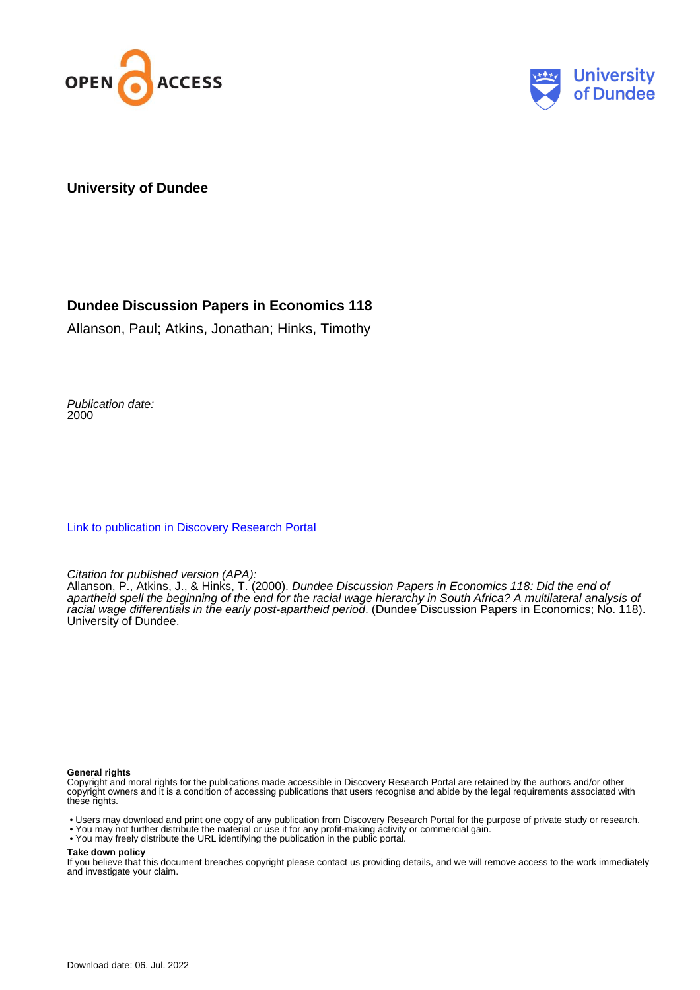



#### **University of Dundee**

## **Dundee Discussion Papers in Economics 118**

Allanson, Paul; Atkins, Jonathan; Hinks, Timothy

Publication date: 2000

[Link to publication in Discovery Research Portal](https://discovery.dundee.ac.uk/en/publications/eecc9f54-498c-4f6c-9703-196ee230b699)

Citation for published version (APA):

Allanson, P., Atkins, J., & Hinks, T. (2000). Dundee Discussion Papers in Economics 118: Did the end of apartheid spell the beginning of the end for the racial wage hierarchy in South Africa? A multilateral analysis of racial wage differentials in the early post-apartheid period. (Dundee Discussion Papers in Economics; No. 118). University of Dundee.

#### **General rights**

Copyright and moral rights for the publications made accessible in Discovery Research Portal are retained by the authors and/or other copyright owners and it is a condition of accessing publications that users recognise and abide by the legal requirements associated with these rights.

• Users may download and print one copy of any publication from Discovery Research Portal for the purpose of private study or research.

- You may not further distribute the material or use it for any profit-making activity or commercial gain.
- You may freely distribute the URL identifying the publication in the public portal.

#### **Take down policy**

If you believe that this document breaches copyright please contact us providing details, and we will remove access to the work immediately and investigate your claim.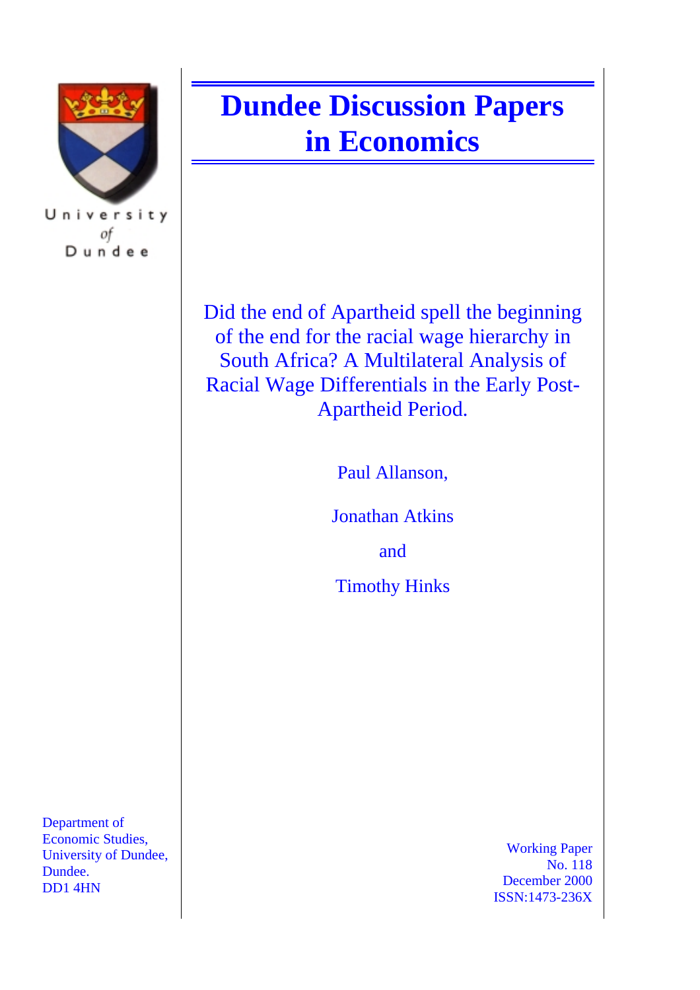

University of Dundee

Department of Economic Studies, University of Dundee, Dundee. DD1 4HN

# **Dundee Discussion Papers in Economics**

Did the end of Apartheid spell the beginning of the end for the racial wage hierarchy in South Africa? A Multilateral Analysis of Racial Wage Differentials in the Early Post-Apartheid Period.

Paul Allanson,

Jonathan Atkins

and

Timothy Hinks

Working Paper No. 118 December 2000 ISSN:1473-236X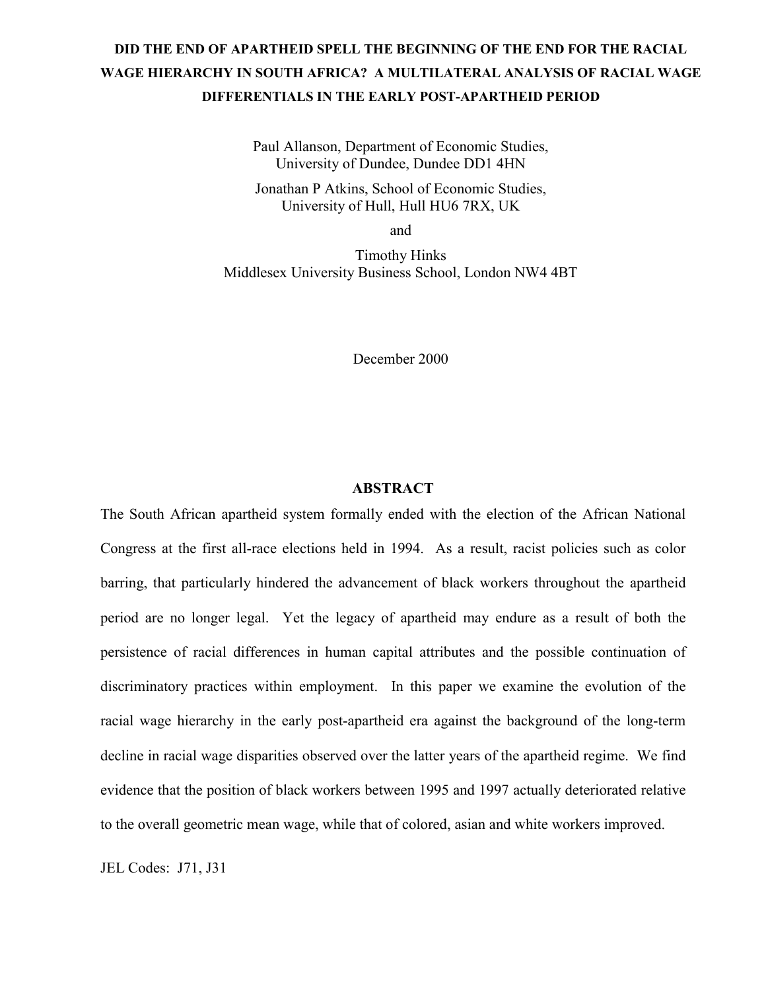# **DID THE END OF APARTHEID SPELL THE BEGINNING OF THE END FOR THE RACIAL WAGE HIERARCHY IN SOUTH AFRICA? A MULTILATERAL ANALYSIS OF RACIAL WAGE DIFFERENTIALS IN THE EARLY POST-APARTHEID PERIOD**

Paul Allanson, Department of Economic Studies, University of Dundee, Dundee DD1 4HN

Jonathan P Atkins, School of Economic Studies, University of Hull, Hull HU6 7RX, UK

and

Timothy Hinks Middlesex University Business School, London NW4 4BT

December 2000

#### **ABSTRACT**

The South African apartheid system formally ended with the election of the African National Congress at the first all-race elections held in 1994. As a result, racist policies such as color barring, that particularly hindered the advancement of black workers throughout the apartheid period are no longer legal. Yet the legacy of apartheid may endure as a result of both the persistence of racial differences in human capital attributes and the possible continuation of discriminatory practices within employment. In this paper we examine the evolution of the racial wage hierarchy in the early post-apartheid era against the background of the long-term decline in racial wage disparities observed over the latter years of the apartheid regime. We find evidence that the position of black workers between 1995 and 1997 actually deteriorated relative to the overall geometric mean wage, while that of colored, asian and white workers improved.

JEL Codes: J71, J31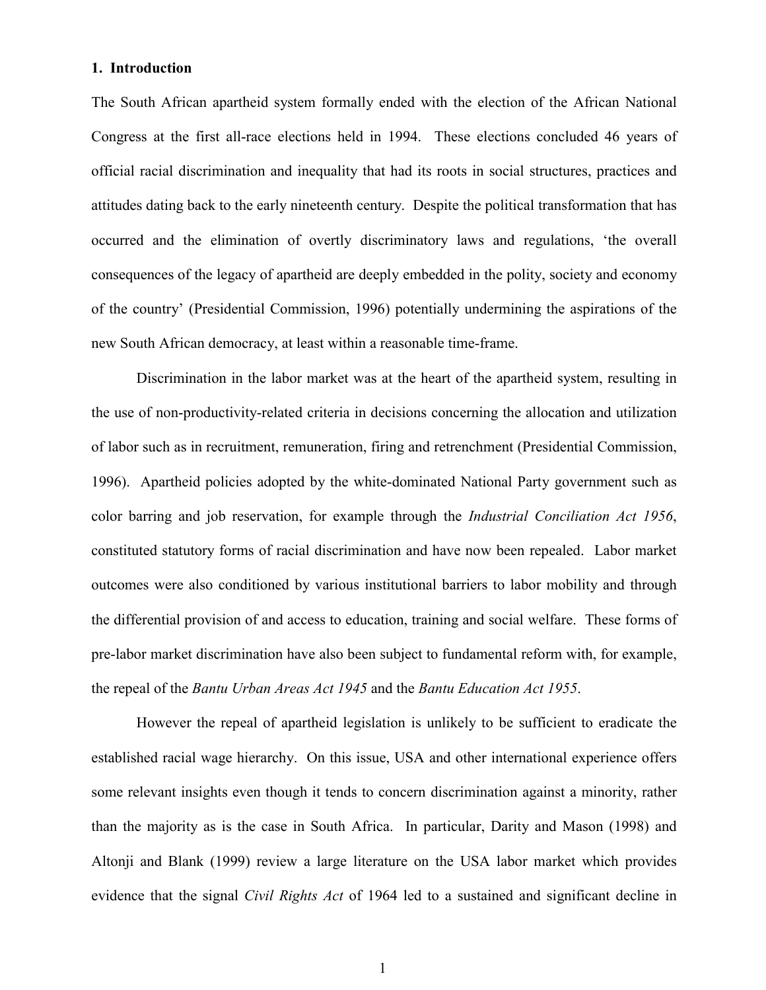#### **1. Introduction**

The South African apartheid system formally ended with the election of the African National Congress at the first all-race elections held in 1994. These elections concluded 46 years of official racial discrimination and inequality that had its roots in social structures, practices and attitudes dating back to the early nineteenth century. Despite the political transformation that has occurred and the elimination of overtly discriminatory laws and regulations, 'the overall consequences of the legacy of apartheid are deeply embedded in the polity, society and economy of the country' (Presidential Commission, 1996) potentially undermining the aspirations of the new South African democracy, at least within a reasonable time-frame.

Discrimination in the labor market was at the heart of the apartheid system, resulting in the use of non-productivity-related criteria in decisions concerning the allocation and utilization of labor such as in recruitment, remuneration, firing and retrenchment (Presidential Commission, 1996). Apartheid policies adopted by the white-dominated National Party government such as color barring and job reservation, for example through the *Industrial Conciliation Act 1956*, constituted statutory forms of racial discrimination and have now been repealed. Labor market outcomes were also conditioned by various institutional barriers to labor mobility and through the differential provision of and access to education, training and social welfare. These forms of pre-labor market discrimination have also been subject to fundamental reform with, for example, the repeal of the *Bantu Urban Areas Act 1945* and the *Bantu Education Act 1955*.

However the repeal of apartheid legislation is unlikely to be sufficient to eradicate the established racial wage hierarchy. On this issue, USA and other international experience offers some relevant insights even though it tends to concern discrimination against a minority, rather than the majority as is the case in South Africa. In particular, Darity and Mason (1998) and Altonji and Blank (1999) review a large literature on the USA labor market which provides evidence that the signal *Civil Rights Act* of 1964 led to a sustained and significant decline in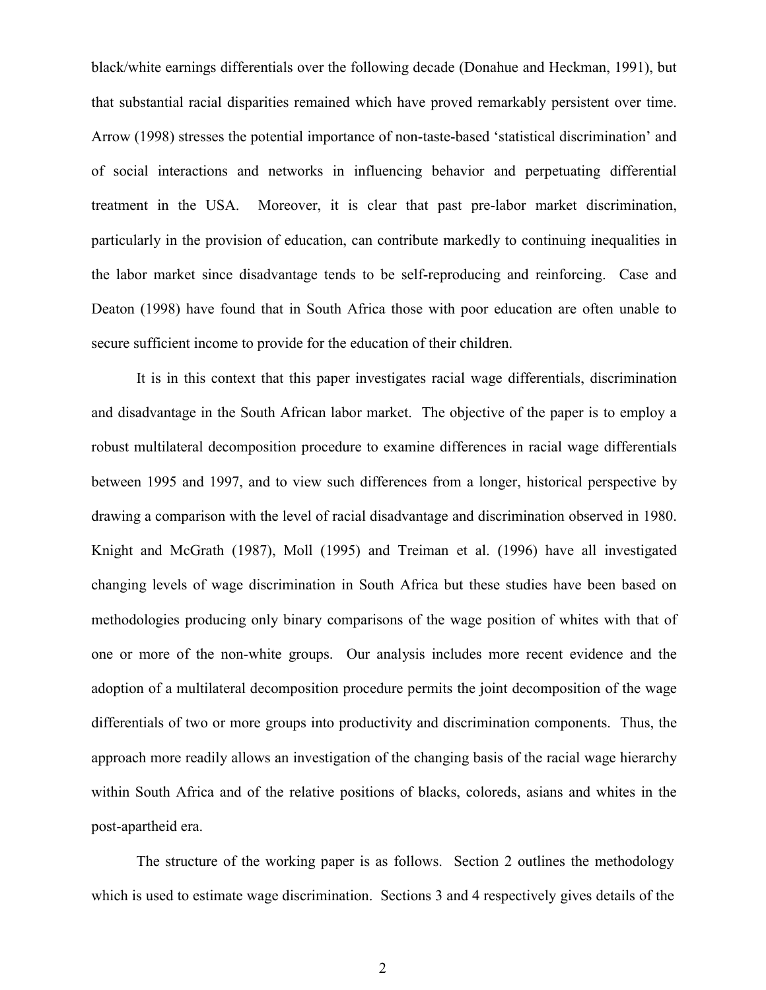black/white earnings differentials over the following decade (Donahue and Heckman, 1991), but that substantial racial disparities remained which have proved remarkably persistent over time. Arrow (1998) stresses the potential importance of non-taste-based 'statistical discrimination' and of social interactions and networks in influencing behavior and perpetuating differential treatment in the USA. Moreover, it is clear that past pre-labor market discrimination, particularly in the provision of education, can contribute markedly to continuing inequalities in the labor market since disadvantage tends to be self-reproducing and reinforcing. Case and Deaton (1998) have found that in South Africa those with poor education are often unable to secure sufficient income to provide for the education of their children.

It is in this context that this paper investigates racial wage differentials, discrimination and disadvantage in the South African labor market. The objective of the paper is to employ a robust multilateral decomposition procedure to examine differences in racial wage differentials between 1995 and 1997, and to view such differences from a longer, historical perspective by drawing a comparison with the level of racial disadvantage and discrimination observed in 1980. Knight and McGrath (1987), Moll (1995) and Treiman et al. (1996) have all investigated changing levels of wage discrimination in South Africa but these studies have been based on methodologies producing only binary comparisons of the wage position of whites with that of one or more of the non-white groups. Our analysis includes more recent evidence and the adoption of a multilateral decomposition procedure permits the joint decomposition of the wage differentials of two or more groups into productivity and discrimination components. Thus, the approach more readily allows an investigation of the changing basis of the racial wage hierarchy within South Africa and of the relative positions of blacks, coloreds, asians and whites in the post-apartheid era.

The structure of the working paper is as follows. Section 2 outlines the methodology which is used to estimate wage discrimination. Sections 3 and 4 respectively gives details of the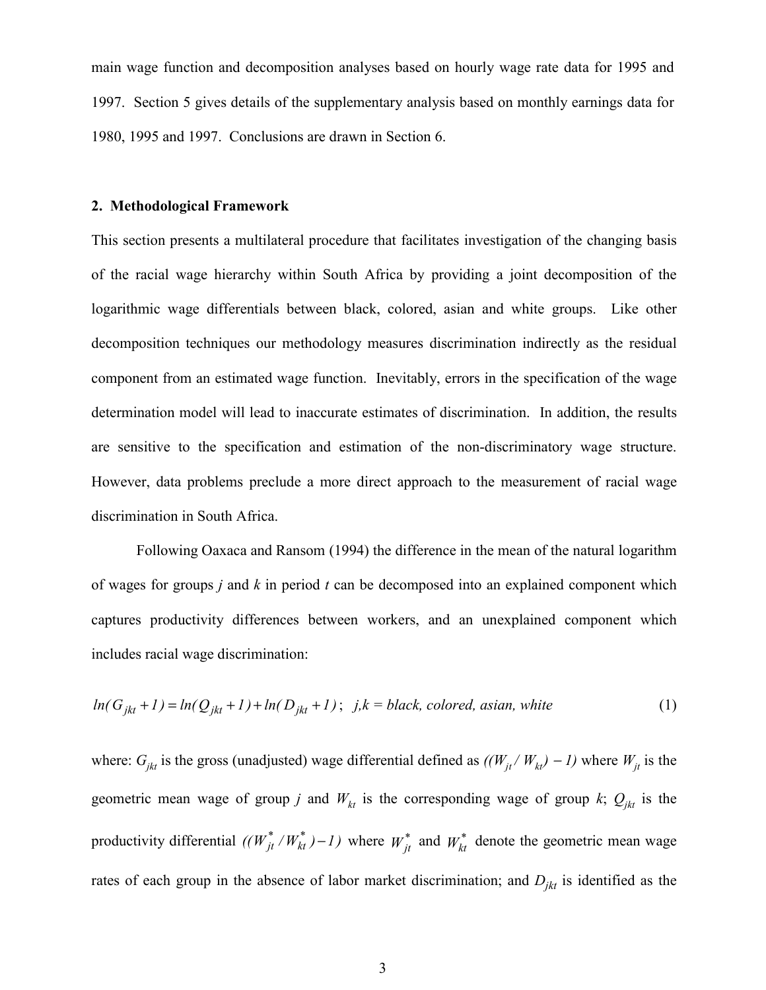main wage function and decomposition analyses based on hourly wage rate data for 1995 and 1997. Section 5 gives details of the supplementary analysis based on monthly earnings data for 1980, 1995 and 1997. Conclusions are drawn in Section 6.

#### **2. Methodological Framework**

This section presents a multilateral procedure that facilitates investigation of the changing basis of the racial wage hierarchy within South Africa by providing a joint decomposition of the logarithmic wage differentials between black, colored, asian and white groups. Like other decomposition techniques our methodology measures discrimination indirectly as the residual component from an estimated wage function. Inevitably, errors in the specification of the wage determination model will lead to inaccurate estimates of discrimination. In addition, the results are sensitive to the specification and estimation of the non-discriminatory wage structure. However, data problems preclude a more direct approach to the measurement of racial wage discrimination in South Africa.

Following Oaxaca and Ransom (1994) the difference in the mean of the natural logarithm of wages for groups *j* and *k* in period *t* can be decomposed into an explained component which captures productivity differences between workers, and an unexplained component which includes racial wage discrimination:

$$
ln(G_{jkt} + 1) = ln(Q_{jkt} + 1) + ln(D_{jkt} + 1); \quad j, k = black, colored, asian, white
$$
 (1)

where:  $G_{jkt}$  is the gross (unadjusted) wage differential defined as  $((W_{jt}/W_{kt}) - I)$  where  $W_{jt}$  is the geometric mean wage of group *j* and  $W_{kt}$  is the corresponding wage of group *k*;  $Q_{jkt}$  is the productivity differential  $((W_{jt}^*/W_{kt}^*)-1)$  where  $W_{jt}^*$  and  $W_{kt}^*$  denote the geometric mean wage rates of each group in the absence of labor market discrimination; and  $D_{ikt}$  is identified as the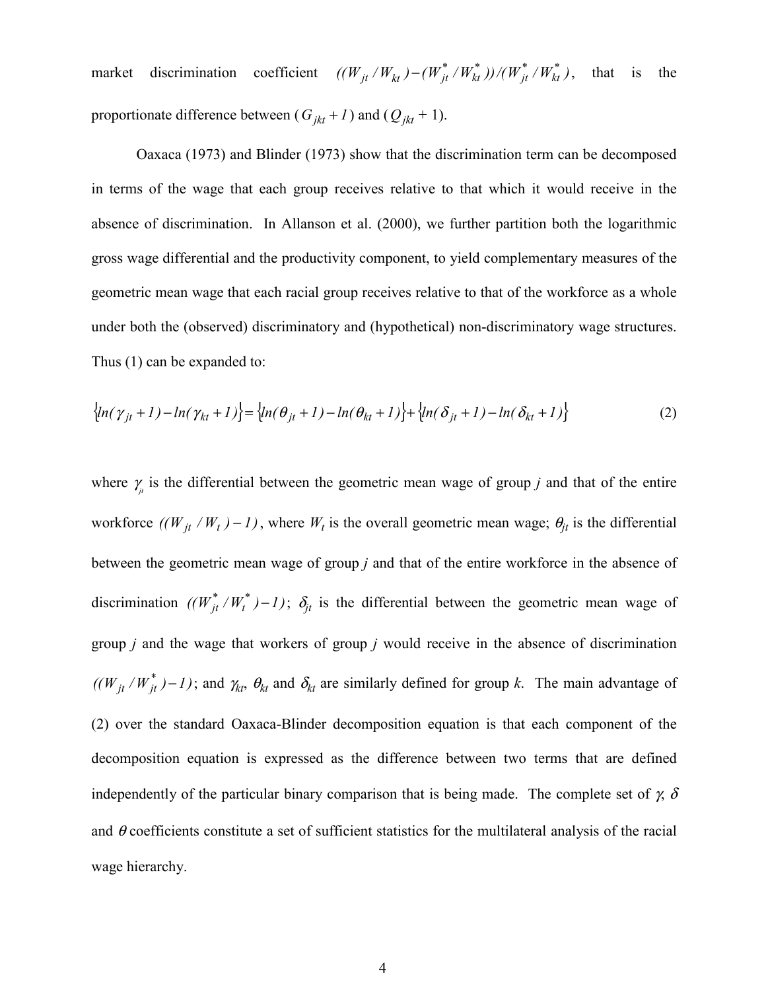market discrimination coefficient  $((W_{jt}/W_{kt})-(W_{jt}^*/W_{kt}^*))/(W_{jt}^*/W_{kt}^*)$ , that is the proportionate difference between ( $G_{jkt}$  + 1) and ( $Q_{jkt}$  + 1).

Oaxaca (1973) and Blinder (1973) show that the discrimination term can be decomposed in terms of the wage that each group receives relative to that which it would receive in the absence of discrimination. In Allanson et al. (2000), we further partition both the logarithmic gross wage differential and the productivity component, to yield complementary measures of the geometric mean wage that each racial group receives relative to that of the workforce as a whole under both the (observed) discriminatory and (hypothetical) non-discriminatory wage structures. Thus (1) can be expanded to:

$$
\left\{ln(\gamma_{jt}+1) - ln(\gamma_{kt}+1)\right\} = \left\{ln(\theta_{jt}+1) - ln(\theta_{kt}+1)\right\} + \left\{ln(\delta_{jt}+1) - ln(\delta_{kt}+1)\right\}
$$
 (2)

where  $\gamma$ <sub>*ji*</sub> is the differential between the geometric mean wage of group *j* and that of the entire workforce  $((W_{jt}/W_t) - I)$ , where  $W_t$  is the overall geometric mean wage;  $\theta_{jt}$  is the differential between the geometric mean wage of group *j* and that of the entire workforce in the absence of discrimination  $((W_{jt}^*/W_t^*)-1)$ ;  $\delta_{jt}$  is the differential between the geometric mean wage of group *j* and the wage that workers of group *j* would receive in the absence of discrimination  $((W_{it}/W_{it}^*)-1)$ ; and  $\gamma_{kt}$ ,  $\theta_{kt}$  and  $\delta_{kt}$  are similarly defined for group *k*. The main advantage of (2) over the standard Oaxaca-Blinder decomposition equation is that each component of the decomposition equation is expressed as the difference between two terms that are defined independently of the particular binary comparison that is being made. The complete set of  $\chi$ ,  $\delta$ and  $\theta$  coefficients constitute a set of sufficient statistics for the multilateral analysis of the racial wage hierarchy.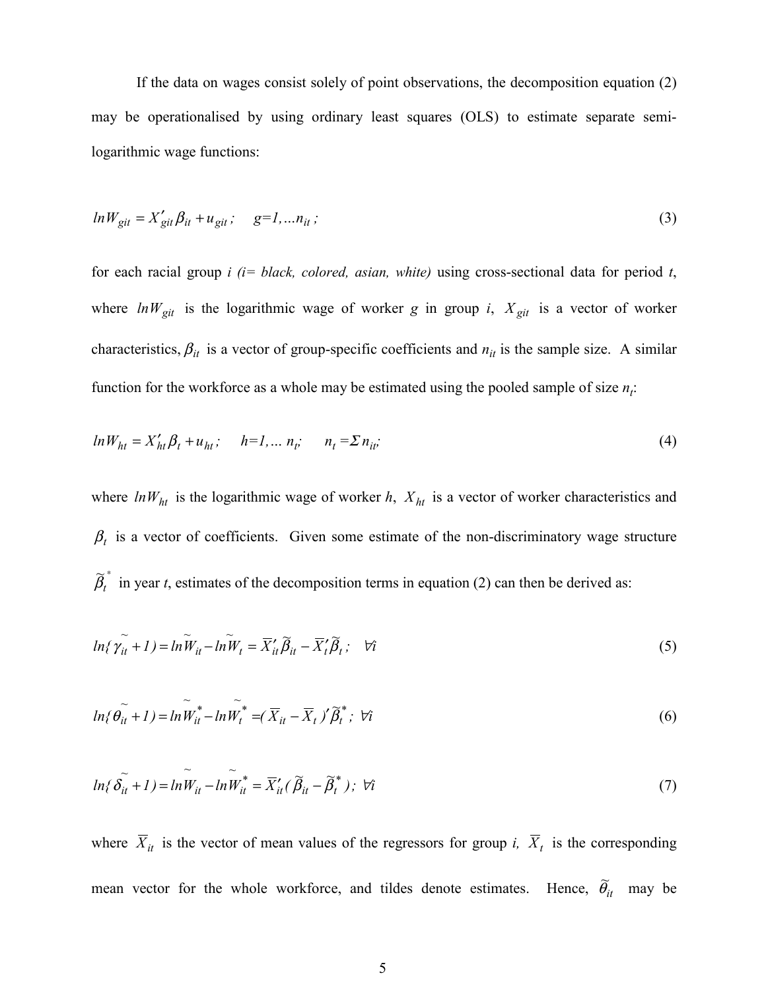If the data on wages consist solely of point observations, the decomposition equation (2) may be operationalised by using ordinary least squares (OLS) to estimate separate semilogarithmic wage functions:

$$
ln W_{git} = X'_{git} \beta_{it} + u_{git}; \quad g=1,...n_{it};
$$
\n(3)

for each racial group *i (i= black, colored, asian, white)* using cross-sectional data for period *t*, where  $ln W_{git}$  is the logarithmic wage of worker *g* in group *i*,  $X_{git}$  is a vector of worker characteristics,  $\beta_{it}$  is a vector of group-specific coefficients and  $n_{it}$  is the sample size. A similar function for the workforce as a whole may be estimated using the pooled sample of size  $n_i$ .

$$
ln W_{ht} = X_{ht}' \beta_t + u_{ht}; \qquad h=1,... \; n_t; \qquad n_t = \sum n_{it}; \tag{4}
$$

where  $ln W_{ht}$  is the logarithmic wage of worker  $h$ ,  $X_{ht}$  is a vector of worker characteristics and  $\beta_t$  is a vector of coefficients. Given some estimate of the non-discriminatory wage structure ∗ *t*  $\tilde{\beta}_t^*$  in year *t*, estimates of the decomposition terms in equation (2) can then be derived as:

$$
ln\{\tilde{\gamma_{it}} + 1\} = ln\tilde{W}_{it} - ln\tilde{W}_{t} = \overline{X}_{it}'\tilde{\beta}_{it} - \overline{X}_{t}'\tilde{\beta}_{t}; \quad \forall i
$$
\n
$$
\tag{5}
$$

$$
ln{\{\tilde{\theta}_{it} + 1\}} = ln{\tilde{W}_{it}^*} - ln{\tilde{W}_t^*} = (\overline{X}_{it} - \overline{X}_t)'\tilde{\beta}_t^* ; \forall i
$$
\n(6)

$$
ln\{\tilde{\delta_{it}} + 1\} = ln\tilde{W}_{it} - ln\tilde{W}_{it}^* = \overline{X}_{it}'(\tilde{\beta}_{it} - \tilde{\beta}_{t}^*)\,;\ \forall i
$$
\n(7)

where  $\overline{X}_{it}$  is the vector of mean values of the regressors for group *i*,  $\overline{X}_{t}$  is the corresponding mean vector for the whole workforce, and tildes denote estimates. Hence,  $\tilde{\theta}_{it}$  may be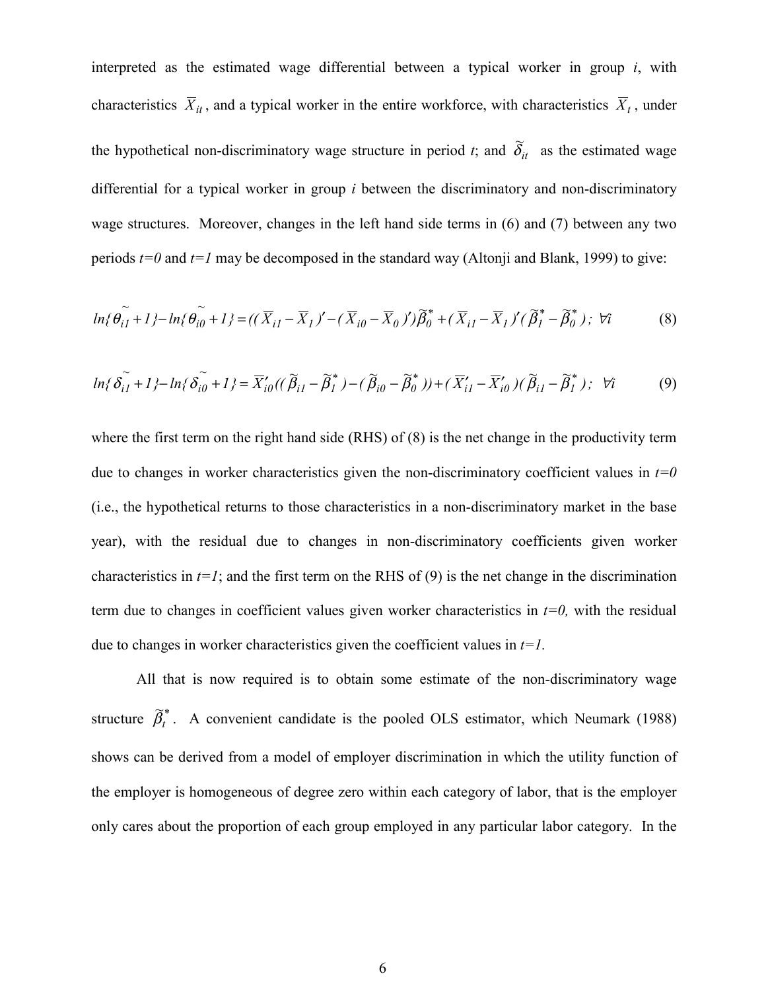interpreted as the estimated wage differential between a typical worker in group *i*, with characteristics  $\overline{X}_{it}$ , and a typical worker in the entire workforce, with characteristics  $\overline{X}_{t}$ , under the hypothetical non-discriminatory wage structure in period *t*; and  $\tilde{\delta}_{it}$  as the estimated wage differential for a typical worker in group *i* between the discriminatory and non-discriminatory wage structures. Moreover, changes in the left hand side terms in (6) and (7) between any two periods  $t=0$  and  $t=1$  may be decomposed in the standard way (Altonji and Blank, 1999) to give:

$$
ln\{\tilde{\theta_{i1}} + 1\} - ln\{\tilde{\theta_{i0}} + 1\} = ((\overline{X}_{i1} - \overline{X}_{1})' - (\overline{X}_{i0} - \overline{X}_{0})')\tilde{\beta}_{0}^{*} + (\overline{X}_{i1} - \overline{X}_{1})'(\tilde{\beta}_{1}^{*} - \tilde{\beta}_{0}^{*}); \forall i
$$
(8)

$$
\ln\{\tilde{\delta_{i1}} + 1\} - \ln\{\tilde{\delta_{i0}} + 1\} = \overline{X}_{i0}'((\widetilde{\beta}_{i1} - \widetilde{\beta}_{1}^{*}) - (\widetilde{\beta}_{i0} - \widetilde{\beta}_{0}^{*})) + (\overline{X}_{i1}' - \overline{X}_{i0}')(\widetilde{\beta}_{i1} - \widetilde{\beta}_{1}^{*})\}; \quad \forall i \tag{9}
$$

where the first term on the right hand side (RHS) of (8) is the net change in the productivity term due to changes in worker characteristics given the non-discriminatory coefficient values in  $t=0$ (i.e., the hypothetical returns to those characteristics in a non-discriminatory market in the base year), with the residual due to changes in non-discriminatory coefficients given worker characteristics in  $t=1$ ; and the first term on the RHS of (9) is the net change in the discrimination term due to changes in coefficient values given worker characteristics in *t=0,* with the residual due to changes in worker characteristics given the coefficient values in *t=1.*

 All that is now required is to obtain some estimate of the non-discriminatory wage structure  $\widetilde{\beta}_t^*$  $\widetilde{\beta}_t^*$ . A convenient candidate is the pooled OLS estimator, which Neumark (1988) shows can be derived from a model of employer discrimination in which the utility function of the employer is homogeneous of degree zero within each category of labor, that is the employer only cares about the proportion of each group employed in any particular labor category. In the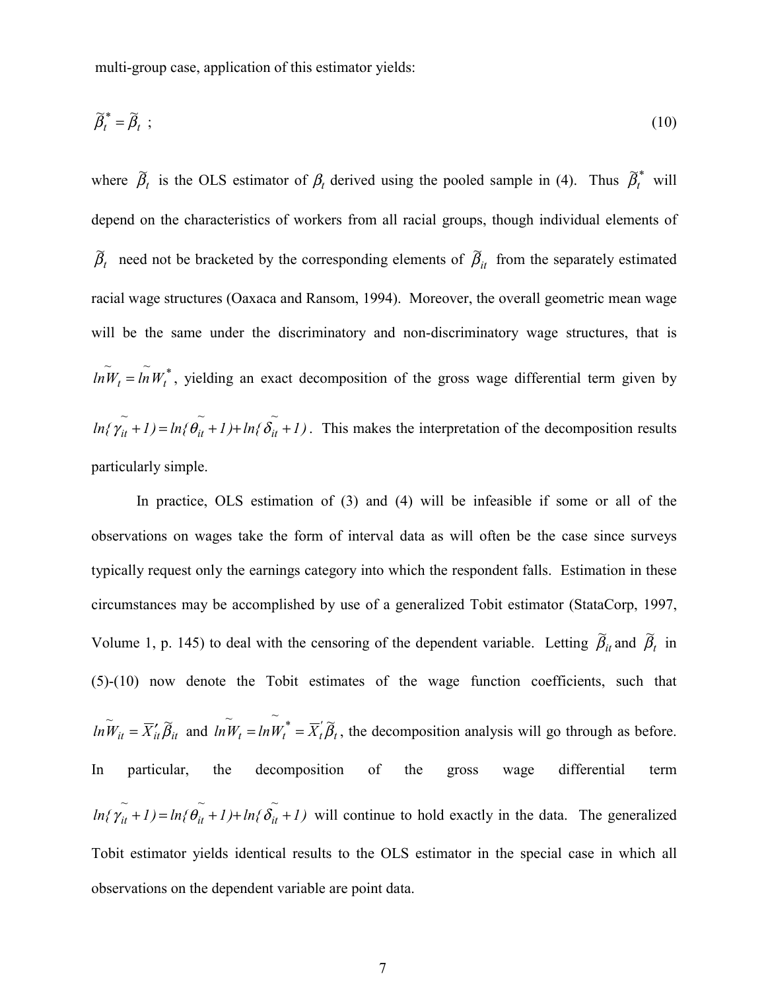multi-group case, application of this estimator yields:

$$
\widetilde{\beta}_t^* = \widetilde{\beta}_t \tag{10}
$$

where  $\tilde{\beta}_t$  is the OLS estimator of  $\beta_t$  derived using the pooled sample in (4). Thus  $\tilde{\beta}_t^*$  $\widetilde{\beta}_t^*$  will depend on the characteristics of workers from all racial groups, though individual elements of *t*  $\widetilde{\beta}_t$  need not be bracketed by the corresponding elements of  $\widetilde{\beta}_{it}$  from the separately estimated racial wage structures (Oaxaca and Ransom, 1994). Moreover, the overall geometric mean wage will be the same under the discriminatory and non-discriminatory wage structures, that is *\* t*  $ln\widetilde{W}_t = ln\widetilde{W}_t^*$ , yielding an exact decomposition of the gross wage differential term given by *~ ~ ~*  $ln\{\gamma_{it}+1\} = ln\{\theta_{it}+1\} + ln\{\delta_{it}+1\}$ . This makes the interpretation of the decomposition results particularly simple.

In practice, OLS estimation of (3) and (4) will be infeasible if some or all of the observations on wages take the form of interval data as will often be the case since surveys typically request only the earnings category into which the respondent falls. Estimation in these circumstances may be accomplished by use of a generalized Tobit estimator (StataCorp, 1997, Volume 1, p. 145) to deal with the censoring of the dependent variable. Letting  $\tilde{\beta}_{it}$  and  $\tilde{\beta}_t$  in (5)-(10) now denote the Tobit estimates of the wage function coefficients, such that  $\overline{W}_{it} = \overline{X}_{it}^{\prime} \widetilde{B}_{it}$  and  $\overline{h} \widetilde{W}_{t} = \overline{h} \widetilde{W}_{t}^{*} = \overline{X}_{t}^{\prime} \widetilde{B}_{t}$  $= ln W_t^* = \overline{X}_t \overline{\beta}_t$ , the decomposition analysis will go through as before. In particular, the decomposition of the gross wage differential term *~ ~ ~*  $ln\{\gamma_{it} + 1\} = ln\{\theta_{it} + 1\} + ln\{\delta_{it} + 1\}$  will continue to hold exactly in the data. The generalized Tobit estimator yields identical results to the OLS estimator in the special case in which all observations on the dependent variable are point data.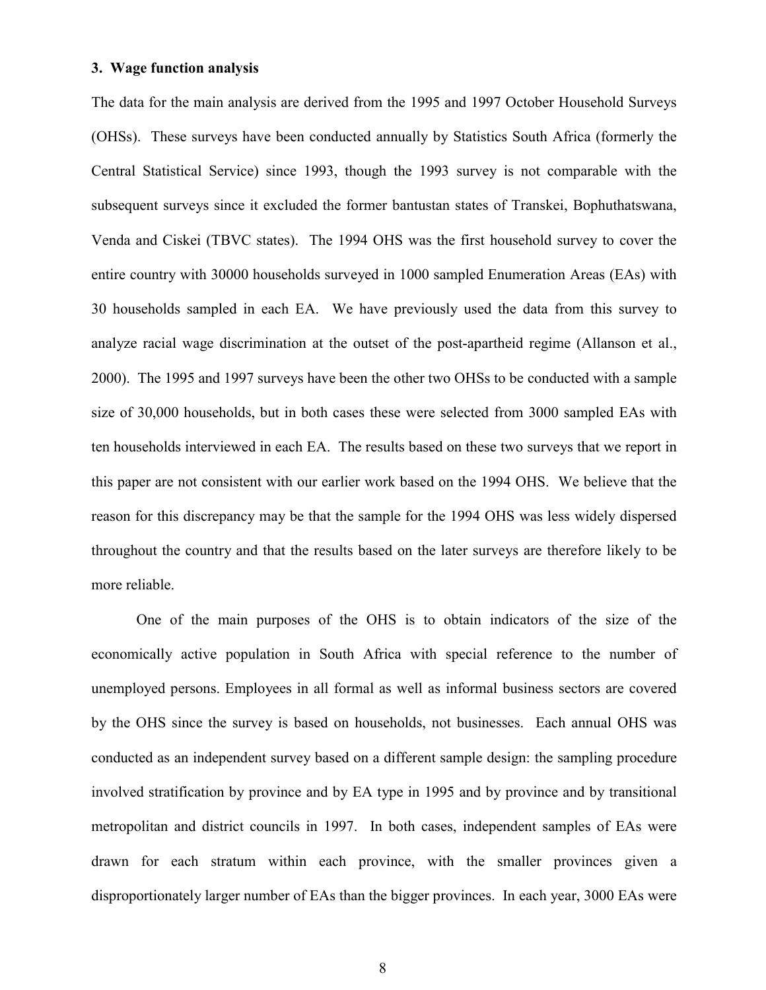#### **3. Wage function analysis**

The data for the main analysis are derived from the 1995 and 1997 October Household Surveys (OHSs). These surveys have been conducted annually by Statistics South Africa (formerly the Central Statistical Service) since 1993, though the 1993 survey is not comparable with the subsequent surveys since it excluded the former bantustan states of Transkei, Bophuthatswana, Venda and Ciskei (TBVC states). The 1994 OHS was the first household survey to cover the entire country with 30000 households surveyed in 1000 sampled Enumeration Areas (EAs) with 30 households sampled in each EA. We have previously used the data from this survey to analyze racial wage discrimination at the outset of the post-apartheid regime (Allanson et al., 2000). The 1995 and 1997 surveys have been the other two OHSs to be conducted with a sample size of 30,000 households, but in both cases these were selected from 3000 sampled EAs with ten households interviewed in each EA. The results based on these two surveys that we report in this paper are not consistent with our earlier work based on the 1994 OHS. We believe that the reason for this discrepancy may be that the sample for the 1994 OHS was less widely dispersed throughout the country and that the results based on the later surveys are therefore likely to be more reliable.

One of the main purposes of the OHS is to obtain indicators of the size of the economically active population in South Africa with special reference to the number of unemployed persons. Employees in all formal as well as informal business sectors are covered by the OHS since the survey is based on households, not businesses. Each annual OHS was conducted as an independent survey based on a different sample design: the sampling procedure involved stratification by province and by EA type in 1995 and by province and by transitional metropolitan and district councils in 1997. In both cases, independent samples of EAs were drawn for each stratum within each province, with the smaller provinces given a disproportionately larger number of EAs than the bigger provinces. In each year, 3000 EAs were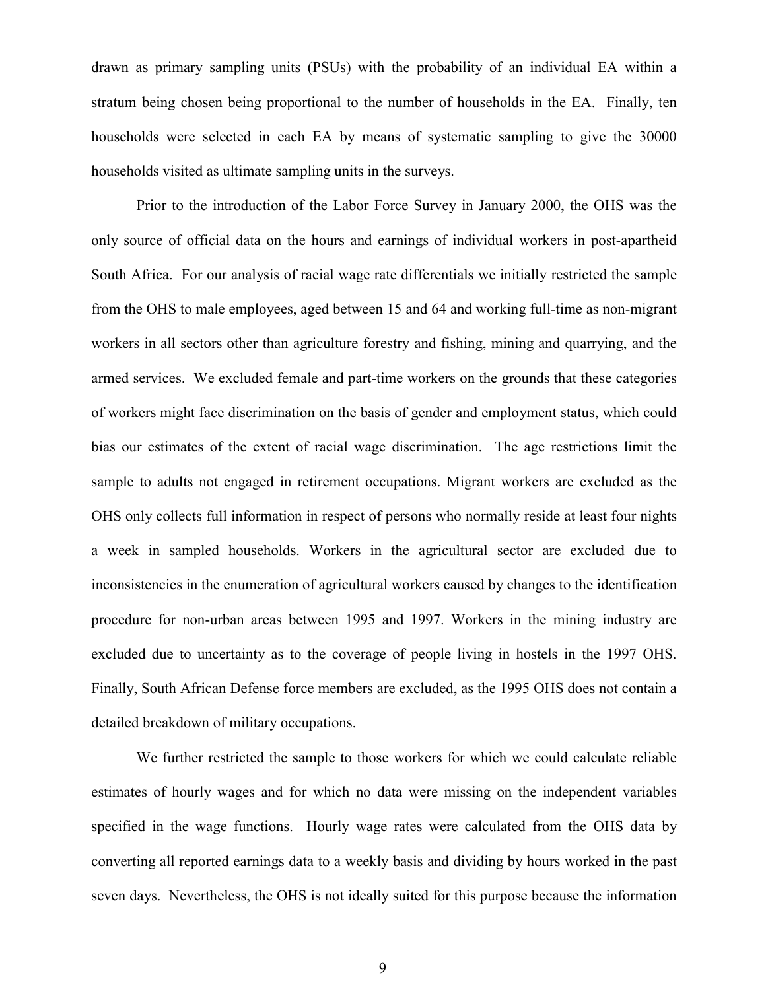drawn as primary sampling units (PSUs) with the probability of an individual EA within a stratum being chosen being proportional to the number of households in the EA. Finally, ten households were selected in each EA by means of systematic sampling to give the 30000 households visited as ultimate sampling units in the surveys.

Prior to the introduction of the Labor Force Survey in January 2000, the OHS was the only source of official data on the hours and earnings of individual workers in post-apartheid South Africa. For our analysis of racial wage rate differentials we initially restricted the sample from the OHS to male employees, aged between 15 and 64 and working full-time as non-migrant workers in all sectors other than agriculture forestry and fishing, mining and quarrying, and the armed services. We excluded female and part-time workers on the grounds that these categories of workers might face discrimination on the basis of gender and employment status, which could bias our estimates of the extent of racial wage discrimination. The age restrictions limit the sample to adults not engaged in retirement occupations. Migrant workers are excluded as the OHS only collects full information in respect of persons who normally reside at least four nights a week in sampled households. Workers in the agricultural sector are excluded due to inconsistencies in the enumeration of agricultural workers caused by changes to the identification procedure for non-urban areas between 1995 and 1997. Workers in the mining industry are excluded due to uncertainty as to the coverage of people living in hostels in the 1997 OHS. Finally, South African Defense force members are excluded, as the 1995 OHS does not contain a detailed breakdown of military occupations.

We further restricted the sample to those workers for which we could calculate reliable estimates of hourly wages and for which no data were missing on the independent variables specified in the wage functions. Hourly wage rates were calculated from the OHS data by converting all reported earnings data to a weekly basis and dividing by hours worked in the past seven days. Nevertheless, the OHS is not ideally suited for this purpose because the information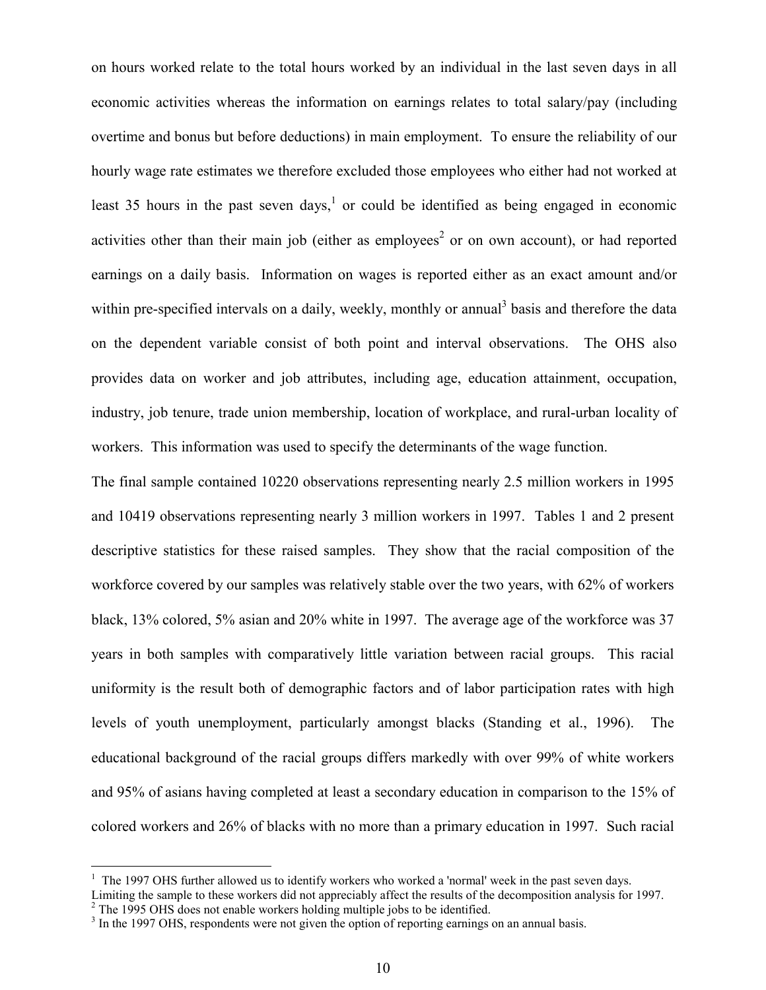on hours worked relate to the total hours worked by an individual in the last seven days in all economic activities whereas the information on earnings relates to total salary/pay (including overtime and bonus but before deductions) in main employment. To ensure the reliability of our hourly wage rate estimates we therefore excluded those employees who either had not worked at least 35 hours in the past seven days,<sup>1</sup> or could be identified as being engaged in economic activities other than their main job (either as employees<sup>2</sup> or on own account), or had reported earnings on a daily basis. Information on wages is reported either as an exact amount and/or within pre-specified intervals on a daily, weekly, monthly or annual<sup>3</sup> basis and therefore the data on the dependent variable consist of both point and interval observations. The OHS also provides data on worker and job attributes, including age, education attainment, occupation, industry, job tenure, trade union membership, location of workplace, and rural-urban locality of workers. This information was used to specify the determinants of the wage function.

The final sample contained 10220 observations representing nearly 2.5 million workers in 1995 and 10419 observations representing nearly 3 million workers in 1997. Tables 1 and 2 present descriptive statistics for these raised samples. They show that the racial composition of the workforce covered by our samples was relatively stable over the two years, with 62% of workers black, 13% colored, 5% asian and 20% white in 1997. The average age of the workforce was 37 years in both samples with comparatively little variation between racial groups. This racial uniformity is the result both of demographic factors and of labor participation rates with high levels of youth unemployment, particularly amongst blacks (Standing et al., 1996). The educational background of the racial groups differs markedly with over 99% of white workers and 95% of asians having completed at least a secondary education in comparison to the 15% of colored workers and 26% of blacks with no more than a primary education in 1997. Such racial

 $\overline{a}$ 

 $1$  The 1997 OHS further allowed us to identify workers who worked a 'normal' week in the past seven days.

Limiting the sample to these workers did not appreciably affect the results of the decomposition analysis for 1997.  $2^2$  The 1995 OHS does not enable workers holding multiple jobs to be identified.

<sup>&</sup>lt;sup>3</sup> In the 1997 OHS, respondents were not given the option of reporting earnings on an annual basis.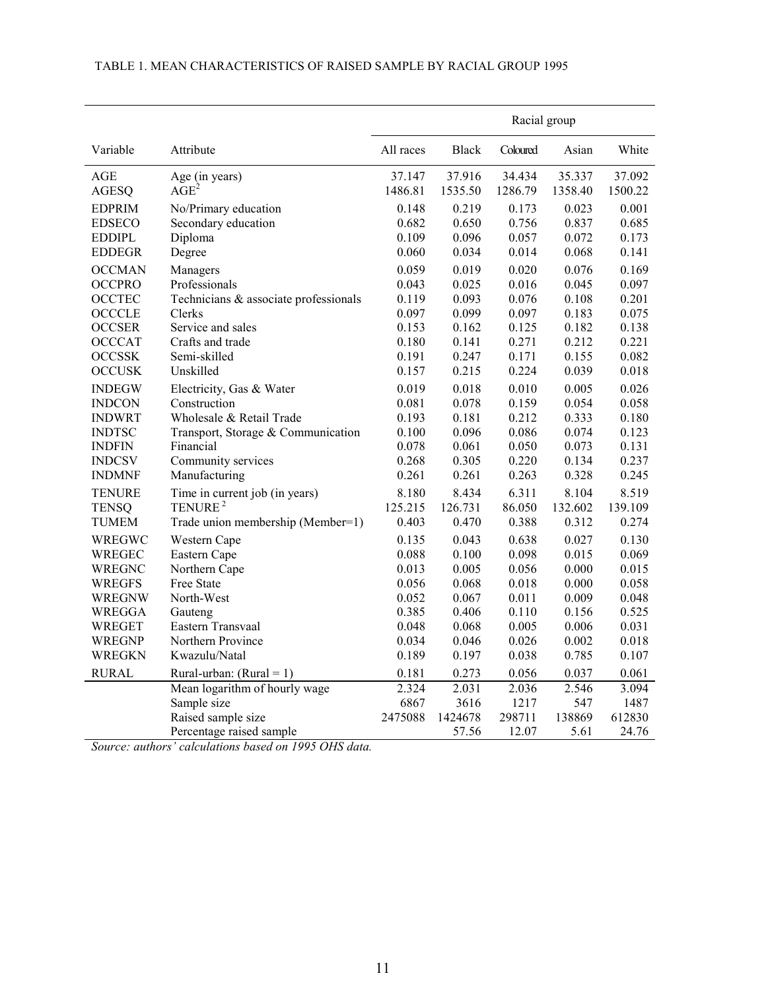|               |                                       | Racial group |              |          |         |         |  |  |
|---------------|---------------------------------------|--------------|--------------|----------|---------|---------|--|--|
| Variable      | Attribute                             | All races    | <b>Black</b> | Coloured | Asian   | White   |  |  |
| <b>AGE</b>    | Age (in years)                        | 37.147       | 37.916       | 34.434   | 35.337  | 37.092  |  |  |
| <b>AGESQ</b>  | $\overline{AGE}^2$                    | 1486.81      | 1535.50      | 1286.79  | 1358.40 | 1500.22 |  |  |
| <b>EDPRIM</b> | No/Primary education                  | 0.148        | 0.219        | 0.173    | 0.023   | 0.001   |  |  |
| <b>EDSECO</b> | Secondary education                   | 0.682        | 0.650        | 0.756    | 0.837   | 0.685   |  |  |
| <b>EDDIPL</b> | Diploma                               | 0.109        | 0.096        | 0.057    | 0.072   | 0.173   |  |  |
| <b>EDDEGR</b> | Degree                                | 0.060        | 0.034        | 0.014    | 0.068   | 0.141   |  |  |
| <b>OCCMAN</b> | Managers                              | 0.059        | 0.019        | 0.020    | 0.076   | 0.169   |  |  |
| <b>OCCPRO</b> | Professionals                         | 0.043        | 0.025        | 0.016    | 0.045   | 0.097   |  |  |
| <b>OCCTEC</b> | Technicians & associate professionals | 0.119        | 0.093        | 0.076    | 0.108   | 0.201   |  |  |
| <b>OCCCLE</b> | Clerks                                | 0.097        | 0.099        | 0.097    | 0.183   | 0.075   |  |  |
| <b>OCCSER</b> | Service and sales                     | 0.153        | 0.162        | 0.125    | 0.182   | 0.138   |  |  |
| <b>OCCCAT</b> | Crafts and trade                      | 0.180        | 0.141        | 0.271    | 0.212   | 0.221   |  |  |
| <b>OCCSSK</b> | Semi-skilled                          | 0.191        | 0.247        | 0.171    | 0.155   | 0.082   |  |  |
| <b>OCCUSK</b> | Unskilled                             | 0.157        | 0.215        | 0.224    | 0.039   | 0.018   |  |  |
| <b>INDEGW</b> | Electricity, Gas & Water              | 0.019        | 0.018        | 0.010    | 0.005   | 0.026   |  |  |
| <b>INDCON</b> | Construction                          | 0.081        | 0.078        | 0.159    | 0.054   | 0.058   |  |  |
| <b>INDWRT</b> | Wholesale & Retail Trade              | 0.193        | 0.181        | 0.212    | 0.333   | 0.180   |  |  |
| <b>INDTSC</b> | Transport, Storage & Communication    | 0.100        | 0.096        | 0.086    | 0.074   | 0.123   |  |  |
| <b>INDFIN</b> | Financial                             | 0.078        | 0.061        | 0.050    | 0.073   | 0.131   |  |  |
| <b>INDCSV</b> | Community services                    | 0.268        | 0.305        | 0.220    | 0.134   | 0.237   |  |  |
| <b>INDMNF</b> | Manufacturing                         | 0.261        | 0.261        | 0.263    | 0.328   | 0.245   |  |  |
| <b>TENURE</b> | Time in current job (in years)        | 8.180        | 8.434        | 6.311    | 8.104   | 8.519   |  |  |
| <b>TENSQ</b>  | TENURE <sup>2</sup>                   | 125.215      | 126.731      | 86.050   | 132.602 | 139.109 |  |  |
| <b>TUMEM</b>  | Trade union membership (Member=1)     | 0.403        | 0.470        | 0.388    | 0.312   | 0.274   |  |  |
| WREGWC        | Western Cape                          | 0.135        | 0.043        | 0.638    | 0.027   | 0.130   |  |  |
| WREGEC        | Eastern Cape                          | 0.088        | 0.100        | 0.098    | 0.015   | 0.069   |  |  |
| WREGNC        | Northern Cape                         | 0.013        | 0.005        | 0.056    | 0.000   | 0.015   |  |  |
| <b>WREGFS</b> | Free State                            | 0.056        | 0.068        | 0.018    | 0.000   | 0.058   |  |  |
| WREGNW        | North-West                            | 0.052        | 0.067        | 0.011    | 0.009   | 0.048   |  |  |
| <b>WREGGA</b> | Gauteng                               | 0.385        | 0.406        | 0.110    | 0.156   | 0.525   |  |  |
| WREGET        | Eastern Transvaal                     | 0.048        | 0.068        | 0.005    | 0.006   | 0.031   |  |  |
| <b>WREGNP</b> | Northern Province                     | 0.034        | 0.046        | 0.026    | 0.002   | 0.018   |  |  |
| <b>WREGKN</b> | Kwazulu/Natal                         | 0.189        | 0.197        | 0.038    | 0.785   | 0.107   |  |  |
| <b>RURAL</b>  | Rural-urban: $(Rural = 1)$            | 0.181        | 0.273        | 0.056    | 0.037   | 0.061   |  |  |
|               | Mean logarithm of hourly wage         | 2.324        | 2.031        | 2.036    | 2.546   | 3.094   |  |  |
|               | Sample size                           | 6867         | 3616         | 1217     | 547     | 1487    |  |  |
|               | Raised sample size                    | 2475088      | 1424678      | 298711   | 138869  | 612830  |  |  |

#### TABLE 1. MEAN CHARACTERISTICS OF RAISED SAMPLE BY RACIAL GROUP 1995

*Source: authors' calculations based on 1995 OHS data.*

Percentage raised sample 57.56 12.07 5.61 24.76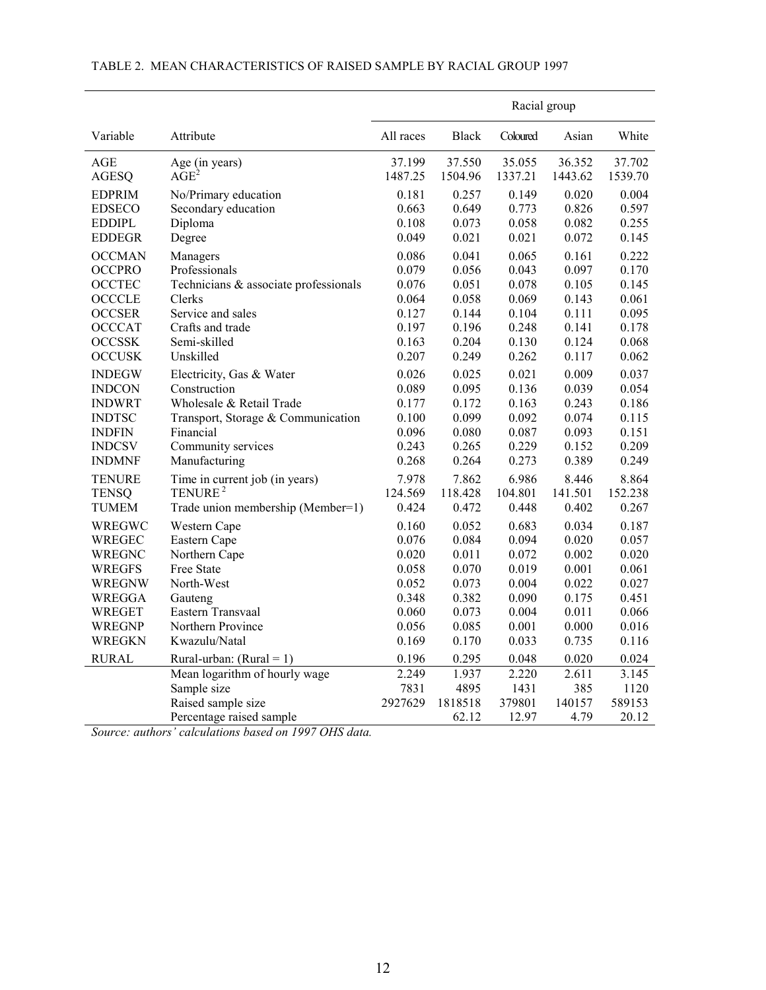|               |                                       | Racial group |              |          |         |         |  |  |  |
|---------------|---------------------------------------|--------------|--------------|----------|---------|---------|--|--|--|
| Variable      | Attribute                             | All races    | <b>Black</b> | Coloured | Asian   | White   |  |  |  |
| AGE           | Age (in years)                        | 37.199       | 37.550       | 35.055   | 36.352  | 37.702  |  |  |  |
| AGESQ         | AGE <sup>2</sup>                      | 1487.25      | 1504.96      | 1337.21  | 1443.62 | 1539.70 |  |  |  |
| <b>EDPRIM</b> | No/Primary education                  | 0.181        | 0.257        | 0.149    | 0.020   | 0.004   |  |  |  |
| <b>EDSECO</b> | Secondary education                   | 0.663        | 0.649        | 0.773    | 0.826   | 0.597   |  |  |  |
| EDDIPL        | Diploma                               | 0.108        | 0.073        | 0.058    | 0.082   | 0.255   |  |  |  |
| <b>EDDEGR</b> | Degree                                | 0.049        | 0.021        | 0.021    | 0.072   | 0.145   |  |  |  |
| <b>OCCMAN</b> | Managers                              | 0.086        | 0.041        | 0.065    | 0.161   | 0.222   |  |  |  |
| <b>OCCPRO</b> | Professionals                         | 0.079        | 0.056        | 0.043    | 0.097   | 0.170   |  |  |  |
| <b>OCCTEC</b> | Technicians & associate professionals | 0.076        | 0.051        | 0.078    | 0.105   | 0.145   |  |  |  |
| <b>OCCCLE</b> | Clerks                                | 0.064        | 0.058        | 0.069    | 0.143   | 0.061   |  |  |  |
| <b>OCCSER</b> | Service and sales                     | 0.127        | 0.144        | 0.104    | 0.111   | 0.095   |  |  |  |
| <b>OCCCAT</b> | Crafts and trade                      | 0.197        | 0.196        | 0.248    | 0.141   | 0.178   |  |  |  |
| <b>OCCSSK</b> | Semi-skilled                          | 0.163        | 0.204        | 0.130    | 0.124   | 0.068   |  |  |  |
| <b>OCCUSK</b> | Unskilled                             | 0.207        | 0.249        | 0.262    | 0.117   | 0.062   |  |  |  |
| <b>INDEGW</b> | Electricity, Gas & Water              | 0.026        | 0.025        | 0.021    | 0.009   | 0.037   |  |  |  |
| <b>INDCON</b> | Construction                          | 0.089        | 0.095        | 0.136    | 0.039   | 0.054   |  |  |  |
| <b>INDWRT</b> | Wholesale & Retail Trade              | 0.177        | 0.172        | 0.163    | 0.243   | 0.186   |  |  |  |
| <b>INDTSC</b> | Transport, Storage & Communication    | 0.100        | 0.099        | 0.092    | 0.074   | 0.115   |  |  |  |
| <b>INDFIN</b> | Financial                             | 0.096        | 0.080        | 0.087    | 0.093   | 0.151   |  |  |  |
| <b>INDCSV</b> | Community services                    | 0.243        | 0.265        | 0.229    | 0.152   | 0.209   |  |  |  |
| <b>INDMNF</b> | Manufacturing                         | 0.268        | 0.264        | 0.273    | 0.389   | 0.249   |  |  |  |
| TENURE        | Time in current job (in years)        | 7.978        | 7.862        | 6.986    | 8.446   | 8.864   |  |  |  |
| <b>TENSQ</b>  | TENURE <sup>2</sup>                   | 124.569      | 118.428      | 104.801  | 141.501 | 152.238 |  |  |  |
| TUMEM         | Trade union membership (Member=1)     | 0.424        | 0.472        | 0.448    | 0.402   | 0.267   |  |  |  |
| WREGWC        | Western Cape                          | 0.160        | 0.052        | 0.683    | 0.034   | 0.187   |  |  |  |
| <b>WREGEC</b> | Eastern Cape                          | 0.076        | 0.084        | 0.094    | 0.020   | 0.057   |  |  |  |
| WREGNC        | Northern Cape                         | 0.020        | 0.011        | 0.072    | 0.002   | 0.020   |  |  |  |
| <b>WREGFS</b> | Free State                            | 0.058        | 0.070        | 0.019    | 0.001   | 0.061   |  |  |  |
| WREGNW        | North-West                            | 0.052        | 0.073        | 0.004    | 0.022   | 0.027   |  |  |  |
| WREGGA        | Gauteng                               | 0.348        | 0.382        | 0.090    | 0.175   | 0.451   |  |  |  |
| WREGET        | Eastern Transvaal                     | 0.060        | 0.073        | 0.004    | 0.011   | 0.066   |  |  |  |
| WREGNP        | Northern Province                     | 0.056        | 0.085        | 0.001    | 0.000   | 0.016   |  |  |  |
| <b>WREGKN</b> | Kwazulu/Natal                         | 0.169        | 0.170        | 0.033    | 0.735   | 0.116   |  |  |  |
| <b>RURAL</b>  | Rural-urban: $(Rural = 1)$            | 0.196        | 0.295        | 0.048    | 0.020   | 0.024   |  |  |  |
|               | Mean logarithm of hourly wage         | 2.249        | 1.937        | 2.220    | 2.611   | 3.145   |  |  |  |
|               | Sample size                           | 7831         | 4895         | 1431     | 385     | 1120    |  |  |  |
|               | Raised sample size                    | 2927629      | 1818518      | 379801   | 140157  | 589153  |  |  |  |
|               | Percentage raised sample              |              | 62.12        | 12.97    | 4.79    | 20.12   |  |  |  |

#### TABLE 2. MEAN CHARACTERISTICS OF RAISED SAMPLE BY RACIAL GROUP 1997

*Source: authors' calculations based on 1997 OHS data.*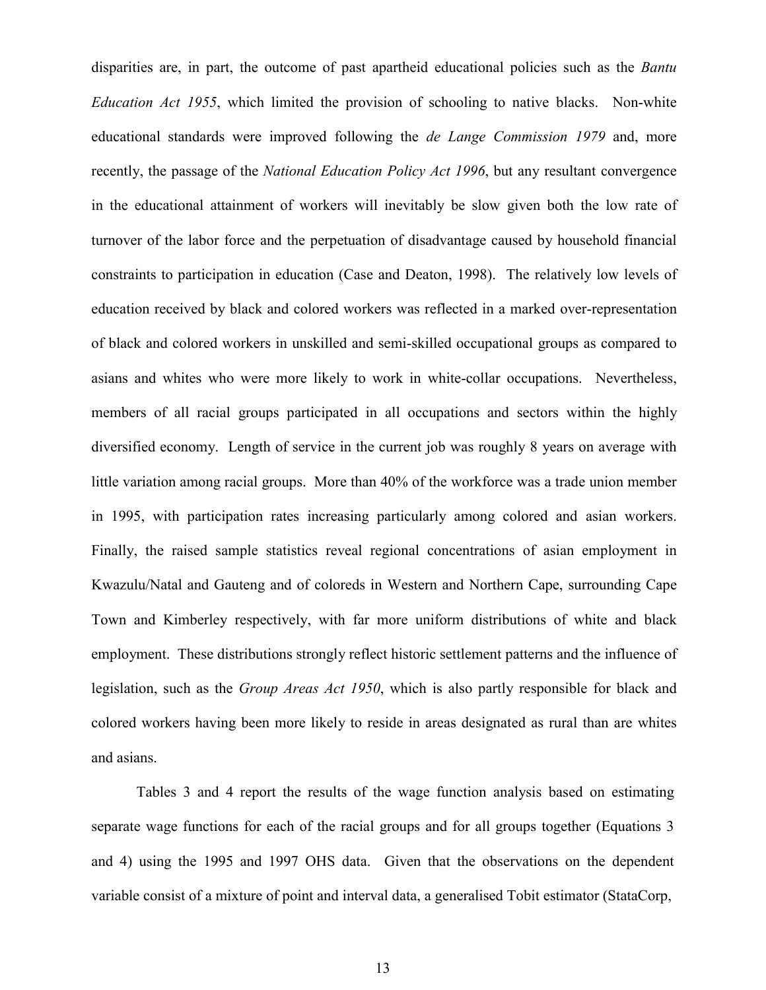disparities are, in part, the outcome of past apartheid educational policies such as the *Bantu Education Act 1955*, which limited the provision of schooling to native blacks. Non-white educational standards were improved following the *de Lange Commission 1979* and, more recently, the passage of the *National Education Policy Act 1996*, but any resultant convergence in the educational attainment of workers will inevitably be slow given both the low rate of turnover of the labor force and the perpetuation of disadvantage caused by household financial constraints to participation in education (Case and Deaton, 1998). The relatively low levels of education received by black and colored workers was reflected in a marked over-representation of black and colored workers in unskilled and semi-skilled occupational groups as compared to asians and whites who were more likely to work in white-collar occupations. Nevertheless, members of all racial groups participated in all occupations and sectors within the highly diversified economy. Length of service in the current job was roughly 8 years on average with little variation among racial groups. More than 40% of the workforce was a trade union member in 1995, with participation rates increasing particularly among colored and asian workers. Finally, the raised sample statistics reveal regional concentrations of asian employment in Kwazulu/Natal and Gauteng and of coloreds in Western and Northern Cape, surrounding Cape Town and Kimberley respectively, with far more uniform distributions of white and black employment. These distributions strongly reflect historic settlement patterns and the influence of legislation, such as the *Group Areas Act 1950*, which is also partly responsible for black and colored workers having been more likely to reside in areas designated as rural than are whites and asians.

Tables 3 and 4 report the results of the wage function analysis based on estimating separate wage functions for each of the racial groups and for all groups together (Equations 3 and 4) using the 1995 and 1997 OHS data. Given that the observations on the dependent variable consist of a mixture of point and interval data, a generalised Tobit estimator (StataCorp,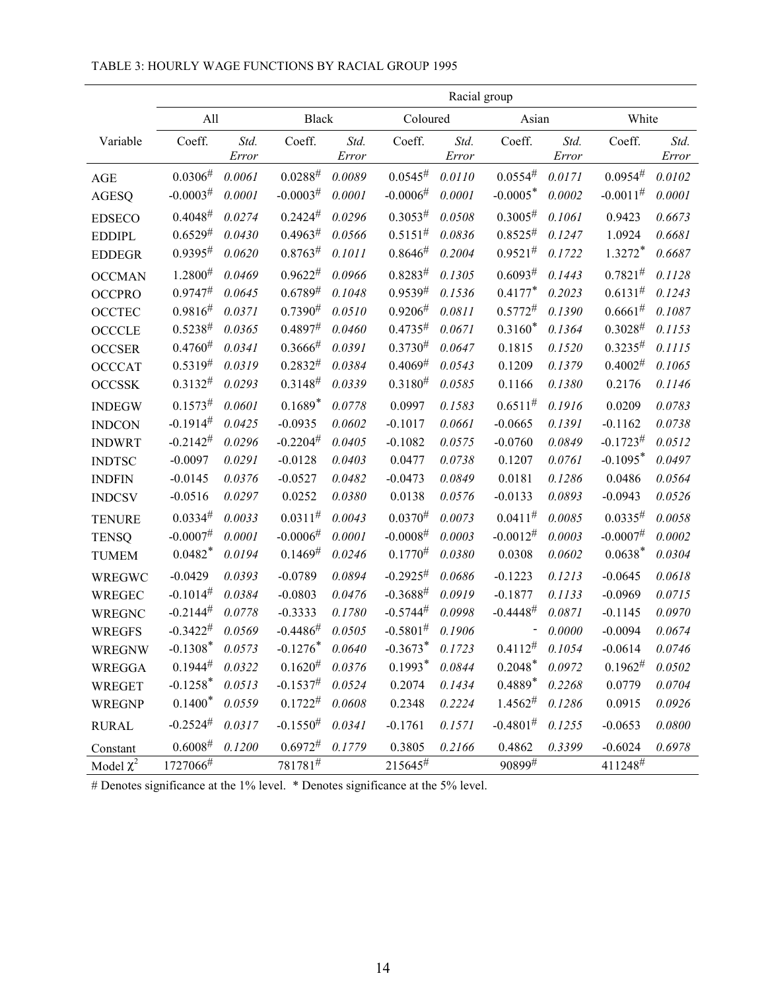|                |                        |               |                |               |                | Racial group  |                |               |                        |               |
|----------------|------------------------|---------------|----------------|---------------|----------------|---------------|----------------|---------------|------------------------|---------------|
|                | All                    |               | <b>Black</b>   |               | Coloured       |               | Asian          |               | White                  |               |
| Variable       | Coeff.                 | Std.<br>Error | Coeff.         | Std.<br>Error | Coeff.         | Std.<br>Error | Coeff.         | Std.<br>Error | Coeff.                 | Std.<br>Error |
| <b>AGE</b>     | 0.0306#                | 0.0061        | $0.0288^{\#}$  | 0.0089        | $0.0545^{\#}$  | 0.0110        | 0.0554#        | 0.0171        | 0.0954#                | 0.0102        |
| <b>AGESQ</b>   | $-0.0003#$             | 0.0001        | $-0.0003#$     | 0.0001        | $-0.0006#$     | 0.0001        | $-0.0005*$     | 0.0002        | $-0.0011^{\#}$         | 0.0001        |
| <b>EDSECO</b>  | $0.4048^{\#}$          | 0.0274        | $0.2424^{\#}$  | 0.0296        | $0.3053^{#}$   | 0.0508        | 0.3005#        | 0.1061        | 0.9423                 | 0.6673        |
| <b>EDDIPL</b>  | $0.6529^{#}$           | 0.0430        | 0.4963#        | 0.0566        | $0.5151^{\#}$  | 0.0836        | $0.8525^{\#}$  | 0.1247        | 1.0924                 | 0.6681        |
| <b>EDDEGR</b>  | 0.9395#                | 0.0620        | 0.8763#        | 0.1011        | 0.8646#        | 0.2004        | $0.9521^{#}$   | 0.1722        | $1.3272*$              | 0.6687        |
| <b>OCCMAN</b>  | $1.2800^{#}$           | 0.0469        | $0.9622^{#}$   | 0.0966        | $0.8283^{\#}$  | 0.1305        | 0.6093#        | 0.1443        | 0.7821#                | 0.1128        |
| <b>OCCPRO</b>  | 0.9747#                | 0.0645        | $0.6789^{#}$   | 0.1048        | $0.9539^{#}$   | 0.1536        | $0.4177*$      | 0.2023        | $0.6131^{\#}$          | 0.1243        |
| <b>OCCTEC</b>  | 0.9816#                | 0.0371        | $0.7390^{#}$   | 0.0510        | 0.9206#        | 0.0811        | $0.5772^{\#}$  | 0.1390        | 0.6661#                | 0.1087        |
| <b>OCCCLE</b>  | $0.5238^{\#}$          | 0.0365        | 0.4897#        | 0.0460        | $0.4735^{\#}$  | 0.0671        | $0.3160*$      | 0.1364        | $0.3028^{\#}$          | 0.1153        |
| <b>OCCSER</b>  | $0.4760^{#}$           | 0.0341        | 0.3666#        | 0.0391        | $0.3730^{#}$   | 0.0647        | 0.1815         | 0.1520        | $0.3235^{#}$           | 0.1115        |
| <b>OCCCAT</b>  | $0.5319^{#}$           | 0.0319        | $0.2832^{#}$   | 0.0384        | $0.4069^{\#}$  | 0.0543        | 0.1209         | 0.1379        | $0.4002^{\#}$          | 0.1065        |
| <b>OCCSSK</b>  | $0.3132^{#}$           | 0.0293        | $0.3148^{\#}$  | 0.0339        | $0.3180^{#}$   | 0.0585        | 0.1166         | 0.1380        | 0.2176                 | 0.1146        |
| <b>INDEGW</b>  | 0.1573#                | 0.0601        | $0.1689*$      | 0.0778        | 0.0997         | 0.1583        | $0.6511^{\#}$  | 0.1916        | 0.0209                 | 0.0783        |
| <b>INDCON</b>  | $-0.1914^{\#}$         | 0.0425        | $-0.0935$      | 0.0602        | $-0.1017$      | 0.0661        | $-0.0665$      | 0.1391        | $-0.1162$              | 0.0738        |
| <b>INDWRT</b>  | $-0.2142^{\#}$         | 0.0296        | $-0.2204#$     | 0.0405        | $-0.1082$      | 0.0575        | $-0.0760$      | 0.0849        | $-0.1723^{\#}$         | 0.0512        |
| <b>INDTSC</b>  | $-0.0097$              | 0.0291        | $-0.0128$      | 0.0403        | 0.0477         | 0.0738        | 0.1207         | 0.0761        | $-0.1095*$             | 0.0497        |
| <b>INDFIN</b>  | $-0.0145$              | 0.0376        | $-0.0527$      | 0.0482        | $-0.0473$      | 0.0849        | 0.0181         | 0.1286        | 0.0486                 | 0.0564        |
| <b>INDCSV</b>  | $-0.0516$              | 0.0297        | 0.0252         | 0.0380        | 0.0138         | 0.0576        | $-0.0133$      | 0.0893        | $-0.0943$              | 0.0526        |
| <b>TENURE</b>  | $0.0334^{#}$           | 0.0033        | $0.0311^{#}$   | 0.0043        | $0.0370^{#}$   | 0.0073        | $0.0411^{#}$   | 0.0085        | $0.0335^{#}$           | 0.0058        |
| <b>TENSQ</b>   | $-0.0007$ <sup>#</sup> | 0.0001        | $-0.0006#$     | 0.0001        | $-0.0008^{\#}$ | 0.0003        | $-0.0012^{#}$  | 0.0003        | $-0.0007$ <sup>#</sup> | 0.0002        |
| <b>TUMEM</b>   | $0.0482*$              | 0.0194        | $0.1469^{\#}$  | 0.0246        | $0.1770^{#}$   | 0.0380        | 0.0308         | 0.0602        | $0.0638*$              | 0.0304        |
| WREGWC         | $-0.0429$              | 0.0393        | $-0.0789$      | 0.0894        | $-0.2925^{\#}$ | 0.0686        | $-0.1223$      | 0.1213        | $-0.0645$              | 0.0618        |
| <b>WREGEC</b>  | $-0.1014^{\#}$         | 0.0384        | $-0.0803$      | 0.0476        | $-0.3688^{\#}$ | 0.0919        | $-0.1877$      | 0.1133        | $-0.0969$              | 0.0715        |
| <b>WREGNC</b>  | $-0.2144^{\#}$         | 0.0778        | $-0.3333$      | 0.1780        | $-0.5744#$     | 0.0998        | $-0.4448^{\#}$ | 0.0871        | $-0.1145$              | 0.0970        |
| <b>WREGFS</b>  | $-0.3422^{#}$          | 0.0569        | $-0.4486^{\#}$ | 0.0505        | $-0.5801^{#}$  | 0.1906        |                | 0.0000        | $-0.0094$              | 0.0674        |
| <b>WREGNW</b>  | $-0.1308*$             | 0.0573        | $-0.1276*$     | 0.0640        | $-0.3673*$     | 0.1723        | $0.4112^{#}$   | 0.1054        | $-0.0614$              | 0.0746        |
| <b>WREGGA</b>  | $0.1944^{\#}$          | 0.0322        | $0.1620^{#}$   | 0.0376        | $0.1993*$      | 0.0844        | $0.2048*$      | 0.0972        | $0.1962^{\#}$          | 0.0502        |
| <b>WREGET</b>  | $-0.1258*$             | 0.0513        | $-0.1537^{\#}$ | 0.0524        | 0.2074         | 0.1434        | $0.4889*$      | 0.2268        | 0.0779                 | 0.0704        |
| <b>WREGNP</b>  | $0.1400*$              | 0.0559        | $0.1722^{#}$   | 0.0608        | 0.2348         | 0.2224        | $1.4562^{\#}$  | 0.1286        | 0.0915                 | 0.0926        |
| <b>RURAL</b>   | $-0.2524#$             | 0.0317        | $-0.1550^{#}$  | 0.0341        | $-0.1761$      | 0.1571        | $-0.4801^{#}$  | 0.1255        | $-0.0653$              | 0.0800        |
| Constant       | 0.6008#                | 0.1200        | $0.6972^{\#}$  | 0.1779        | 0.3805         | 0.2166        | 0.4862         | 0.3399        | $-0.6024$              | 0.6978        |
| Model $\chi^2$ | 1727066#               |               | $781781^{\#}$  |               | 215645#        |               | 90899#         |               | 411248#                |               |

## TABLE 3: HOURLY WAGE FUNCTIONS BY RACIAL GROUP 1995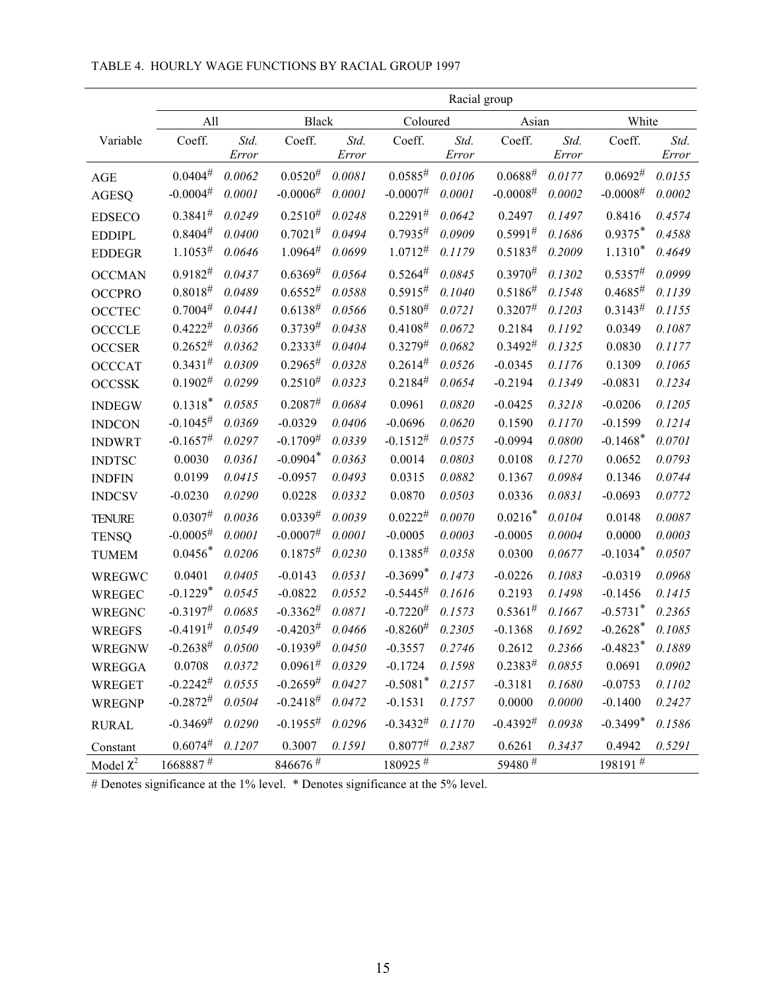|                |                        | Racial group |                        |        |                        |        |                      |        |                        |        |
|----------------|------------------------|--------------|------------------------|--------|------------------------|--------|----------------------|--------|------------------------|--------|
|                | All                    |              | <b>Black</b>           |        | Coloured               |        | Asian                |        | White                  |        |
| Variable       | Coeff.                 | Std.         | Coeff.                 | Std.   | Coeff.                 | Std.   | Coeff.               | Std.   | Coeff.                 | Std.   |
|                |                        | Error        |                        | Error  |                        | Error  |                      | Error  |                        | Error  |
| $\mathbf{AGE}$ | $0.0404^{\#}$          | 0.0062       | $0.0520^{#}$           | 0.0081 | $0.0585^{\#}$          | 0.0106 | $0.0688^{\#}$        | 0.0177 | $0.0692^{\#}$          | 0.0155 |
| <b>AGESQ</b>   | $-0.0004$ <sup>#</sup> | 0.0001       | $-0.0006#$             | 0.0001 | $-0.0007$ <sup>#</sup> | 0.0001 | $-0.0008^{\#}$       | 0.0002 | $-0.0008^{\#}$         | 0.0002 |
| <b>EDSECO</b>  | $0.3841^{\#}$          | 0.0249       | $0.2510^{#}$           | 0.0248 | $0.2291^{#}$           | 0.0642 | 0.2497               | 0.1497 | 0.8416                 | 0.4574 |
| <b>EDDIPL</b>  | 0.8404#                | 0.0400       | $0.7021^{#}$           | 0.0494 | 0.7935#                | 0.0909 | $0.5991^{#}$         | 0.1686 | $0.9375*$              | 0.4588 |
| <b>EDDEGR</b>  | $1.1053^{\#}$          | 0.0646       | $1.0964^{\#}$          | 0.0699 | 1.0712#                | 0.1179 | $0.5183^{\#}$        | 0.2009 | $1.1310*$              | 0.4649 |
| <b>OCCMAN</b>  | $0.9182^{#}$           | 0.0437       | 0.6369#                | 0.0564 | $0.5264^{\#}$          | 0.0845 | $0.3970^{#}$         | 0.1302 | 0.5357#                | 0.0999 |
| <b>OCCPRO</b>  | 0.8018#                | 0.0489       | $0.6552^{\#}$          | 0.0588 | 0.5915#                | 0.1040 | $0.5186^{\#}$        | 0.1548 | 0.4685#                | 0.1139 |
| <b>OCCTEC</b>  | 0.7004#                | 0.0441       | $0.6138^{\#}$          | 0.0566 | $0.5180^{#}$           | 0.0721 | $0.3207^{\#}$        | 0.1203 | $0.3143^{\#}$          | 0.1155 |
| <b>OCCCLE</b>  | $0.4222^{#}$           | 0.0366       | $0.3739^{#}$           | 0.0438 | $0.4108^{\#}$          | 0.0672 | 0.2184               | 0.1192 | 0.0349                 | 0.1087 |
| <b>OCCSER</b>  | $0.2652^{\#}$          | 0.0362       | $0.2333^{#}$           | 0.0404 | $0.3279^{#}$           | 0.0682 | $0.3492^{\#}$        | 0.1325 | 0.0830                 | 0.1177 |
| <b>OCCCAT</b>  | $0.3431^{#}$           | 0.0309       | $0.2965^{\#}$          | 0.0328 | $0.2614^{#}$           | 0.0526 | $-0.0345$            | 0.1176 | 0.1309                 | 0.1065 |
| <b>OCCSSK</b>  | $0.1902^{\#}$          | 0.0299       | $0.2510^{#}$           | 0.0323 | $0.2184^{\#}$          | 0.0654 | $-0.2194$            | 0.1349 | $-0.0831$              | 0.1234 |
| <b>INDEGW</b>  | $0.1318*$              | 0.0585       | $0.2087^{#}$           | 0.0684 | 0.0961                 | 0.0820 | $-0.0425$            | 0.3218 | $-0.0206$              | 0.1205 |
| <b>INDCON</b>  | $-0.1045^{\#}$         | 0.0369       | $-0.0329$              | 0.0406 | $-0.0696$              | 0.0620 | 0.1590               | 0.1170 | $-0.1599$              | 0.1214 |
| <b>INDWRT</b>  | $-0.1657#$             | 0.0297       | $-0.1709^{\#}$         | 0.0339 | $-0.1512^{#}$          | 0.0575 | $-0.0994$            | 0.0800 | $-0.1468*$             | 0.0701 |
| <b>INDTSC</b>  | 0.0030                 | 0.0361       | $-0.0904*$             | 0.0363 | 0.0014                 | 0.0803 | 0.0108               | 0.1270 | 0.0652                 | 0.0793 |
| <b>INDFIN</b>  | 0.0199                 | 0.0415       | $-0.0957$              | 0.0493 | 0.0315                 | 0.0882 | 0.1367               | 0.0984 | 0.1346                 | 0.0744 |
| <b>INDCSV</b>  | $-0.0230$              | 0.0290       | 0.0228                 | 0.0332 | 0.0870                 | 0.0503 | 0.0336               | 0.0831 | $-0.0693$              | 0.0772 |
| <b>TENURE</b>  | $0.0307^{#}$           | 0.0036       | $0.0339^{#}$           | 0.0039 | $0.0222^{#}$           | 0.0070 | $0.0216*$            | 0.0104 | 0.0148                 | 0.0087 |
| <b>TENSQ</b>   | $-0.0005^{\#}$         | 0.0001       | $-0.0007$ <sup>#</sup> | 0.0001 | $-0.0005$              | 0.0003 | $-0.0005$            | 0.0004 | 0.0000                 | 0.0003 |
| <b>TUMEM</b>   | $0.0456*$              | 0.0206       | $0.1875^{\#}$          | 0.0230 | $0.1385^{\#}$          | 0.0358 | 0.0300               | 0.0677 | $-0.1034*$             | 0.0507 |
| WREGWC         | 0.0401                 | 0.0405       | $-0.0143$              | 0.0531 | $-0.3699*$             | 0.1473 | $-0.0226$            | 0.1083 | $-0.0319$              | 0.0968 |
| <b>WREGEC</b>  | $-0.1229*$             | 0.0545       | $-0.0822$              | 0.0552 | $-0.5445^{\#}$         | 0.1616 | 0.2193               | 0.1498 | $-0.1456$              | 0.1415 |
| <b>WREGNC</b>  | $-0.3197$ <sup>#</sup> | 0.0685       | $-0.3362^{\#}$         | 0.0871 | $-0.7220^{#}$          | 0.1573 | $0.5361^{\#}$        | 0.1667 | $-0.5731$ <sup>*</sup> | 0.2365 |
| <b>WREGFS</b>  | $-0.4191$ <sup>#</sup> | 0.0549       | $-0.4203^{\#}$         | 0.0466 | $-0.8260^{#}$          | 0.2305 | $-0.1368$            | 0.1692 | $-0.2628$ <sup>*</sup> | 0.1085 |
| <b>WREGNW</b>  | $-0.2638^{\#}$         | 0.0500       | $-0.1939^{#}$          | 0.0450 | $-0.3557$              | 0.2746 | 0.2612               | 0.2366 | $-0.4823*$             | 0.1889 |
| <b>WREGGA</b>  | 0.0708                 | 0.0372       | $0.0961^{\#}$ 0.0329   |        | $-0.1724$              | 0.1598 | $0.2383^{\#}$        | 0.0855 | 0.0691                 | 0.0902 |
| <b>WREGET</b>  | $-0.2242^{\#}$         | 0.0555       | $-0.2659#$             | 0.0427 | $-0.5081$ <sup>*</sup> | 0.2157 | $-0.3181$            | 0.1680 | $-0.0753$              | 0.1102 |
| <b>WREGNP</b>  | $-0.2872^{#}$          | 0.0504       | $-0.2418^{\#}$         | 0.0472 | $-0.1531$              | 0.1757 | 0.0000               | 0.0000 | $-0.1400$              | 0.2427 |
| <b>RURAL</b>   | $-0.3469#$             | 0.0290       | $-0.1955^{\#}$         | 0.0296 | $-0.3432^{#}$          | 0.1170 | $-0.4392^{\#}$       | 0.0938 | $-0.3499*$             | 0.1586 |
| Constant       | $0.6074^{\#}$          | 0.1207       | 0.3007                 | 0.1591 | $0.8077^{#}$           | 0.2387 | 0.6261               | 0.3437 | 0.4942                 | 0.5291 |
| Model $\chi^2$ | $1668887$ #            |              | $846676$ #             |        | $180925$ #             |        | 59480 $\overline{4}$ |        | $198191$ #             |        |

#### TABLE 4. HOURLY WAGE FUNCTIONS BY RACIAL GROUP 1997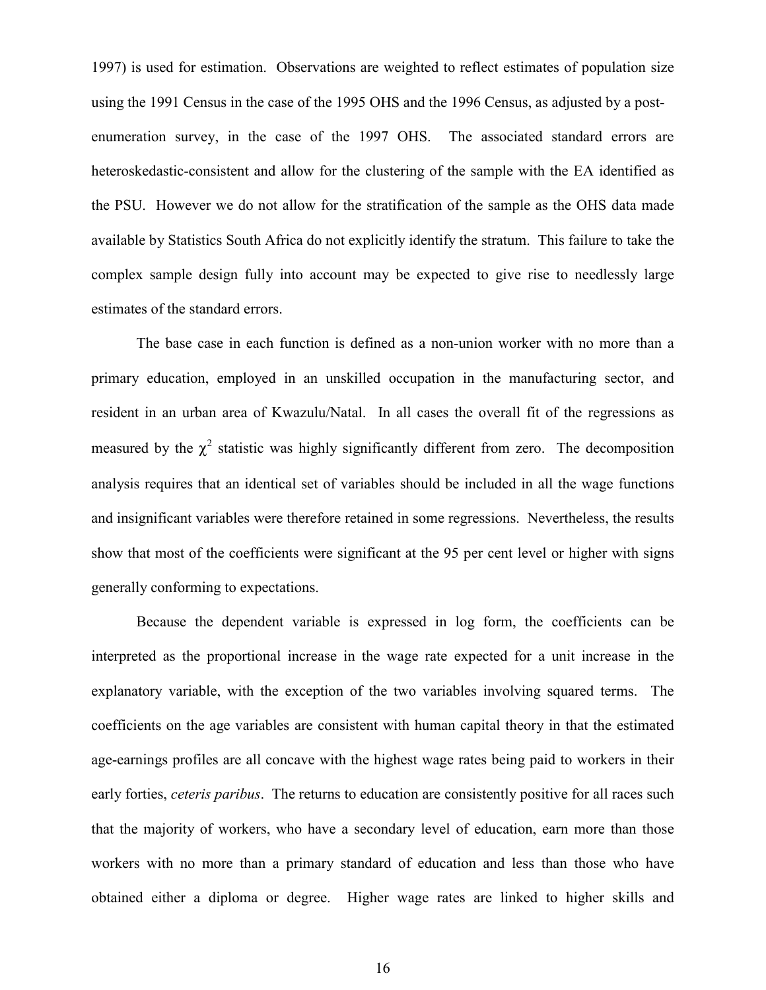1997) is used for estimation. Observations are weighted to reflect estimates of population size using the 1991 Census in the case of the 1995 OHS and the 1996 Census, as adjusted by a postenumeration survey, in the case of the 1997 OHS. The associated standard errors are heteroskedastic-consistent and allow for the clustering of the sample with the EA identified as the PSU. However we do not allow for the stratification of the sample as the OHS data made available by Statistics South Africa do not explicitly identify the stratum. This failure to take the complex sample design fully into account may be expected to give rise to needlessly large estimates of the standard errors.

The base case in each function is defined as a non-union worker with no more than a primary education, employed in an unskilled occupation in the manufacturing sector, and resident in an urban area of Kwazulu/Natal. In all cases the overall fit of the regressions as measured by the  $\chi^2$  statistic was highly significantly different from zero. The decomposition analysis requires that an identical set of variables should be included in all the wage functions and insignificant variables were therefore retained in some regressions. Nevertheless, the results show that most of the coefficients were significant at the 95 per cent level or higher with signs generally conforming to expectations.

Because the dependent variable is expressed in log form, the coefficients can be interpreted as the proportional increase in the wage rate expected for a unit increase in the explanatory variable, with the exception of the two variables involving squared terms. The coefficients on the age variables are consistent with human capital theory in that the estimated age-earnings profiles are all concave with the highest wage rates being paid to workers in their early forties, *ceteris paribus*. The returns to education are consistently positive for all races such that the majority of workers, who have a secondary level of education, earn more than those workers with no more than a primary standard of education and less than those who have obtained either a diploma or degree. Higher wage rates are linked to higher skills and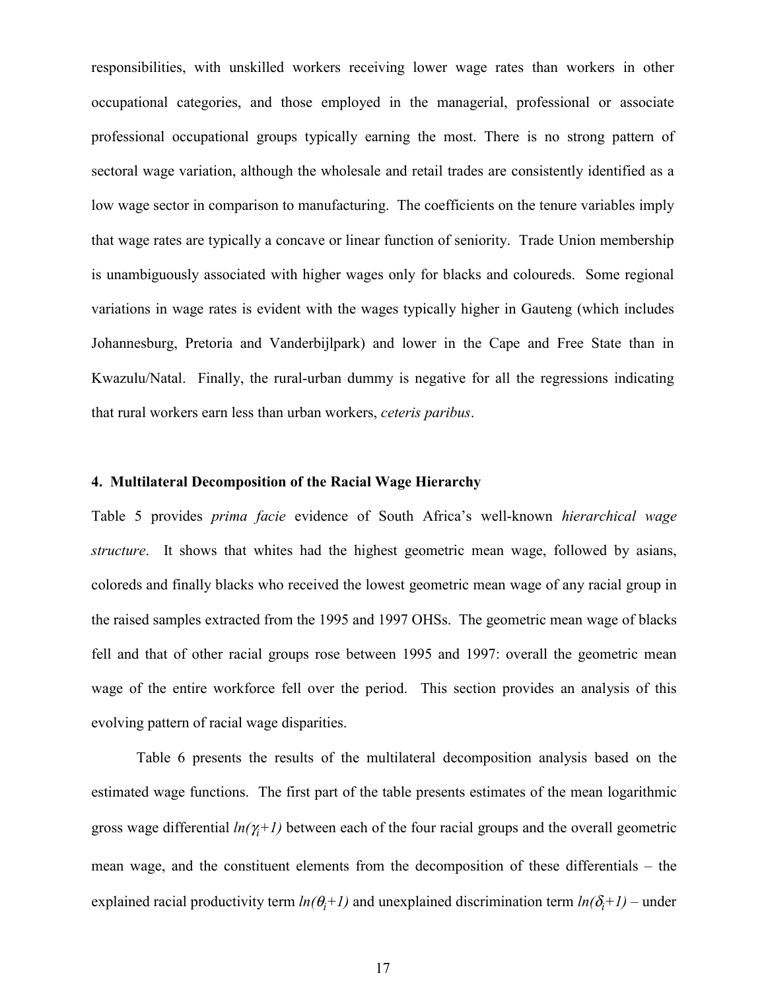responsibilities, with unskilled workers receiving lower wage rates than workers in other occupational categories, and those employed in the managerial, professional or associate professional occupational groups typically earning the most. There is no strong pattern of sectoral wage variation, although the wholesale and retail trades are consistently identified as a low wage sector in comparison to manufacturing. The coefficients on the tenure variables imply that wage rates are typically a concave or linear function of seniority. Trade Union membership is unambiguously associated with higher wages only for blacks and coloureds. Some regional variations in wage rates is evident with the wages typically higher in Gauteng (which includes Johannesburg, Pretoria and Vanderbijlpark) and lower in the Cape and Free State than in Kwazulu/Natal. Finally, the rural-urban dummy is negative for all the regressions indicating that rural workers earn less than urban workers, *ceteris paribus*.

#### **4. Multilateral Decomposition of the Racial Wage Hierarchy**

Table 5 provides *prima facie* evidence of South Africa's well-known *hierarchical wage structure*. It shows that whites had the highest geometric mean wage, followed by asians, coloreds and finally blacks who received the lowest geometric mean wage of any racial group in the raised samples extracted from the 1995 and 1997 OHSs. The geometric mean wage of blacks fell and that of other racial groups rose between 1995 and 1997: overall the geometric mean wage of the entire workforce fell over the period. This section provides an analysis of this evolving pattern of racial wage disparities.

Table 6 presents the results of the multilateral decomposition analysis based on the estimated wage functions. The first part of the table presents estimates of the mean logarithmic gross wage differential *ln(*γ*<sup>i</sup> +1)* between each of the four racial groups and the overall geometric mean wage, and the constituent elements from the decomposition of these differentials – the explained racial productivity term  $ln(\theta_i + 1)$  and unexplained discrimination term  $ln(\delta_i + 1)$  – under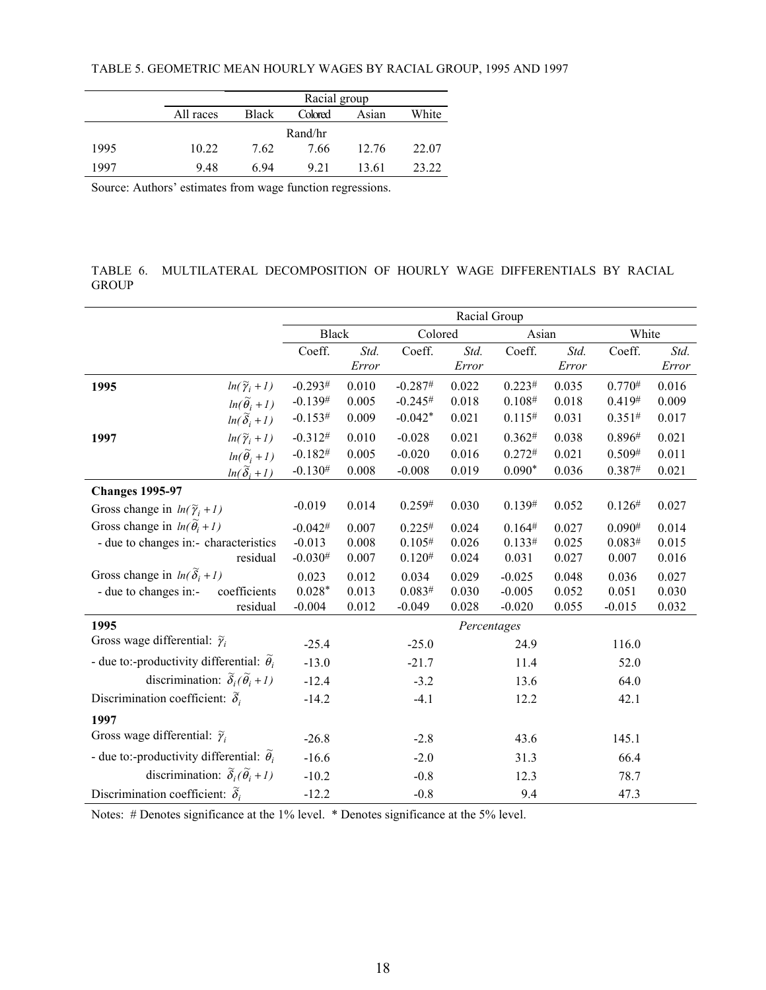|      |           | Racial group |         |       |       |  |  |  |  |  |
|------|-----------|--------------|---------|-------|-------|--|--|--|--|--|
|      | All races | <b>Black</b> | Colored | Asian | White |  |  |  |  |  |
|      |           |              | Rand/hr |       |       |  |  |  |  |  |
| 1995 | 10.22     | 7.62         | 7.66    | 12.76 | 22.07 |  |  |  |  |  |
| 1997 | 948       | 6 94         | 9 2 1   | 13.61 | 23 22 |  |  |  |  |  |

Source: Authors' estimates from wage function regressions.

TABLE 6. MULTILATERAL DECOMPOSITION OF HOURLY WAGE DIFFERENTIALS BY RACIAL GROUP

|                                                         |              |               |             | Racial Group  |             |               |          |               |
|---------------------------------------------------------|--------------|---------------|-------------|---------------|-------------|---------------|----------|---------------|
|                                                         | <b>Black</b> |               | Colored     |               | Asian       |               | White    |               |
|                                                         | Coeff.       | Std.<br>Error | Coeff.      | Std.<br>Error | Coeff.      | Std.<br>Error | Coeff.   | Std.<br>Error |
| $ln(\widetilde{\gamma}_i+1)$<br>1995                    | $-0.293#$    | 0.010         | $-0.287#$   | 0.022         | 0.223#      | 0.035         | 0.770#   | 0.016         |
| $ln(\widetilde{\theta}_i+1)$                            | $-0.139#$    | 0.005         | $-0.245#$   | 0.018         | 0.108#      | 0.018         | 0.419#   | 0.009         |
| $ln(\widetilde{\delta}_i+1)$                            | $-0.153#$    | 0.009         | $-0.042*$   | 0.021         | 0.115#      | 0.031         | 0.351#   | 0.017         |
| $ln(\widetilde{\gamma}_i+1)$<br>1997                    | $-0.312#$    | 0.010         | $-0.028$    | 0.021         | 0.362#      | 0.038         | 0.896#   | 0.021         |
| $ln(\widetilde{\theta}_i + 1)$                          | $-0.182#$    | 0.005         | $-0.020$    | 0.016         | $0.272^{#}$ | 0.021         | 0.509#   | 0.011         |
| $ln(\widetilde{\delta}_i+1)$                            | $-0.130#$    | 0.008         | $-0.008$    | 0.019         | $0.090*$    | 0.036         | 0.387#   | 0.021         |
| <b>Changes 1995-97</b>                                  |              |               |             |               |             |               |          |               |
| Gross change in $ln(\tilde{\gamma}_i + 1)$              | $-0.019$     | 0.014         | 0.259#      | 0.030         | 0.139#      | 0.052         | 0.126#   | 0.027         |
| Gross change in $ln(\tilde{\theta}_i + 1)$              | $-0.042#$    | 0.007         | 0.225#      | 0.024         | 0.164#      | 0.027         | 0.090#   | 0.014         |
| - due to changes in:- characteristics                   | $-0.013$     | 0.008         | 0.105#      | 0.026         | 0.133#      | 0.025         | 0.083#   | 0.015         |
| residual                                                | $-0.030#$    | 0.007         | $0.120^{#}$ | 0.024         | 0.031       | 0.027         | 0.007    | 0.016         |
| Gross change in $ln(\tilde{\delta}_i + 1)$              | 0.023        | 0.012         | 0.034       | 0.029         | $-0.025$    | 0.048         | 0.036    | 0.027         |
| - due to changes in:-<br>coefficients                   | $0.028*$     | 0.013         | 0.083#      | 0.030         | $-0.005$    | 0.052         | 0.051    | 0.030         |
| residual                                                | $-0.004$     | 0.012         | $-0.049$    | 0.028         | $-0.020$    | 0.055         | $-0.015$ | 0.032         |
| 1995                                                    |              |               |             | Percentages   |             |               |          |               |
| Gross wage differential: $\tilde{\gamma}_i$             | $-25.4$      |               | $-25.0$     |               | 24.9        |               | 116.0    |               |
| - due to:-productivity differential: $\tilde{\theta}_i$ | $-13.0$      |               | $-21.7$     |               | 11.4        |               | 52.0     |               |
| discrimination: $\tilde{\delta}_i(\tilde{\theta}_i+1)$  | $-12.4$      |               | $-3.2$      |               | 13.6        |               | 64.0     |               |
| Discrimination coefficient: $\tilde{\delta}_i$          | $-14.2$      |               | $-4.1$      |               | 12.2        |               | 42.1     |               |
| 1997                                                    |              |               |             |               |             |               |          |               |
| Gross wage differential: $\tilde{\gamma}_i$             | $-26.8$      |               | $-2.8$      |               | 43.6        |               | 145.1    |               |
| - due to:-productivity differential: $\tilde{\theta}_i$ | $-16.6$      |               | $-2.0$      |               | 31.3        |               | 66.4     |               |
| discrimination: $\tilde{\delta}_i(\tilde{\theta}_i+1)$  | $-10.2$      |               | $-0.8$      |               | 12.3        |               | 78.7     |               |
| Discrimination coefficient: $\tilde{\delta}_i$          | $-12.2$      |               | $-0.8$      |               | 9.4         |               | 47.3     |               |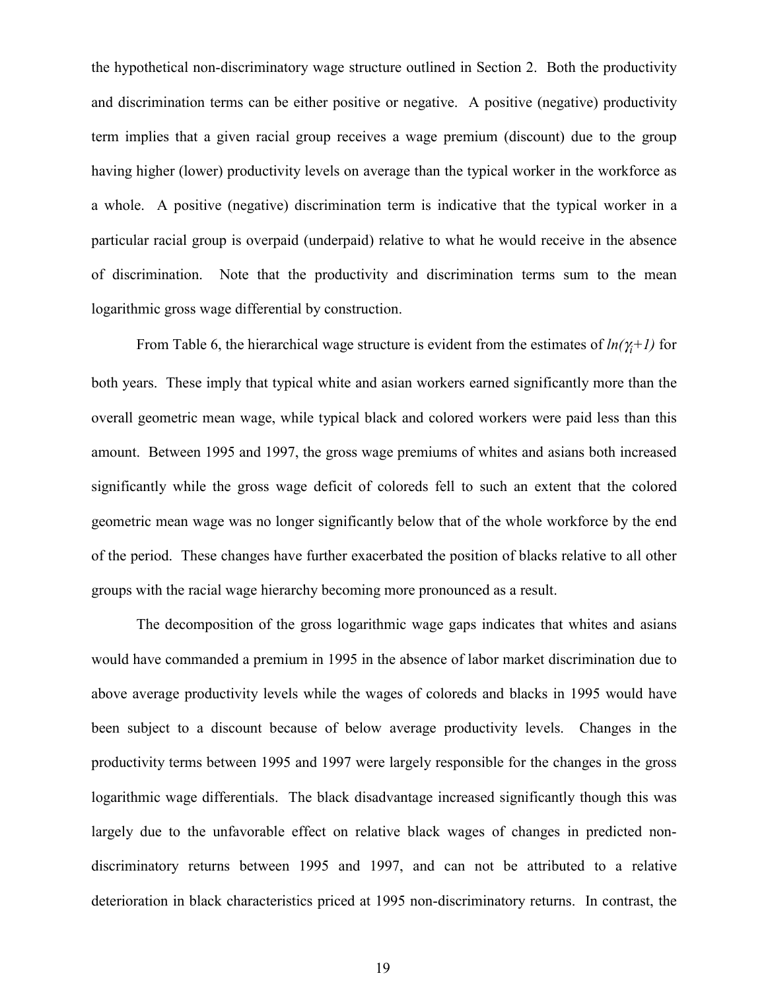the hypothetical non-discriminatory wage structure outlined in Section 2. Both the productivity and discrimination terms can be either positive or negative. A positive (negative) productivity term implies that a given racial group receives a wage premium (discount) due to the group having higher (lower) productivity levels on average than the typical worker in the workforce as a whole. A positive (negative) discrimination term is indicative that the typical worker in a particular racial group is overpaid (underpaid) relative to what he would receive in the absence of discrimination. Note that the productivity and discrimination terms sum to the mean logarithmic gross wage differential by construction.

From Table 6, the hierarchical wage structure is evident from the estimates of  $ln(\gamma_i+1)$  for both years. These imply that typical white and asian workers earned significantly more than the overall geometric mean wage, while typical black and colored workers were paid less than this amount. Between 1995 and 1997, the gross wage premiums of whites and asians both increased significantly while the gross wage deficit of coloreds fell to such an extent that the colored geometric mean wage was no longer significantly below that of the whole workforce by the end of the period. These changes have further exacerbated the position of blacks relative to all other groups with the racial wage hierarchy becoming more pronounced as a result.

The decomposition of the gross logarithmic wage gaps indicates that whites and asians would have commanded a premium in 1995 in the absence of labor market discrimination due to above average productivity levels while the wages of coloreds and blacks in 1995 would have been subject to a discount because of below average productivity levels. Changes in the productivity terms between 1995 and 1997 were largely responsible for the changes in the gross logarithmic wage differentials. The black disadvantage increased significantly though this was largely due to the unfavorable effect on relative black wages of changes in predicted nondiscriminatory returns between 1995 and 1997, and can not be attributed to a relative deterioration in black characteristics priced at 1995 non-discriminatory returns. In contrast, the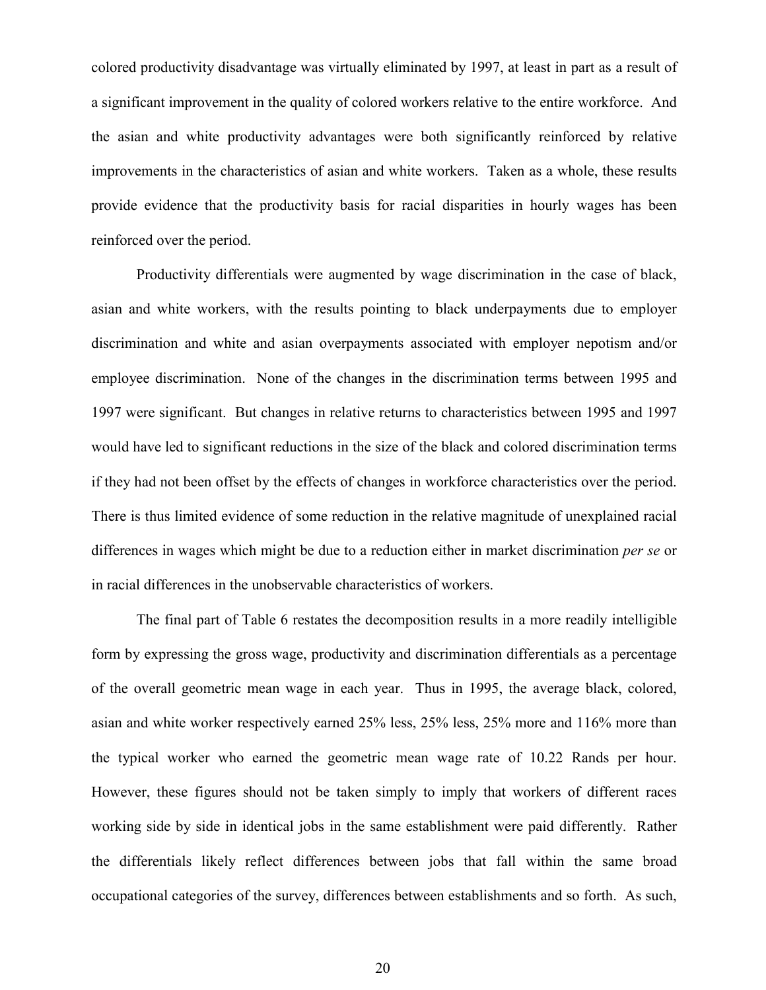colored productivity disadvantage was virtually eliminated by 1997, at least in part as a result of a significant improvement in the quality of colored workers relative to the entire workforce. And the asian and white productivity advantages were both significantly reinforced by relative improvements in the characteristics of asian and white workers. Taken as a whole, these results provide evidence that the productivity basis for racial disparities in hourly wages has been reinforced over the period.

Productivity differentials were augmented by wage discrimination in the case of black, asian and white workers, with the results pointing to black underpayments due to employer discrimination and white and asian overpayments associated with employer nepotism and/or employee discrimination. None of the changes in the discrimination terms between 1995 and 1997 were significant. But changes in relative returns to characteristics between 1995 and 1997 would have led to significant reductions in the size of the black and colored discrimination terms if they had not been offset by the effects of changes in workforce characteristics over the period. There is thus limited evidence of some reduction in the relative magnitude of unexplained racial differences in wages which might be due to a reduction either in market discrimination *per se* or in racial differences in the unobservable characteristics of workers.

The final part of Table 6 restates the decomposition results in a more readily intelligible form by expressing the gross wage, productivity and discrimination differentials as a percentage of the overall geometric mean wage in each year. Thus in 1995, the average black, colored, asian and white worker respectively earned 25% less, 25% less, 25% more and 116% more than the typical worker who earned the geometric mean wage rate of 10.22 Rands per hour. However, these figures should not be taken simply to imply that workers of different races working side by side in identical jobs in the same establishment were paid differently. Rather the differentials likely reflect differences between jobs that fall within the same broad occupational categories of the survey, differences between establishments and so forth. As such,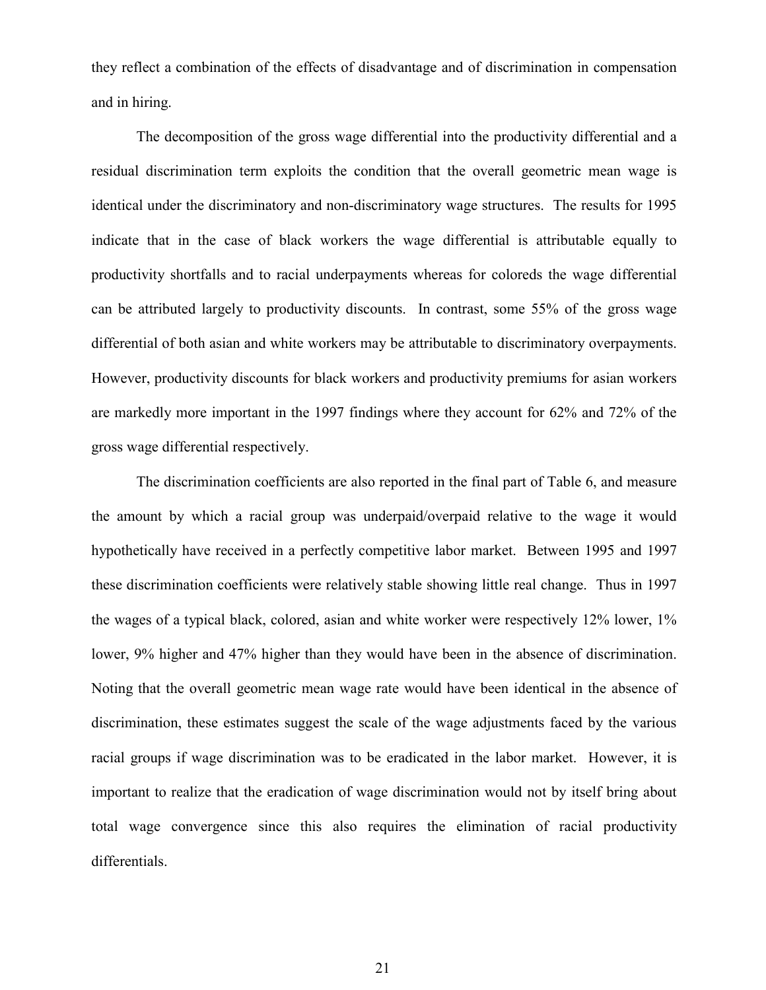they reflect a combination of the effects of disadvantage and of discrimination in compensation and in hiring.

The decomposition of the gross wage differential into the productivity differential and a residual discrimination term exploits the condition that the overall geometric mean wage is identical under the discriminatory and non-discriminatory wage structures. The results for 1995 indicate that in the case of black workers the wage differential is attributable equally to productivity shortfalls and to racial underpayments whereas for coloreds the wage differential can be attributed largely to productivity discounts. In contrast, some 55% of the gross wage differential of both asian and white workers may be attributable to discriminatory overpayments. However, productivity discounts for black workers and productivity premiums for asian workers are markedly more important in the 1997 findings where they account for 62% and 72% of the gross wage differential respectively.

The discrimination coefficients are also reported in the final part of Table 6, and measure the amount by which a racial group was underpaid/overpaid relative to the wage it would hypothetically have received in a perfectly competitive labor market. Between 1995 and 1997 these discrimination coefficients were relatively stable showing little real change. Thus in 1997 the wages of a typical black, colored, asian and white worker were respectively 12% lower, 1% lower, 9% higher and 47% higher than they would have been in the absence of discrimination. Noting that the overall geometric mean wage rate would have been identical in the absence of discrimination, these estimates suggest the scale of the wage adjustments faced by the various racial groups if wage discrimination was to be eradicated in the labor market. However, it is important to realize that the eradication of wage discrimination would not by itself bring about total wage convergence since this also requires the elimination of racial productivity differentials.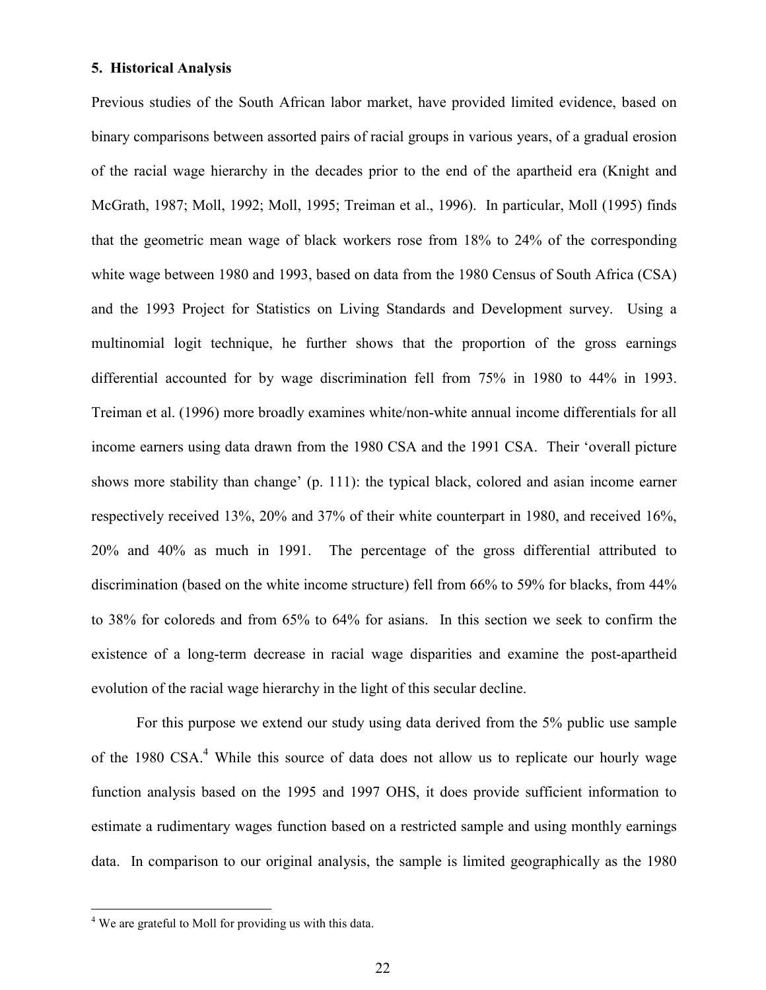#### **5. Historical Analysis**

Previous studies of the South African labor market, have provided limited evidence, based on binary comparisons between assorted pairs of racial groups in various years, of a gradual erosion of the racial wage hierarchy in the decades prior to the end of the apartheid era (Knight and McGrath, 1987; Moll, 1992; Moll, 1995; Treiman et al., 1996). In particular, Moll (1995) finds that the geometric mean wage of black workers rose from 18% to 24% of the corresponding white wage between 1980 and 1993, based on data from the 1980 Census of South Africa (CSA) and the 1993 Project for Statistics on Living Standards and Development survey. Using a multinomial logit technique, he further shows that the proportion of the gross earnings differential accounted for by wage discrimination fell from 75% in 1980 to 44% in 1993. Treiman et al. (1996) more broadly examines white/non-white annual income differentials for all income earners using data drawn from the 1980 CSA and the 1991 CSA. Their 'overall picture shows more stability than change' (p. 111): the typical black, colored and asian income earner respectively received 13%, 20% and 37% of their white counterpart in 1980, and received 16%, 20% and 40% as much in 1991. The percentage of the gross differential attributed to discrimination (based on the white income structure) fell from 66% to 59% for blacks, from 44% to 38% for coloreds and from 65% to 64% for asians. In this section we seek to confirm the existence of a long-term decrease in racial wage disparities and examine the post-apartheid evolution of the racial wage hierarchy in the light of this secular decline.

For this purpose we extend our study using data derived from the 5% public use sample of the 1980 CSA.<sup>4</sup> While this source of data does not allow us to replicate our hourly wage function analysis based on the 1995 and 1997 OHS, it does provide sufficient information to estimate a rudimentary wages function based on a restricted sample and using monthly earnings data. In comparison to our original analysis, the sample is limited geographically as the 1980

 $\overline{a}$ 

<sup>&</sup>lt;sup>4</sup> We are grateful to Moll for providing us with this data.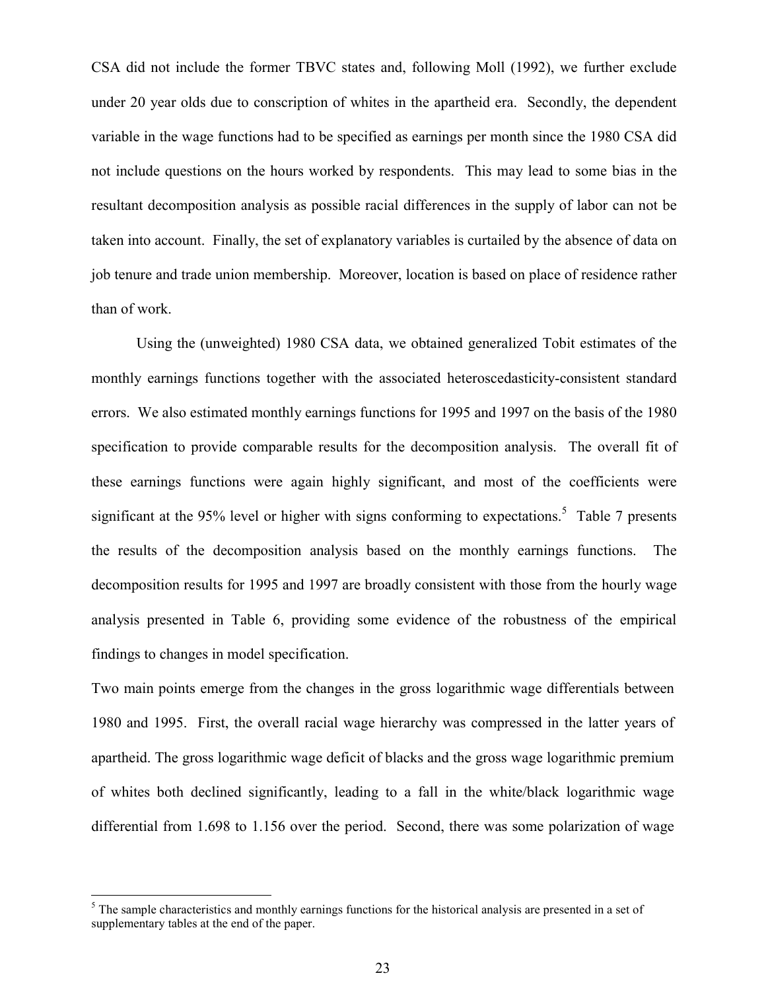CSA did not include the former TBVC states and, following Moll (1992), we further exclude under 20 year olds due to conscription of whites in the apartheid era. Secondly, the dependent variable in the wage functions had to be specified as earnings per month since the 1980 CSA did not include questions on the hours worked by respondents. This may lead to some bias in the resultant decomposition analysis as possible racial differences in the supply of labor can not be taken into account. Finally, the set of explanatory variables is curtailed by the absence of data on job tenure and trade union membership. Moreover, location is based on place of residence rather than of work.

Using the (unweighted) 1980 CSA data, we obtained generalized Tobit estimates of the monthly earnings functions together with the associated heteroscedasticity-consistent standard errors. We also estimated monthly earnings functions for 1995 and 1997 on the basis of the 1980 specification to provide comparable results for the decomposition analysis. The overall fit of these earnings functions were again highly significant, and most of the coefficients were significant at the 95% level or higher with signs conforming to expectations.<sup>5</sup> Table 7 presents the results of the decomposition analysis based on the monthly earnings functions. The decomposition results for 1995 and 1997 are broadly consistent with those from the hourly wage analysis presented in Table 6, providing some evidence of the robustness of the empirical findings to changes in model specification.

Two main points emerge from the changes in the gross logarithmic wage differentials between 1980 and 1995. First, the overall racial wage hierarchy was compressed in the latter years of apartheid. The gross logarithmic wage deficit of blacks and the gross wage logarithmic premium of whites both declined significantly, leading to a fall in the white/black logarithmic wage differential from 1.698 to 1.156 over the period. Second, there was some polarization of wage

<sup>&</sup>lt;sup>5</sup> The sample characteristics and monthly earnings functions for the historical analysis are presented in a set of supplementary tables at the end of the paper.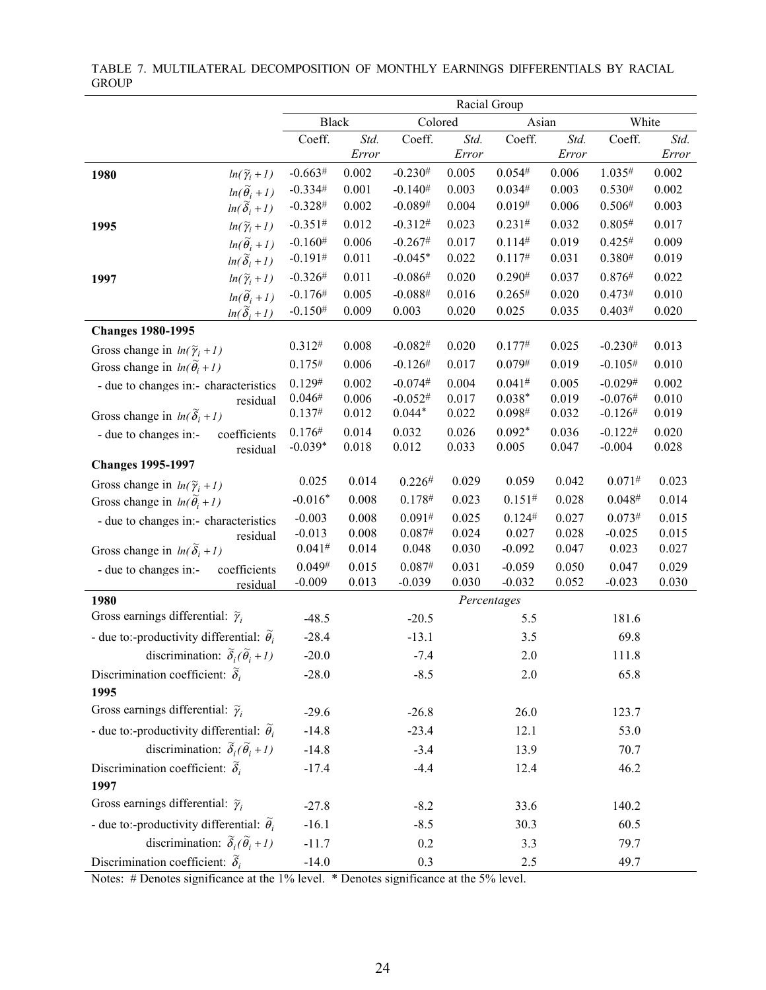|                                                             |                    | Racial Group |                |                       |                |                      |                |                        |                |
|-------------------------------------------------------------|--------------------|--------------|----------------|-----------------------|----------------|----------------------|----------------|------------------------|----------------|
|                                                             |                    | <b>Black</b> |                | Colored               |                | Asian                |                | White                  |                |
|                                                             | Coeff.             |              | Std.<br>Error  | Coeff.                | Std.<br>Error  | Coeff.               | Std.<br>Error  | Coeff.                 | Std.<br>Error  |
| $ln(\widetilde{\gamma}_i+1)$<br>1980                        | $-0.663#$          |              | 0.002          | $-0.230^{#}$          | 0.005          | 0.054#               | 0.006          | 1.035#                 | 0.002          |
| $ln(\widetilde{\theta}_i + 1)$                              | $-0.334#$          |              | 0.001          | $-0.140^{#}$          | 0.003          | 0.034#               | 0.003          | $0.530^{#}$            | 0.002          |
| $ln(\widetilde{\delta}_i+1)$                                | $-0.328#$          |              | 0.002          | $-0.089#$             | 0.004          | 0.019#               | 0.006          | 0.506#                 | 0.003          |
| $ln(\widetilde{\gamma}_i+1)$<br>1995                        | $-0.351#$          |              | 0.012          | $-0.312#$             | 0.023          | 0.231#               | 0.032          | 0.805#                 | 0.017          |
| $ln(\widetilde{\theta}_i + 1)$                              | $-0.160^{#}$       |              | 0.006          | $-0.267#$             | 0.017          | 0.114#               | 0.019          | 0.425#                 | 0.009          |
| $ln(\widetilde{\delta}_i+1)$                                | $-0.191#$          |              | 0.011          | $-0.045*$             | 0.022          | 0.117#               | 0.031          | 0.380#                 | 0.019          |
| $ln(\widetilde{\gamma}_i+1)$<br>1997                        | $-0.326#$          |              | 0.011          | $-0.086#$             | 0.020          | 0.290#               | 0.037          | 0.876#                 | 0.022          |
| $ln(\widetilde{\theta}_i + 1)$                              | $-0.176#$          |              | 0.005          | $-0.088#$             | 0.016          | 0.265#               | 0.020          | 0.473#                 | 0.010          |
| $ln(\widetilde{\delta}_i+1)$                                | $-0.150#$          |              | 0.009          | 0.003                 | 0.020          | 0.025                | 0.035          | 0.403#                 | 0.020          |
| <b>Changes 1980-1995</b>                                    |                    |              |                |                       |                |                      |                |                        |                |
| Gross change in $ln(\widetilde{\gamma}_i + 1)$              | 0.312#             |              | 0.008          | $-0.082$ <sup>#</sup> | 0.020          | 0.177#               | 0.025          | $-0.230^{#}$           | 0.013          |
| Gross change in $ln(\tilde{\theta}_i + 1)$                  | 0.175#             |              | 0.006          | $-0.126#$             | 0.017          | 0.079#               | 0.019          | $-0.105#$              | 0.010          |
| - due to changes in:- characteristics                       | 0.129#             |              | 0.002          | $-0.074#$             | 0.004          | 0.041#               | 0.005          | $-0.029#$              | 0.002          |
| residual                                                    | 0.046#<br>0.137#   |              | 0.006<br>0.012 | $-0.052#$<br>$0.044*$ | 0.017<br>0.022 | $0.038*$<br>0.098#   | 0.019<br>0.032 | $-0.076#$<br>$-0.126#$ | 0.010<br>0.019 |
| Gross change in $ln(\tilde{\delta}_i + 1)$                  | 0.176#             |              |                |                       | 0.026          | $0.092*$             | 0.036          | $-0.122^{#}$           |                |
| coefficients<br>- due to changes in:-<br>residual           | $-0.039*$          |              | 0.014<br>0.018 | 0.032<br>0.012        | 0.033          | 0.005                | 0.047          | $-0.004$               | 0.020<br>0.028 |
| <b>Changes 1995-1997</b>                                    |                    |              |                |                       |                |                      |                |                        |                |
| Gross change in $ln(\widetilde{\gamma}_i + 1)$              | 0.025              |              | 0.014          | 0.226#                | 0.029          | 0.059                | 0.042          | 0.071#                 | 0.023          |
| Gross change in $ln(\tilde{\theta}_i + 1)$                  | $-0.016*$          |              | 0.008          | 0.178#                | 0.023          | 0.151#               | 0.028          | 0.048#                 | 0.014          |
| - due to changes in:- characteristics                       | $-0.003$           |              | 0.008          | 0.091#                | 0.025          | 0.124#               | 0.027          | 0.073#                 | 0.015          |
| residual                                                    | $-0.013$           |              | 0.008          | 0.087#                | 0.024          | 0.027                | 0.028          | $-0.025$               | 0.015          |
| Gross change in $ln(\tilde{\delta}_i + 1)$                  | 0.041#             |              | 0.014          | 0.048                 | 0.030          | $-0.092$             | 0.047          | 0.023                  | 0.027          |
| coefficients<br>- due to changes in:-                       | 0.049#<br>$-0.009$ |              | 0.015<br>0.013 | 0.087#<br>$-0.039$    | 0.031<br>0.030 | $-0.059$<br>$-0.032$ | 0.050<br>0.052 | 0.047<br>$-0.023$      | 0.029<br>0.030 |
| residual<br>1980                                            |                    |              |                |                       | Percentages    |                      |                |                        |                |
| Gross earnings differential: $\tilde{\gamma}_i$             |                    | $-48.5$      |                | $-20.5$               |                | 5.5                  |                | 181.6                  |                |
| - due to:-productivity differential: $\tilde{\theta}_i$     |                    | $-28.4$      |                | $-13.1$               |                | 3.5                  |                | 69.8                   |                |
| discrimination: $\tilde{\delta}_i(\tilde{\theta}_i + 1)$    |                    | $-20.0$      |                | $-7.4$                |                | 2.0                  |                | 111.8                  |                |
| Discrimination coefficient: $\tilde{\delta}_i$              |                    | $-28.0$      |                | $-8.5$                |                | 2.0                  |                | 65.8                   |                |
| 1995                                                        |                    |              |                |                       |                |                      |                |                        |                |
| Gross earnings differential: $\tilde{\gamma}_i$             |                    | $-29.6$      |                | $-26.8$               |                | 26.0                 |                | 123.7                  |                |
| - due to:-productivity differential: $\tilde{\theta}_i$     |                    | $-14.8$      |                | $-23.4$               |                | 12.1                 |                | 53.0                   |                |
| discrimination: $\tilde{\delta}_i(\tilde{\theta}_i+1)$      |                    | $-14.8$      |                | $-3.4$                |                | 13.9                 |                | 70.7                   |                |
| Discrimination coefficient: $\tilde{\delta}_i$              |                    | $-17.4$      |                | $-4.4$                |                | 12.4                 |                | 46.2                   |                |
| 1997                                                        |                    |              |                |                       |                |                      |                |                        |                |
| Gross earnings differential: $\widetilde{\gamma}_i$         |                    | $-27.8$      |                | $-8.2$                |                | 33.6                 |                | 140.2                  |                |
| - due to:-productivity differential: $\widetilde{\theta}_i$ |                    | $-16.1$      |                | $-8.5$                |                | 30.3                 |                | 60.5                   |                |
| discrimination: $\tilde{\delta}_i(\tilde{\theta}_i+1)$      |                    | $-11.7$      |                | 0.2                   |                | 3.3                  |                | 79.7                   |                |
| Discrimination coefficient: $\tilde{\delta}_i$              |                    | $-14.0$      |                | 0.3                   |                | 2.5                  |                | 49.7                   |                |

#### TABLE 7. MULTILATERAL DECOMPOSITION OF MONTHLY EARNINGS DIFFERENTIALS BY RACIAL **GROUP**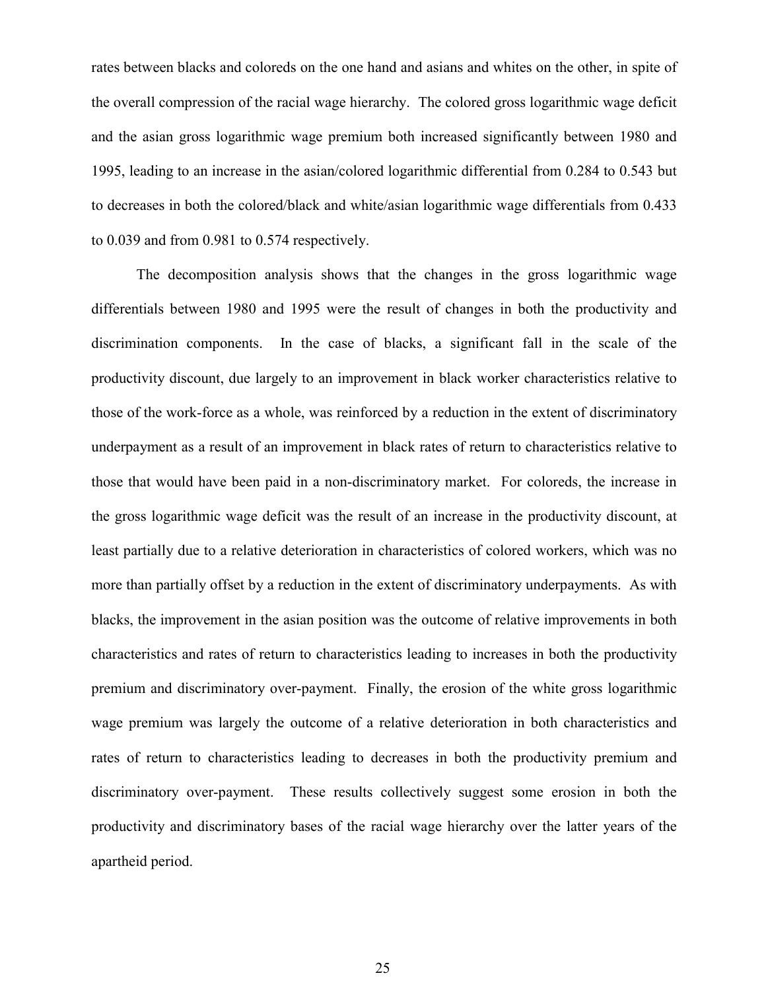rates between blacks and coloreds on the one hand and asians and whites on the other, in spite of the overall compression of the racial wage hierarchy. The colored gross logarithmic wage deficit and the asian gross logarithmic wage premium both increased significantly between 1980 and 1995, leading to an increase in the asian/colored logarithmic differential from 0.284 to 0.543 but to decreases in both the colored/black and white/asian logarithmic wage differentials from 0.433 to 0.039 and from 0.981 to 0.574 respectively.

The decomposition analysis shows that the changes in the gross logarithmic wage differentials between 1980 and 1995 were the result of changes in both the productivity and discrimination components. In the case of blacks, a significant fall in the scale of the productivity discount, due largely to an improvement in black worker characteristics relative to those of the work-force as a whole, was reinforced by a reduction in the extent of discriminatory underpayment as a result of an improvement in black rates of return to characteristics relative to those that would have been paid in a non-discriminatory market. For coloreds, the increase in the gross logarithmic wage deficit was the result of an increase in the productivity discount, at least partially due to a relative deterioration in characteristics of colored workers, which was no more than partially offset by a reduction in the extent of discriminatory underpayments. As with blacks, the improvement in the asian position was the outcome of relative improvements in both characteristics and rates of return to characteristics leading to increases in both the productivity premium and discriminatory over-payment. Finally, the erosion of the white gross logarithmic wage premium was largely the outcome of a relative deterioration in both characteristics and rates of return to characteristics leading to decreases in both the productivity premium and discriminatory over-payment. These results collectively suggest some erosion in both the productivity and discriminatory bases of the racial wage hierarchy over the latter years of the apartheid period.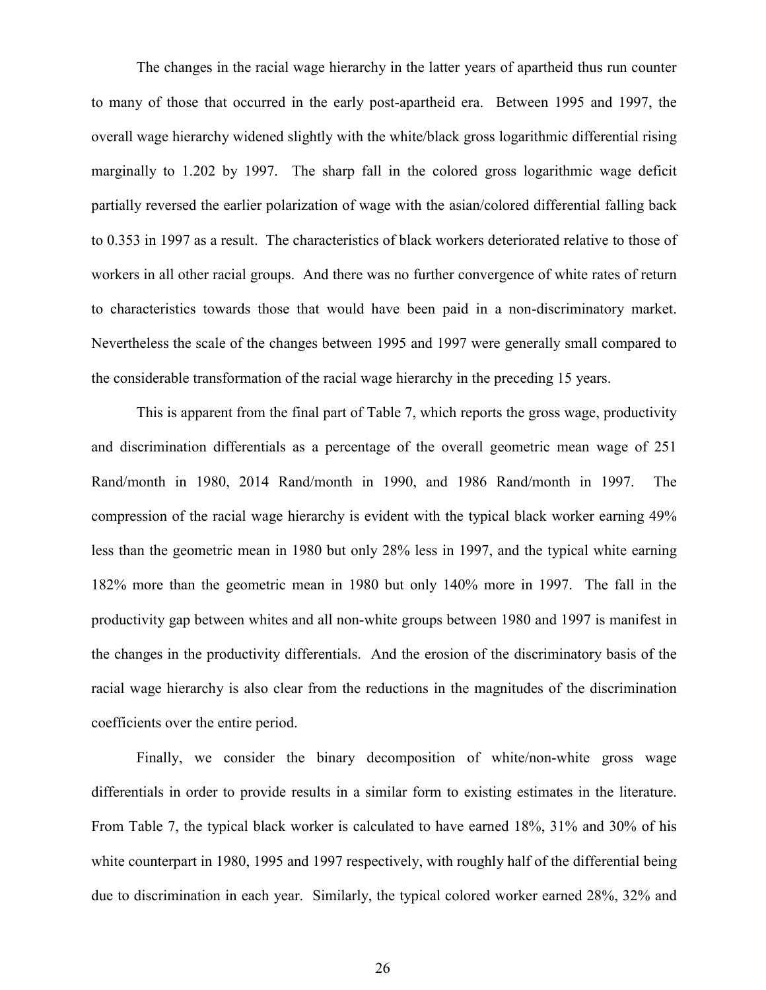The changes in the racial wage hierarchy in the latter years of apartheid thus run counter to many of those that occurred in the early post-apartheid era. Between 1995 and 1997, the overall wage hierarchy widened slightly with the white/black gross logarithmic differential rising marginally to 1.202 by 1997. The sharp fall in the colored gross logarithmic wage deficit partially reversed the earlier polarization of wage with the asian/colored differential falling back to 0.353 in 1997 as a result. The characteristics of black workers deteriorated relative to those of workers in all other racial groups. And there was no further convergence of white rates of return to characteristics towards those that would have been paid in a non-discriminatory market. Nevertheless the scale of the changes between 1995 and 1997 were generally small compared to the considerable transformation of the racial wage hierarchy in the preceding 15 years.

This is apparent from the final part of Table 7, which reports the gross wage, productivity and discrimination differentials as a percentage of the overall geometric mean wage of 251 Rand/month in 1980, 2014 Rand/month in 1990, and 1986 Rand/month in 1997. The compression of the racial wage hierarchy is evident with the typical black worker earning 49% less than the geometric mean in 1980 but only 28% less in 1997, and the typical white earning 182% more than the geometric mean in 1980 but only 140% more in 1997. The fall in the productivity gap between whites and all non-white groups between 1980 and 1997 is manifest in the changes in the productivity differentials. And the erosion of the discriminatory basis of the racial wage hierarchy is also clear from the reductions in the magnitudes of the discrimination coefficients over the entire period.

Finally, we consider the binary decomposition of white/non-white gross wage differentials in order to provide results in a similar form to existing estimates in the literature. From Table 7, the typical black worker is calculated to have earned 18%, 31% and 30% of his white counterpart in 1980, 1995 and 1997 respectively, with roughly half of the differential being due to discrimination in each year. Similarly, the typical colored worker earned 28%, 32% and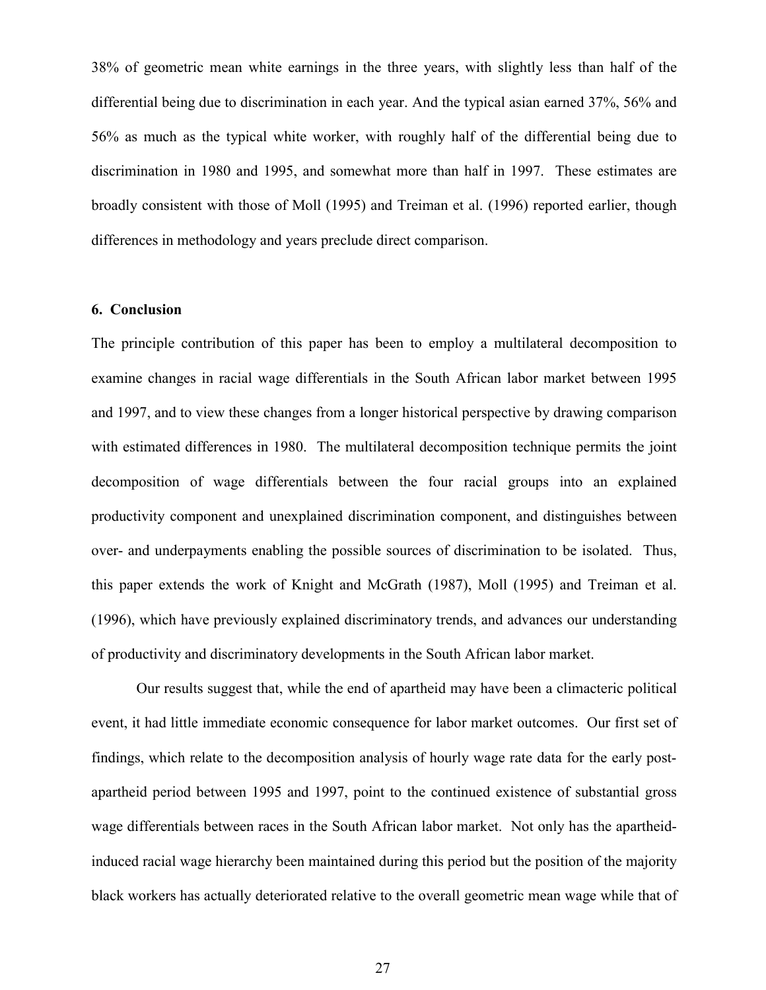38% of geometric mean white earnings in the three years, with slightly less than half of the differential being due to discrimination in each year. And the typical asian earned 37%, 56% and 56% as much as the typical white worker, with roughly half of the differential being due to discrimination in 1980 and 1995, and somewhat more than half in 1997. These estimates are broadly consistent with those of Moll (1995) and Treiman et al. (1996) reported earlier, though differences in methodology and years preclude direct comparison.

#### **6. Conclusion**

The principle contribution of this paper has been to employ a multilateral decomposition to examine changes in racial wage differentials in the South African labor market between 1995 and 1997, and to view these changes from a longer historical perspective by drawing comparison with estimated differences in 1980. The multilateral decomposition technique permits the joint decomposition of wage differentials between the four racial groups into an explained productivity component and unexplained discrimination component, and distinguishes between over- and underpayments enabling the possible sources of discrimination to be isolated. Thus, this paper extends the work of Knight and McGrath (1987), Moll (1995) and Treiman et al. (1996), which have previously explained discriminatory trends, and advances our understanding of productivity and discriminatory developments in the South African labor market.

Our results suggest that, while the end of apartheid may have been a climacteric political event, it had little immediate economic consequence for labor market outcomes. Our first set of findings, which relate to the decomposition analysis of hourly wage rate data for the early postapartheid period between 1995 and 1997, point to the continued existence of substantial gross wage differentials between races in the South African labor market. Not only has the apartheidinduced racial wage hierarchy been maintained during this period but the position of the majority black workers has actually deteriorated relative to the overall geometric mean wage while that of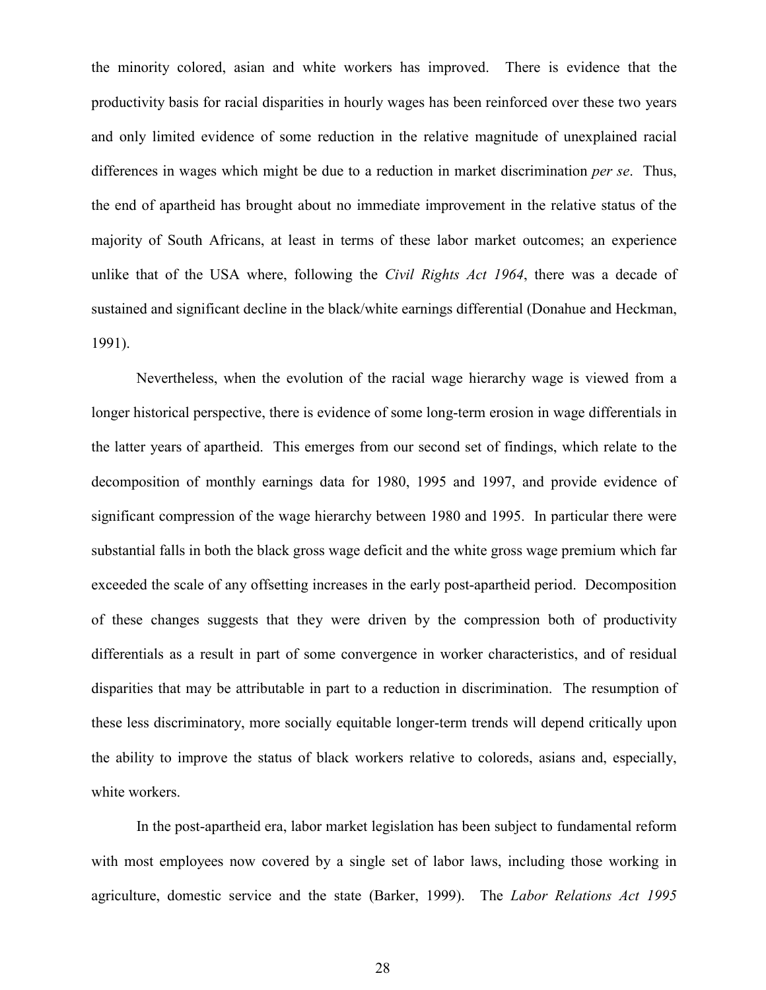the minority colored, asian and white workers has improved. There is evidence that the productivity basis for racial disparities in hourly wages has been reinforced over these two years and only limited evidence of some reduction in the relative magnitude of unexplained racial differences in wages which might be due to a reduction in market discrimination *per se*. Thus, the end of apartheid has brought about no immediate improvement in the relative status of the majority of South Africans, at least in terms of these labor market outcomes; an experience unlike that of the USA where, following the *Civil Rights Act 1964*, there was a decade of sustained and significant decline in the black/white earnings differential (Donahue and Heckman, 1991).

Nevertheless, when the evolution of the racial wage hierarchy wage is viewed from a longer historical perspective, there is evidence of some long-term erosion in wage differentials in the latter years of apartheid. This emerges from our second set of findings, which relate to the decomposition of monthly earnings data for 1980, 1995 and 1997, and provide evidence of significant compression of the wage hierarchy between 1980 and 1995. In particular there were substantial falls in both the black gross wage deficit and the white gross wage premium which far exceeded the scale of any offsetting increases in the early post-apartheid period. Decomposition of these changes suggests that they were driven by the compression both of productivity differentials as a result in part of some convergence in worker characteristics, and of residual disparities that may be attributable in part to a reduction in discrimination. The resumption of these less discriminatory, more socially equitable longer-term trends will depend critically upon the ability to improve the status of black workers relative to coloreds, asians and, especially, white workers.

In the post-apartheid era, labor market legislation has been subject to fundamental reform with most employees now covered by a single set of labor laws, including those working in agriculture, domestic service and the state (Barker, 1999). The *Labor Relations Act 1995*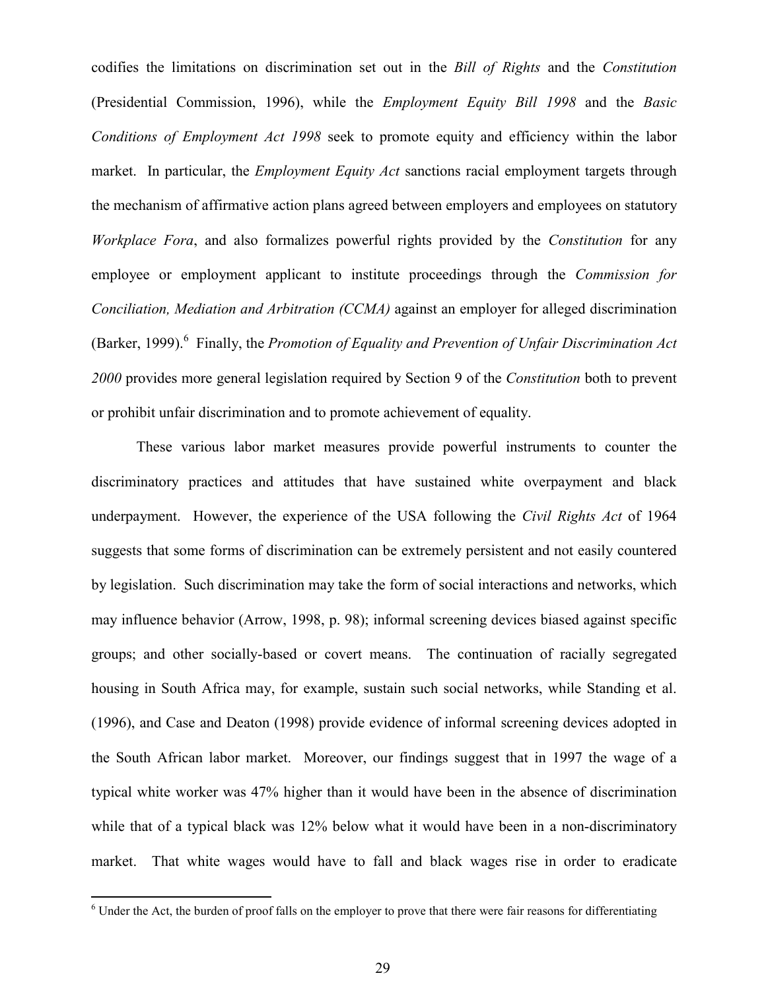codifies the limitations on discrimination set out in the *Bill of Rights* and the *Constitution* (Presidential Commission, 1996), while the *Employment Equity Bill 1998* and the *Basic Conditions of Employment Act 1998* seek to promote equity and efficiency within the labor market. In particular, the *Employment Equity Act* sanctions racial employment targets through the mechanism of affirmative action plans agreed between employers and employees on statutory *Workplace Fora*, and also formalizes powerful rights provided by the *Constitution* for any employee or employment applicant to institute proceedings through the *Commission for Conciliation, Mediation and Arbitration (CCMA)* against an employer for alleged discrimination (Barker, 1999).<sup>6</sup> Finally, the *Promotion of Equality and Prevention of Unfair Discrimination Act 2000* provides more general legislation required by Section 9 of the *Constitution* both to prevent or prohibit unfair discrimination and to promote achievement of equality.

These various labor market measures provide powerful instruments to counter the discriminatory practices and attitudes that have sustained white overpayment and black underpayment. However, the experience of the USA following the *Civil Rights Act* of 1964 suggests that some forms of discrimination can be extremely persistent and not easily countered by legislation. Such discrimination may take the form of social interactions and networks, which may influence behavior (Arrow, 1998, p. 98); informal screening devices biased against specific groups; and other socially-based or covert means. The continuation of racially segregated housing in South Africa may, for example, sustain such social networks, while Standing et al. (1996), and Case and Deaton (1998) provide evidence of informal screening devices adopted in the South African labor market. Moreover, our findings suggest that in 1997 the wage of a typical white worker was 47% higher than it would have been in the absence of discrimination while that of a typical black was 12% below what it would have been in a non-discriminatory market. That white wages would have to fall and black wages rise in order to eradicate

 $\overline{a}$ 

 $6$  Under the Act, the burden of proof falls on the employer to prove that there were fair reasons for differentiating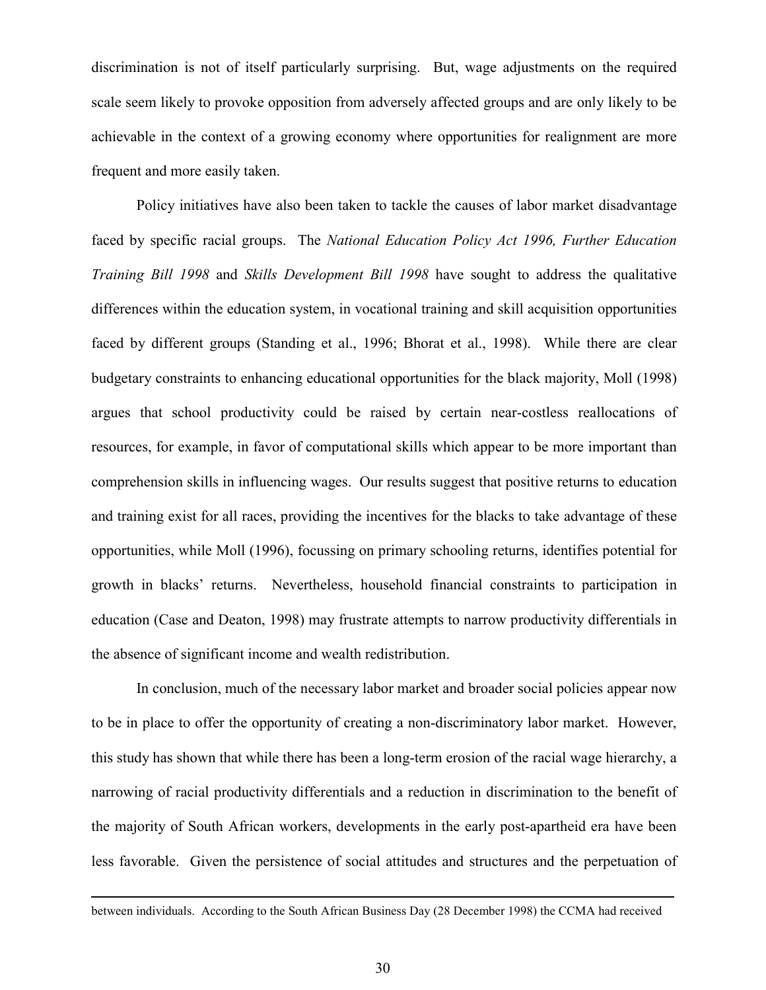discrimination is not of itself particularly surprising. But, wage adjustments on the required scale seem likely to provoke opposition from adversely affected groups and are only likely to be achievable in the context of a growing economy where opportunities for realignment are more frequent and more easily taken.

Policy initiatives have also been taken to tackle the causes of labor market disadvantage faced by specific racial groups. The *National Education Policy Act 1996, Further Education Training Bill 1998* and *Skills Development Bill 1998* have sought to address the qualitative differences within the education system, in vocational training and skill acquisition opportunities faced by different groups (Standing et al., 1996; Bhorat et al., 1998). While there are clear budgetary constraints to enhancing educational opportunities for the black majority, Moll (1998) argues that school productivity could be raised by certain near-costless reallocations of resources, for example, in favor of computational skills which appear to be more important than comprehension skills in influencing wages. Our results suggest that positive returns to education and training exist for all races, providing the incentives for the blacks to take advantage of these opportunities, while Moll (1996), focussing on primary schooling returns, identifies potential for growth in blacks' returns. Nevertheless, household financial constraints to participation in education (Case and Deaton, 1998) may frustrate attempts to narrow productivity differentials in the absence of significant income and wealth redistribution.

In conclusion, much of the necessary labor market and broader social policies appear now to be in place to offer the opportunity of creating a non-discriminatory labor market. However, this study has shown that while there has been a long-term erosion of the racial wage hierarchy, a narrowing of racial productivity differentials and a reduction in discrimination to the benefit of the majority of South African workers, developments in the early post-apartheid era have been less favorable. Given the persistence of social attitudes and structures and the perpetuation of

between individuals. According to the South African Business Day (28 December 1998) the CCMA had received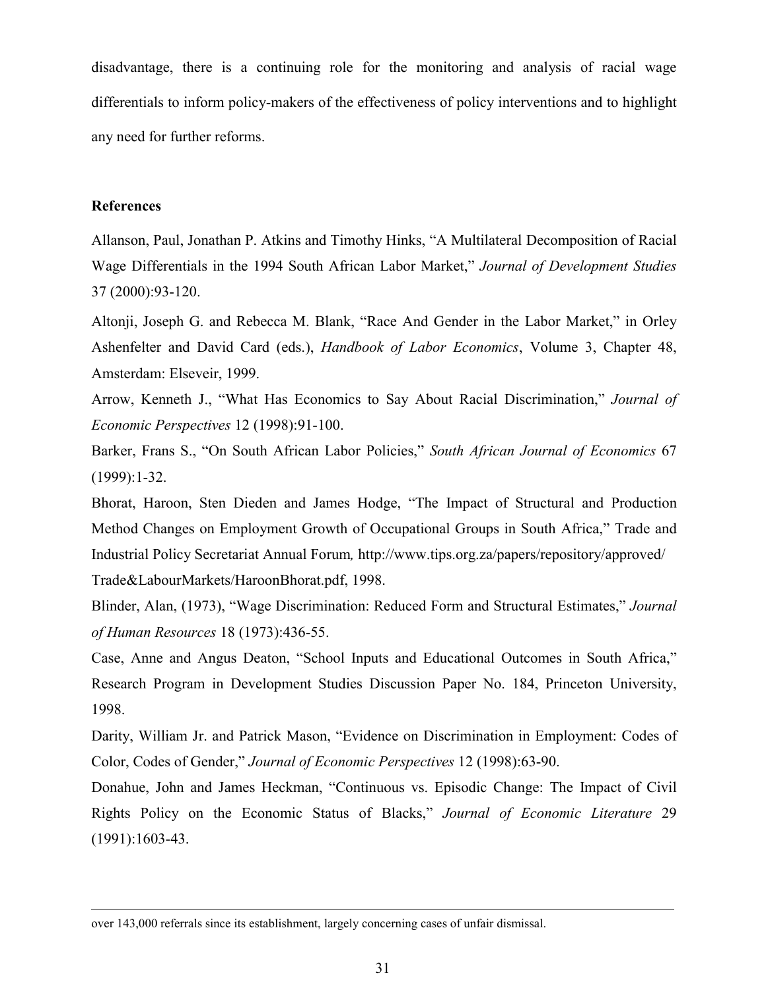disadvantage, there is a continuing role for the monitoring and analysis of racial wage differentials to inform policy-makers of the effectiveness of policy interventions and to highlight any need for further reforms.

#### **References**

1

Allanson, Paul, Jonathan P. Atkins and Timothy Hinks, "A Multilateral Decomposition of Racial Wage Differentials in the 1994 South African Labor Market," *Journal of Development Studies* 37 (2000):93-120.

Altonji, Joseph G. and Rebecca M. Blank, "Race And Gender in the Labor Market," in Orley Ashenfelter and David Card (eds.), *Handbook of Labor Economics*, Volume 3, Chapter 48, Amsterdam: Elseveir, 1999.

Arrow, Kenneth J., "What Has Economics to Say About Racial Discrimination," *Journal of Economic Perspectives* 12 (1998):91-100.

Barker, Frans S., "On South African Labor Policies," *South African Journal of Economics* 67 (1999):1-32.

Bhorat, Haroon, Sten Dieden and James Hodge, "The Impact of Structural and Production Method Changes on Employment Growth of Occupational Groups in South Africa," Trade and Industrial Policy Secretariat Annual Forum*,* http://www.tips.org.za/papers/repository/approved/ Trade&LabourMarkets/HaroonBhorat.pdf, 1998.

Blinder, Alan, (1973), "Wage Discrimination: Reduced Form and Structural Estimates," *Journal of Human Resources* 18 (1973):436-55.

Case, Anne and Angus Deaton, "School Inputs and Educational Outcomes in South Africa," Research Program in Development Studies Discussion Paper No. 184, Princeton University, 1998.

Darity, William Jr. and Patrick Mason, "Evidence on Discrimination in Employment: Codes of Color, Codes of Gender," *Journal of Economic Perspectives* 12 (1998):63-90.

Donahue, John and James Heckman, "Continuous vs. Episodic Change: The Impact of Civil Rights Policy on the Economic Status of Blacks," *Journal of Economic Literature* 29 (1991):1603-43.

over 143,000 referrals since its establishment, largely concerning cases of unfair dismissal.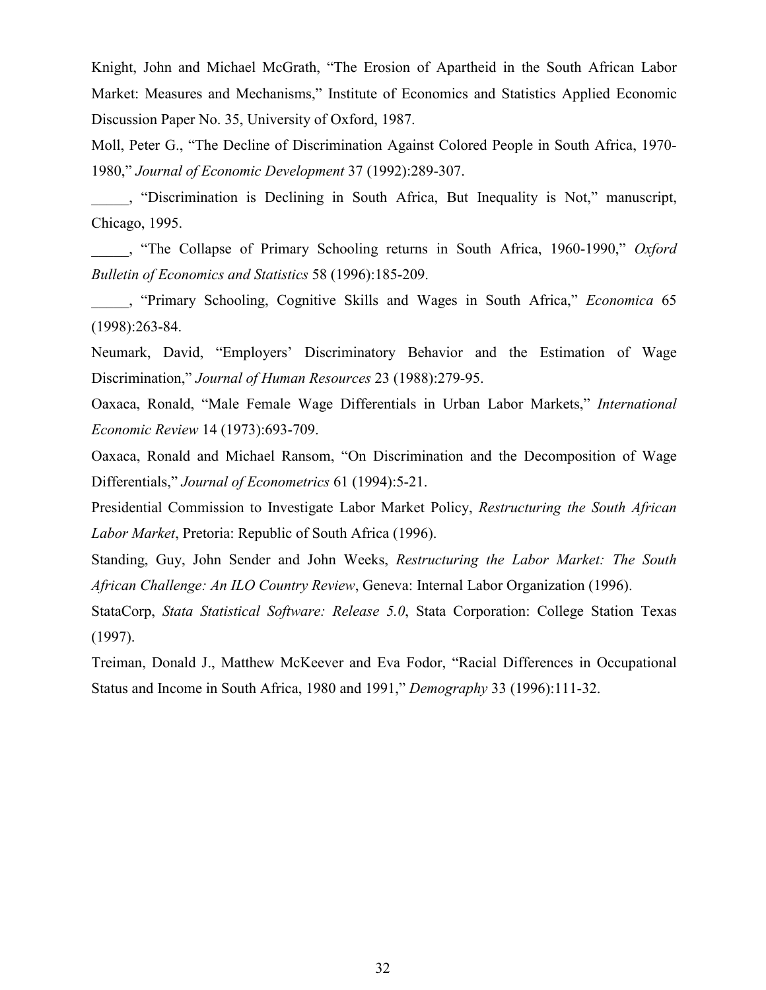Knight, John and Michael McGrath, "The Erosion of Apartheid in the South African Labor Market: Measures and Mechanisms," Institute of Economics and Statistics Applied Economic Discussion Paper No. 35, University of Oxford, 1987.

Moll, Peter G., "The Decline of Discrimination Against Colored People in South Africa, 1970- 1980," *Journal of Economic Development* 37 (1992):289-307.

\_\_\_\_\_, "Discrimination is Declining in South Africa, But Inequality is Not," manuscript, Chicago, 1995.

\_\_\_\_\_, "The Collapse of Primary Schooling returns in South Africa, 1960-1990," *Oxford Bulletin of Economics and Statistics* 58 (1996):185-209.

\_\_\_\_\_, "Primary Schooling, Cognitive Skills and Wages in South Africa," *Economica* 65 (1998):263-84.

Neumark, David, "Employers' Discriminatory Behavior and the Estimation of Wage Discrimination," *Journal of Human Resources* 23 (1988):279-95.

Oaxaca, Ronald, "Male Female Wage Differentials in Urban Labor Markets," *International Economic Review* 14 (1973):693-709.

Oaxaca, Ronald and Michael Ransom, "On Discrimination and the Decomposition of Wage Differentials," *Journal of Econometrics* 61 (1994):5-21.

Presidential Commission to Investigate Labor Market Policy, *Restructuring the South African Labor Market*, Pretoria: Republic of South Africa (1996).

Standing, Guy, John Sender and John Weeks, *Restructuring the Labor Market: The South African Challenge: An ILO Country Review*, Geneva: Internal Labor Organization (1996).

StataCorp, *Stata Statistical Software: Release 5.0*, Stata Corporation: College Station Texas (1997).

Treiman, Donald J., Matthew McKeever and Eva Fodor, "Racial Differences in Occupational Status and Income in South Africa, 1980 and 1991," *Demography* 33 (1996):111-32.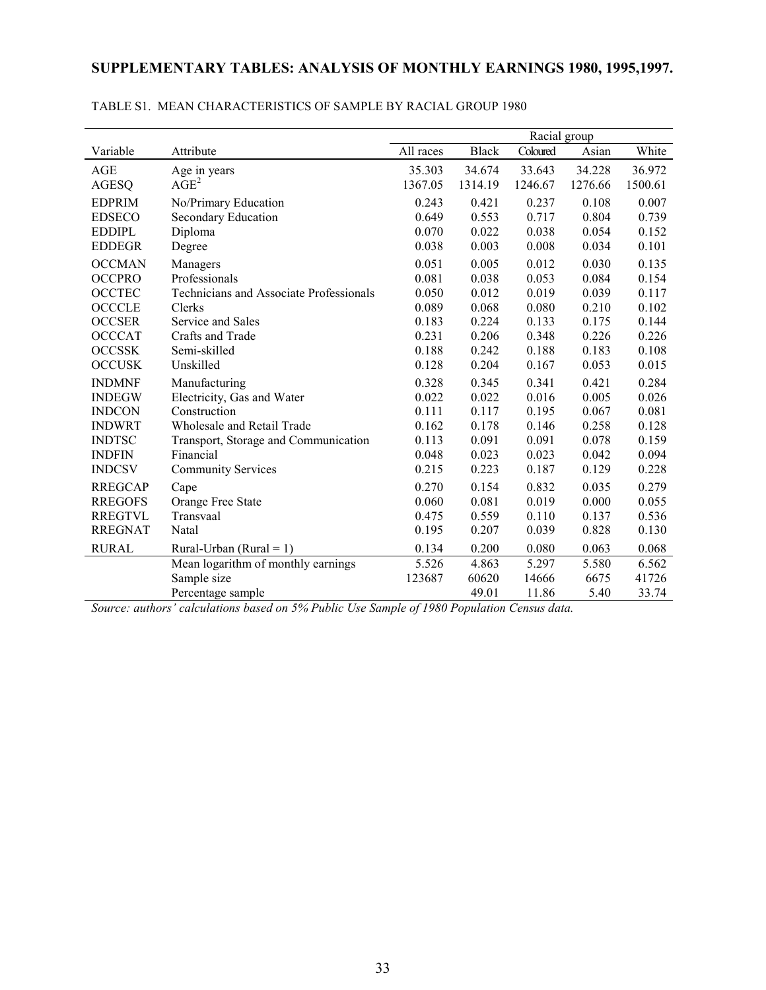## **SUPPLEMENTARY TABLES: ANALYSIS OF MONTHLY EARNINGS 1980, 1995,1997.**

|                |                                                | Racial group |              |          |         |         |  |  |
|----------------|------------------------------------------------|--------------|--------------|----------|---------|---------|--|--|
| Variable       | Attribute                                      | All races    | <b>Black</b> | Coloured | Asian   | White   |  |  |
| AGE            | Age in years                                   | 35.303       | 34.674       | 33.643   | 34.228  | 36.972  |  |  |
| <b>AGESQ</b>   | AGE <sup>2</sup>                               | 1367.05      | 1314.19      | 1246.67  | 1276.66 | 1500.61 |  |  |
| <b>EDPRIM</b>  | No/Primary Education                           | 0.243        | 0.421        | 0.237    | 0.108   | 0.007   |  |  |
| <b>EDSECO</b>  | Secondary Education                            | 0.649        | 0.553        | 0.717    | 0.804   | 0.739   |  |  |
| <b>EDDIPL</b>  | Diploma                                        | 0.070        | 0.022        | 0.038    | 0.054   | 0.152   |  |  |
| <b>EDDEGR</b>  | Degree                                         | 0.038        | 0.003        | 0.008    | 0.034   | 0.101   |  |  |
| <b>OCCMAN</b>  | Managers                                       | 0.051        | 0.005        | 0.012    | 0.030   | 0.135   |  |  |
| <b>OCCPRO</b>  | Professionals                                  | 0.081        | 0.038        | 0.053    | 0.084   | 0.154   |  |  |
| <b>OCCTEC</b>  | <b>Technicians and Associate Professionals</b> | 0.050        | 0.012        | 0.019    | 0.039   | 0.117   |  |  |
| <b>OCCCLE</b>  | Clerks                                         | 0.089        | 0.068        | 0.080    | 0.210   | 0.102   |  |  |
| <b>OCCSER</b>  | Service and Sales                              | 0.183        | 0.224        | 0.133    | 0.175   | 0.144   |  |  |
| <b>OCCCAT</b>  | Crafts and Trade                               | 0.231        | 0.206        | 0.348    | 0.226   | 0.226   |  |  |
| <b>OCCSSK</b>  | Semi-skilled                                   | 0.188        | 0.242        | 0.188    | 0.183   | 0.108   |  |  |
| <b>OCCUSK</b>  | Unskilled                                      | 0.128        | 0.204        | 0.167    | 0.053   | 0.015   |  |  |
| <b>INDMNF</b>  | Manufacturing                                  | 0.328        | 0.345        | 0.341    | 0.421   | 0.284   |  |  |
| <b>INDEGW</b>  | Electricity, Gas and Water                     | 0.022        | 0.022        | 0.016    | 0.005   | 0.026   |  |  |
| <b>INDCON</b>  | Construction                                   | 0.111        | 0.117        | 0.195    | 0.067   | 0.081   |  |  |
| <b>INDWRT</b>  | Wholesale and Retail Trade                     | 0.162        | 0.178        | 0.146    | 0.258   | 0.128   |  |  |
| <b>INDTSC</b>  | Transport, Storage and Communication           | 0.113        | 0.091        | 0.091    | 0.078   | 0.159   |  |  |
| <b>INDFIN</b>  | Financial                                      | 0.048        | 0.023        | 0.023    | 0.042   | 0.094   |  |  |
| <b>INDCSV</b>  | <b>Community Services</b>                      | 0.215        | 0.223        | 0.187    | 0.129   | 0.228   |  |  |
| <b>RREGCAP</b> | Cape                                           | 0.270        | 0.154        | 0.832    | 0.035   | 0.279   |  |  |
| <b>RREGOFS</b> | Orange Free State                              | 0.060        | 0.081        | 0.019    | 0.000   | 0.055   |  |  |
| <b>RREGTVL</b> | Transvaal                                      | 0.475        | 0.559        | 0.110    | 0.137   | 0.536   |  |  |
| <b>RREGNAT</b> | Natal                                          | 0.195        | 0.207        | 0.039    | 0.828   | 0.130   |  |  |
| <b>RURAL</b>   | Rural-Urban (Rural = 1)                        | 0.134        | 0.200        | 0.080    | 0.063   | 0.068   |  |  |
|                | Mean logarithm of monthly earnings             | 5.526        | 4.863        | 5.297    | 5.580   | 6.562   |  |  |
|                | Sample size                                    | 123687       | 60620        | 14666    | 6675    | 41726   |  |  |
|                | Percentage sample                              |              | 49.01        | 11.86    | 5.40    | 33.74   |  |  |

#### TABLE S1. MEAN CHARACTERISTICS OF SAMPLE BY RACIAL GROUP 1980

*Source: authors' calculations based on 5% Public Use Sample of 1980 Population Census data.*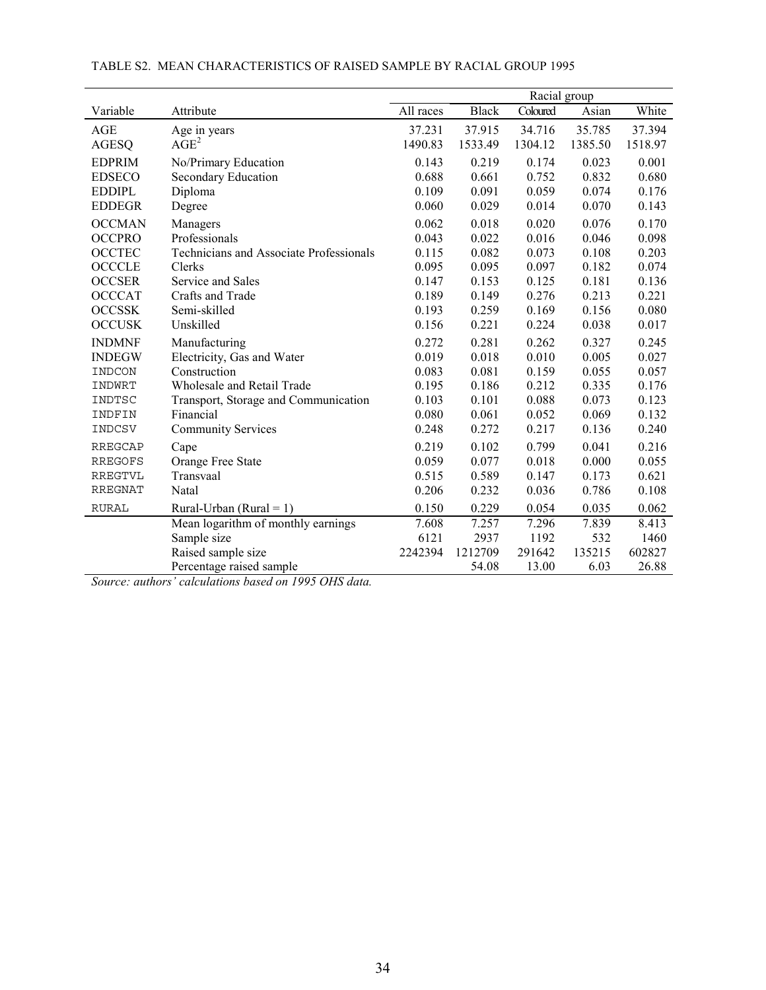|                |                                                |           |              | Racial group |         |         |
|----------------|------------------------------------------------|-----------|--------------|--------------|---------|---------|
| Variable       | Attribute                                      | All races | <b>Black</b> | Coloured     | Asian   | White   |
| AGE            | Age in years                                   | 37.231    | 37.915       | 34.716       | 35.785  | 37.394  |
| <b>AGESQ</b>   | $\overline{AGE}^2$                             | 1490.83   | 1533.49      | 1304.12      | 1385.50 | 1518.97 |
| <b>EDPRIM</b>  | No/Primary Education                           | 0.143     | 0.219        | 0.174        | 0.023   | 0.001   |
| <b>EDSECO</b>  | Secondary Education                            | 0.688     | 0.661        | 0.752        | 0.832   | 0.680   |
| <b>EDDIPL</b>  | Diploma                                        | 0.109     | 0.091        | 0.059        | 0.074   | 0.176   |
| <b>EDDEGR</b>  | Degree                                         | 0.060     | 0.029        | 0.014        | 0.070   | 0.143   |
| <b>OCCMAN</b>  | Managers                                       | 0.062     | 0.018        | 0.020        | 0.076   | 0.170   |
| <b>OCCPRO</b>  | Professionals                                  | 0.043     | 0.022        | 0.016        | 0.046   | 0.098   |
| <b>OCCTEC</b>  | <b>Technicians and Associate Professionals</b> | 0.115     | 0.082        | 0.073        | 0.108   | 0.203   |
| <b>OCCCLE</b>  | Clerks                                         | 0.095     | 0.095        | 0.097        | 0.182   | 0.074   |
| <b>OCCSER</b>  | Service and Sales                              | 0.147     | 0.153        | 0.125        | 0.181   | 0.136   |
| <b>OCCCAT</b>  | Crafts and Trade                               | 0.189     | 0.149        | 0.276        | 0.213   | 0.221   |
| <b>OCCSSK</b>  | Semi-skilled                                   | 0.193     | 0.259        | 0.169        | 0.156   | 0.080   |
| <b>OCCUSK</b>  | Unskilled                                      | 0.156     | 0.221        | 0.224        | 0.038   | 0.017   |
| <b>INDMNF</b>  | Manufacturing                                  | 0.272     | 0.281        | 0.262        | 0.327   | 0.245   |
| <b>INDEGW</b>  | Electricity, Gas and Water                     | 0.019     | 0.018        | 0.010        | 0.005   | 0.027   |
| INDCON         | Construction                                   | 0.083     | 0.081        | 0.159        | 0.055   | 0.057   |
| INDWRT         | Wholesale and Retail Trade                     | 0.195     | 0.186        | 0.212        | 0.335   | 0.176   |
| INDTSC         | Transport, Storage and Communication           | 0.103     | 0.101        | 0.088        | 0.073   | 0.123   |
| INDFIN         | Financial                                      | 0.080     | 0.061        | 0.052        | 0.069   | 0.132   |
| INDCSV         | <b>Community Services</b>                      | 0.248     | 0.272        | 0.217        | 0.136   | 0.240   |
| <b>RREGCAP</b> | Cape                                           | 0.219     | 0.102        | 0.799        | 0.041   | 0.216   |
| <b>RREGOFS</b> | Orange Free State                              | 0.059     | 0.077        | 0.018        | 0.000   | 0.055   |
| <b>RREGTVL</b> | Transvaal                                      | 0.515     | 0.589        | 0.147        | 0.173   | 0.621   |
| RREGNAT        | Natal                                          | 0.206     | 0.232        | 0.036        | 0.786   | 0.108   |
| <b>RURAL</b>   | Rural-Urban (Rural = 1)                        | 0.150     | 0.229        | 0.054        | 0.035   | 0.062   |
|                | Mean logarithm of monthly earnings             | 7.608     | 7.257        | 7.296        | 7.839   | 8.413   |
|                | Sample size                                    | 6121      | 2937         | 1192         | 532     | 1460    |
|                | Raised sample size                             | 2242394   | 1212709      | 291642       | 135215  | 602827  |
|                | Percentage raised sample                       |           | 54.08        | 13.00        | 6.03    | 26.88   |

#### TABLE S2. MEAN CHARACTERISTICS OF RAISED SAMPLE BY RACIAL GROUP 1995

*Source: authors' calculations based on 1995 OHS data.*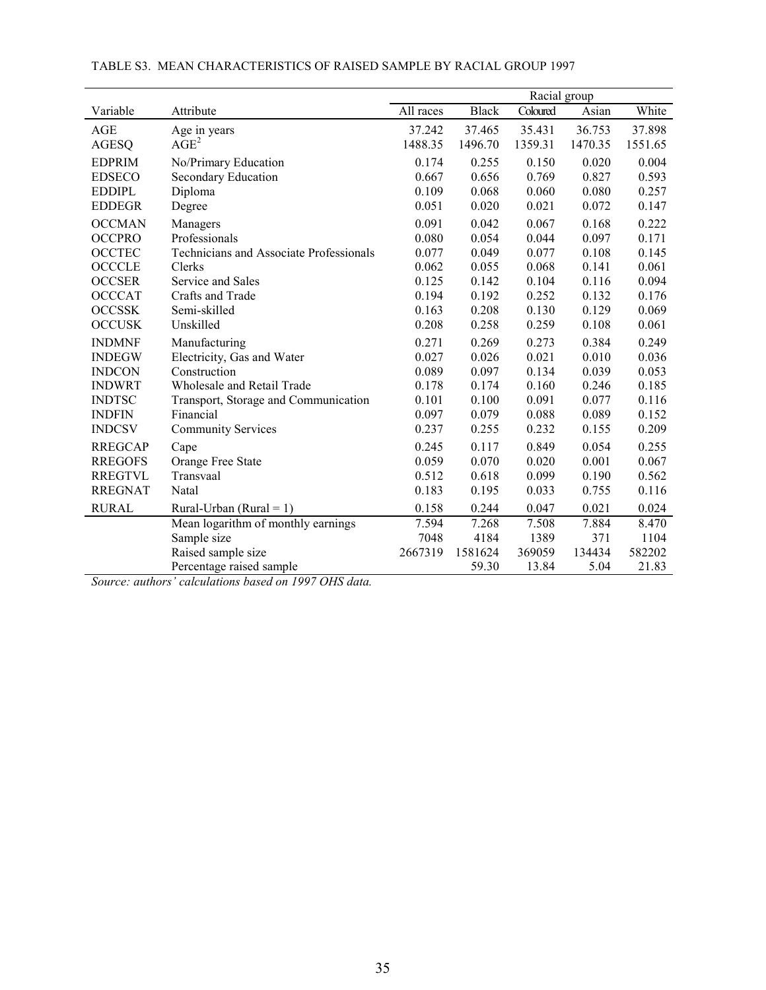|                |                                                | Racial group |              |          |         |         |  |  |
|----------------|------------------------------------------------|--------------|--------------|----------|---------|---------|--|--|
| Variable       | Attribute                                      | All races    | <b>Black</b> | Coloured | Asian   | White   |  |  |
| AGE            | Age in years                                   | 37.242       | 37.465       | 35.431   | 36.753  | 37.898  |  |  |
| <b>AGESQ</b>   | $\overline{AGE}^2$                             | 1488.35      | 1496.70      | 1359.31  | 1470.35 | 1551.65 |  |  |
| <b>EDPRIM</b>  | No/Primary Education                           | 0.174        | 0.255        | 0.150    | 0.020   | 0.004   |  |  |
| <b>EDSECO</b>  | Secondary Education                            | 0.667        | 0.656        | 0.769    | 0.827   | 0.593   |  |  |
| <b>EDDIPL</b>  | Diploma                                        | 0.109        | 0.068        | 0.060    | 0.080   | 0.257   |  |  |
| <b>EDDEGR</b>  | Degree                                         | 0.051        | 0.020        | 0.021    | 0.072   | 0.147   |  |  |
| <b>OCCMAN</b>  | Managers                                       | 0.091        | 0.042        | 0.067    | 0.168   | 0.222   |  |  |
| <b>OCCPRO</b>  | Professionals                                  | 0.080        | 0.054        | 0.044    | 0.097   | 0.171   |  |  |
| <b>OCCTEC</b>  | <b>Technicians and Associate Professionals</b> | 0.077        | 0.049        | 0.077    | 0.108   | 0.145   |  |  |
| <b>OCCCLE</b>  | Clerks                                         | 0.062        | 0.055        | 0.068    | 0.141   | 0.061   |  |  |
| <b>OCCSER</b>  | Service and Sales                              | 0.125        | 0.142        | 0.104    | 0.116   | 0.094   |  |  |
| <b>OCCCAT</b>  | Crafts and Trade                               | 0.194        | 0.192        | 0.252    | 0.132   | 0.176   |  |  |
| <b>OCCSSK</b>  | Semi-skilled                                   | 0.163        | 0.208        | 0.130    | 0.129   | 0.069   |  |  |
| <b>OCCUSK</b>  | Unskilled                                      | 0.208        | 0.258        | 0.259    | 0.108   | 0.061   |  |  |
| <b>INDMNF</b>  | Manufacturing                                  | 0.271        | 0.269        | 0.273    | 0.384   | 0.249   |  |  |
| <b>INDEGW</b>  | Electricity, Gas and Water                     | 0.027        | 0.026        | 0.021    | 0.010   | 0.036   |  |  |
| <b>INDCON</b>  | Construction                                   | 0.089        | 0.097        | 0.134    | 0.039   | 0.053   |  |  |
| <b>INDWRT</b>  | Wholesale and Retail Trade                     | 0.178        | 0.174        | 0.160    | 0.246   | 0.185   |  |  |
| <b>INDTSC</b>  | Transport, Storage and Communication           | 0.101        | 0.100        | 0.091    | 0.077   | 0.116   |  |  |
| <b>INDFIN</b>  | Financial                                      | 0.097        | 0.079        | 0.088    | 0.089   | 0.152   |  |  |
| <b>INDCSV</b>  | <b>Community Services</b>                      | 0.237        | 0.255        | 0.232    | 0.155   | 0.209   |  |  |
| <b>RREGCAP</b> | Cape                                           | 0.245        | 0.117        | 0.849    | 0.054   | 0.255   |  |  |
| <b>RREGOFS</b> | Orange Free State                              | 0.059        | 0.070        | 0.020    | 0.001   | 0.067   |  |  |
| <b>RREGTVL</b> | Transvaal                                      | 0.512        | 0.618        | 0.099    | 0.190   | 0.562   |  |  |
| <b>RREGNAT</b> | Natal                                          | 0.183        | 0.195        | 0.033    | 0.755   | 0.116   |  |  |
| <b>RURAL</b>   | Rural-Urban (Rural = 1)                        | 0.158        | 0.244        | 0.047    | 0.021   | 0.024   |  |  |
|                | Mean logarithm of monthly earnings             | 7.594        | 7.268        | 7.508    | 7.884   | 8.470   |  |  |
|                | Sample size                                    | 7048         | 4184         | 1389     | 371     | 1104    |  |  |
|                | Raised sample size                             | 2667319      | 1581624      | 369059   | 134434  | 582202  |  |  |
|                | Percentage raised sample                       |              | 59.30        | 13.84    | 5.04    | 21.83   |  |  |

#### TABLE S3. MEAN CHARACTERISTICS OF RAISED SAMPLE BY RACIAL GROUP 1997

*Source: authors' calculations based on 1997 OHS data.*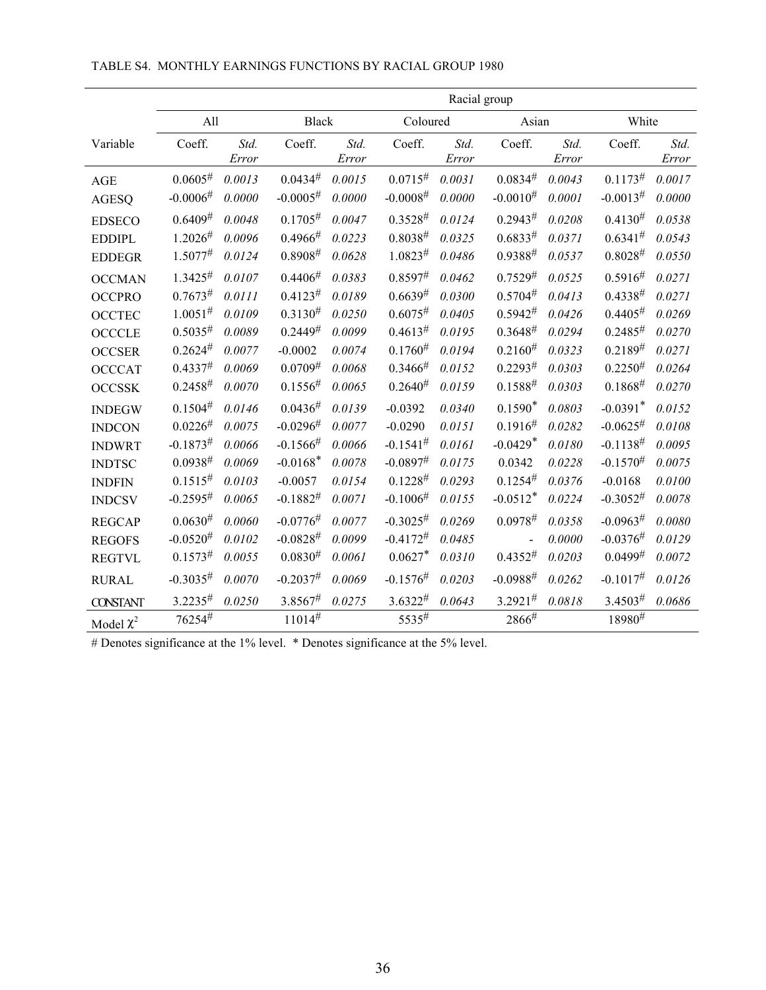|                 |                |        |                        |        |                        | Racial group |                |        |                        |        |
|-----------------|----------------|--------|------------------------|--------|------------------------|--------------|----------------|--------|------------------------|--------|
|                 | All            |        | <b>Black</b>           |        | Coloured               |              | Asian          |        | White                  |        |
| Variable        | Coeff.         | Std.   | Coeff.                 | Std.   | Coeff.                 | Std.         | Coeff.         | Std.   | Coeff.                 | Std.   |
|                 |                | Error  |                        | Error  |                        | Error        |                | Error  |                        | Error  |
| AGE             | $0.0605^{\#}$  | 0.0013 | $0.0434^{#}$           | 0.0015 | $0.0715^{\#}$          | 0.0031       | $0.0834^{\#}$  | 0.0043 | $0.1173^{\#}$          | 0.0017 |
| <b>AGESQ</b>    | $-0.0006#$     | 0.0000 | $-0.0005^{\#}$         | 0.0000 | $-0.0008^{\#}$         | 0.0000       | $-0.0010^{#}$  | 0.0001 | $-0.0013^{\#}$         | 0.0000 |
| <b>EDSECO</b>   | $0.6409^{\#}$  | 0.0048 | $0.1705^{\#}$          | 0.0047 | $0.3528^{\#}$          | 0.0124       | $0.2943^{\#}$  | 0.0208 | $0.4130^{#}$           | 0.0538 |
| <b>EDDIPL</b>   | $1.2026^{\#}$  | 0.0096 | 0.4966#                | 0.0223 | $0.8038^{\#}$          | 0.0325       | $0.6833^{\#}$  | 0.0371 | $0.6341^{\#}$          | 0.0543 |
| <b>EDDEGR</b>   | 1.5077#        | 0.0124 | $0.8908^{\#}$          | 0.0628 | $1.0823^{\#}$          | 0.0486       | $0.9388^{#}$   | 0.0537 | $0.8028^{\#}$          | 0.0550 |
| <b>OCCMAN</b>   | $1.3425^{\#}$  | 0.0107 | $0.4406^{\#}$          | 0.0383 | $0.8597^{\#}$          | 0.0462       | $0.7529^{#}$   | 0.0525 | $0.5916^{\#}$          | 0.0271 |
| <b>OCCPRO</b>   | 0.7673#        | 0.0111 | $0.4123^{\#}$          | 0.0189 | $0.6639^{#}$           | 0.0300       | 0.5704#        | 0.0413 | $0.4338^{\#}$          | 0.0271 |
| <b>OCCTEC</b>   | $1.0051^{\#}$  | 0.0109 | $0.3130^{#}$           | 0.0250 | $0.6075^{\#}$          | 0.0405       | $0.5942^{\#}$  | 0.0426 | 0.4405#                | 0.0269 |
| <b>OCCCLE</b>   | $0.5035^{#}$   | 0.0089 | $0.2449^{#}$           | 0.0099 | 0.4613#                | 0.0195       | $0.3648^{\#}$  | 0.0294 | $0.2485^{\#}$          | 0.0270 |
| <b>OCCSER</b>   | 0.2624#        | 0.0077 | $-0.0002$              | 0.0074 | $0.1760^{#}$           | 0.0194       | $0.2160^{#}$   | 0.0323 | $0.2189^{#}$           | 0.0271 |
| <b>OCCCAT</b>   | 0.4337#        | 0.0069 | $0.0709^{\#}$          | 0.0068 | 0.3466#                | 0.0152       | $0.2293^{\#}$  | 0.0303 | $0.2250^{#}$           | 0.0264 |
| <b>OCCSSK</b>   | $0.2458^{\#}$  | 0.0070 | $0.1556^{\#}$          | 0.0065 | $0.2640^{#}$           | 0.0159       | $0.1588^{\#}$  | 0.0303 | $0.1868^{\#}$          | 0.0270 |
| <b>INDEGW</b>   | $0.1504^{\#}$  | 0.0146 | $0.0436^{#}$           | 0.0139 | $-0.0392$              | 0.0340       | $0.1590*$      | 0.0803 | $-0.0391$ <sup>*</sup> | 0.0152 |
| <b>INDCON</b>   | $0.0226^{#}$   | 0.0075 | $-0.0296#$             | 0.0077 | $-0.0290$              | 0.0151       | 0.1916#        | 0.0282 | $-0.0625^{\#}$         | 0.0108 |
| <b>INDWRT</b>   | $-0.1873^{\#}$ | 0.0066 | $-0.1566#$             | 0.0066 | $-0.1541^{\#}$         | 0.0161       | $-0.0429*$     | 0.0180 | $-0.1138^{\#}$         | 0.0095 |
| <b>INDTSC</b>   | $0.0938^{\#}$  | 0.0069 | $-0.0168$ <sup>*</sup> | 0.0078 | $-0.0897$ <sup>#</sup> | 0.0175       | 0.0342         | 0.0228 | $-0.1570^{#}$          | 0.0075 |
| <b>INDFIN</b>   | $0.1515^{#}$   | 0.0103 | $-0.0057$              | 0.0154 | $0.1228^{\#}$          | 0.0293       | $0.1254^{\#}$  | 0.0376 | $-0.0168$              | 0.0100 |
| <b>INDCSV</b>   | $-0.2595^{\#}$ | 0.0065 | $-0.1882^{\#}$         | 0.0071 | $-0.1006^{\#}$         | 0.0155       | $-0.0512*$     | 0.0224 | $-0.3052^{#}$          | 0.0078 |
| <b>REGCAP</b>   | $0.0630^{#}$   | 0.0060 | $-0.0776#$             | 0.0077 | $-0.3025^{#}$          | 0.0269       | 0.0978#        | 0.0358 | $-0.0963#$             | 0.0080 |
| <b>REGOFS</b>   | $-0.0520^{#}$  | 0.0102 | $-0.0828^{\#}$         | 0.0099 | $-0.4172^{\#}$         | 0.0485       | $\overline{a}$ | 0.0000 | $-0.0376^{\#}$         | 0.0129 |
| <b>REGTVL</b>   | $0.1573^{\#}$  | 0.0055 | $0.0830^{#}$           | 0.0061 | $0.0627*$              | 0.0310       | $0.4352^{\#}$  | 0.0203 | $0.0499^{#}$           | 0.0072 |
| <b>RURAL</b>    | $-0.3035#$     | 0.0070 | $-0.2037^{\#}$         | 0.0069 | $-0.1576^{\#}$         | 0.0203       | $-0.0988^{\#}$ | 0.0262 | $-0.1017^{\#}$         | 0.0126 |
| <b>CONSTANT</b> | 3.2235#        | 0.0250 | 3.8567#                | 0.0275 | $3.6322^{\#}$          | 0.0643       | $3.2921^{\#}$  | 0.0818 | $3.4503^{\#}$          | 0.0686 |
| Model $\chi^2$  | 76254#         |        | $11014^{\#}$           |        | 5535#                  |              | 2866#          |        | $18980^{\#}$           |        |

#### TABLE S4. MONTHLY EARNINGS FUNCTIONS BY RACIAL GROUP 1980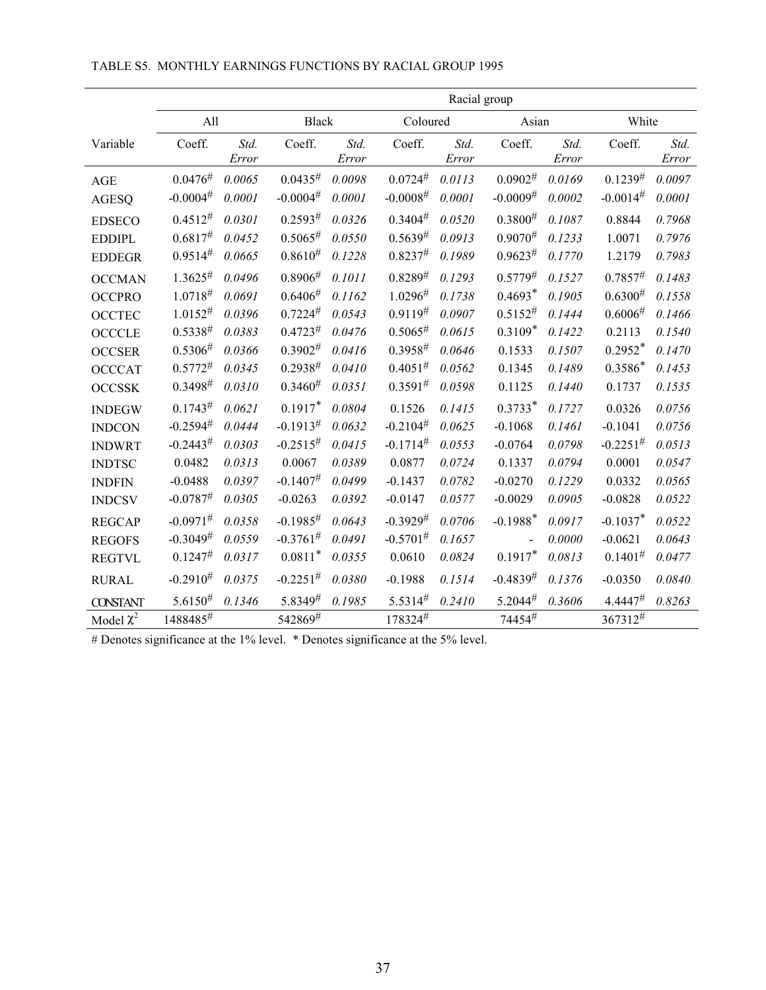|                 |                        |               |                        |               |                | Racial group  |                        |               |                |               |
|-----------------|------------------------|---------------|------------------------|---------------|----------------|---------------|------------------------|---------------|----------------|---------------|
|                 | All                    |               | <b>Black</b>           |               | Coloured       |               | Asian                  |               | White          |               |
| Variable        | Coeff.                 | Std.<br>Error | Coeff.                 | Std.<br>Error | Coeff.         | Std.<br>Error | Coeff.                 | Std.<br>Error | Coeff.         | Std.<br>Error |
| AGE             | $0.0476^{\#}$          | 0.0065        | $0.0435^{#}$           | 0.0098        | $0.0724^{\#}$  | 0.0113        | $0.0902^{\#}$          | 0.0169        | $0.1239^{#}$   | 0.0097        |
| <b>AGESQ</b>    | $-0.0004$ <sup>#</sup> | 0.0001        | $-0.0004$ <sup>#</sup> | 0.0001        | $-0.0008^{\#}$ | 0.0001        | $-0.0009$ <sup>#</sup> | 0.0002        | $-0.0014^{\#}$ | 0.0001        |
| <b>EDSECO</b>   | $0.4512^{#}$           | 0.0301        | $0.2593^{\#}$          | 0.0326        | $0.3404^{\#}$  | 0.0520        | $0.3800^{#}$           | 0.1087        | 0.8844         | 0.7968        |
| <b>EDDIPL</b>   | 0.6817#                | 0.0452        | 0.5065#                | 0.0550        | $0.5639^{#}$   | 0.0913        | $0.9070^{#}$           | 0.1233        | 1.0071         | 0.7976        |
| <b>EDDEGR</b>   | $0.9514^{#}$           | 0.0665        | $0.8610^{#}$           | 0.1228        | 0.8237#        | 0.1989        | $0.9623^{\#}$          | 0.1770        | 1.2179         | 0.7983        |
| <b>OCCMAN</b>   | $1.3625^{\#}$          | 0.0496        | 0.8906#                | 0.1011        | $0.8289^{#}$   | 0.1293        | $0.5779^{\#}$          | 0.1527        | 0.7857#        | 0.1483        |
| <b>OCCPRO</b>   | 1.0718#                | 0.0691        | 0.6406#                | 0.1162        | 1.0296#        | 0.1738        | $0.4693*$              | 0.1905        | $0.6300^{#}$   | 0.1558        |
| <b>OCCTEC</b>   | $1.0152^{\#}$          | 0.0396        | 0.7224#                | 0.0543        | $0.9119^{#}$   | 0.0907        | $0.5152^{\#}$          | 0.1444        | 0.6006#        | 0.1466        |
| <b>OCCCLE</b>   | $0.5338^{\#}$          | 0.0383        | 0.4723#                | 0.0476        | 0.5065#        | 0.0615        | $0.3109*$              | 0.1422        | 0.2113         | 0.1540        |
| <b>OCCSER</b>   | $0.5306^{\#}$          | 0.0366        | $0.3902^{\#}$          | 0.0416        | $0.3958^{\#}$  | 0.0646        | 0.1533                 | 0.1507        | $0.2952*$      | 0.1470        |
| <b>OCCCAT</b>   | $0.5772^{\#}$          | 0.0345        | $0.2938^{#}$           | 0.0410        | $0.4051^{\#}$  | 0.0562        | 0.1345                 | 0.1489        | $0.3586*$      | 0.1453        |
| <b>OCCSSK</b>   | $0.3498^{\#}$          | 0.0310        | $0.3460^{#}$           | 0.0351        | $0.3591^{\#}$  | 0.0598        | 0.1125                 | 0.1440        | 0.1737         | 0.1535        |
| <b>INDEGW</b>   | $0.1743^{\#}$          | 0.0621        | $0.1917*$              | 0.0804        | 0.1526         | 0.1415        | $0.3733*$              | 0.1727        | 0.0326         | 0.0756        |
| <b>INDCON</b>   | $-0.2594^{\#}$         | 0.0444        | $-0.1913^{\#}$         | 0.0632        | $-0.2104^{\#}$ | 0.0625        | $-0.1068$              | 0.1461        | $-0.1041$      | 0.0756        |
| <b>INDWRT</b>   | $-0.2443^{\#}$         | 0.0303        | $-0.2515^{\#}$         | 0.0415        | $-0.1714^{\#}$ | 0.0553        | $-0.0764$              | 0.0798        | $-0.2251^{\#}$ | 0.0513        |
| <b>INDTSC</b>   | 0.0482                 | 0.0313        | 0.0067                 | 0.0389        | 0.0877         | 0.0724        | 0.1337                 | 0.0794        | 0.0001         | 0.0547        |
| <b>INDFIN</b>   | $-0.0488$              | 0.0397        | $-0.1407$ <sup>#</sup> | 0.0499        | $-0.1437$      | 0.0782        | $-0.0270$              | 0.1229        | 0.0332         | 0.0565        |
| <b>INDCSV</b>   | $-0.0787$ <sup>#</sup> | 0.0305        | $-0.0263$              | 0.0392        | $-0.0147$      | 0.0577        | $-0.0029$              | 0.0905        | $-0.0828$      | 0.0522        |
| <b>REGCAP</b>   | $-0.0971$ <sup>#</sup> | 0.0358        | $-0.1985#$             | 0.0643        | $-0.3929^{\#}$ | 0.0706        | $-0.1988$ <sup>*</sup> | 0.0917        | $-0.1037*$     | 0.0522        |
| <b>REGOFS</b>   | $-0.3049^{\#}$         | 0.0559        | $-0.3761^{\#}$         | 0.0491        | $-0.5701^{\#}$ | 0.1657        | $\overline{a}$         | 0.0000        | $-0.0621$      | 0.0643        |
| <b>REGTVL</b>   | $0.1247^{\#}$          | 0.0317        | $0.0811*$              | 0.0355        | 0.0610         | 0.0824        | $0.1917*$              | 0.0813        | $0.1401^{\#}$  | 0.0477        |
| <b>RURAL</b>    | $-0.2910^{#}$          | 0.0375        | $-0.2251^{\#}$         | 0.0380        | $-0.1988$      | 0.1514        | $-0.4839^{#}$          | 0.1376        | $-0.0350$      | 0.0840        |
| <b>CONSTANT</b> | $5.6150^{#}$           | 0.1346        | 5.8349#                | 0.1985        | 5.5314#        | 0.2410        | $5.2044^{\#}$          | 0.3606        | 4.4447#        | 0.8263        |
| Model $\chi^2$  | $1488485^{\#}$         |               | 542869#                |               | 178324#        |               | $74454^{\#}$           |               | 367312#        |               |